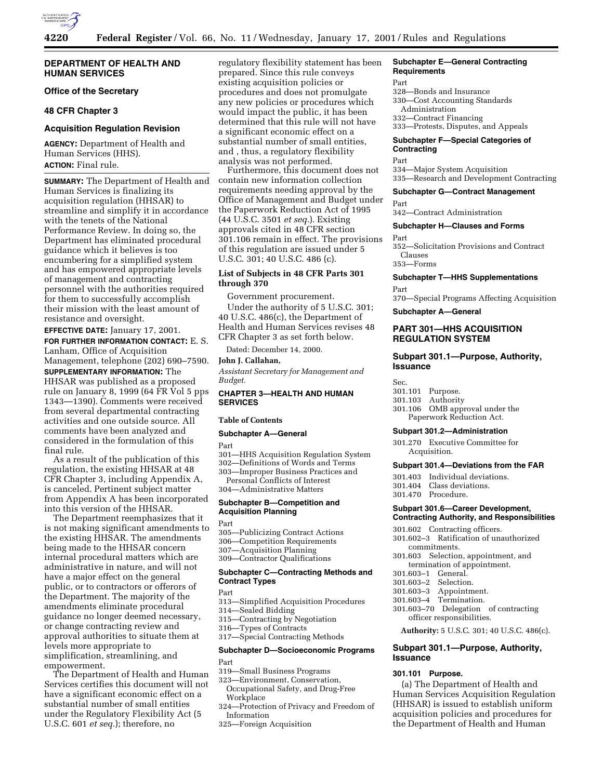

## **DEPARTMENT OF HEALTH AND HUMAN SERVICES**

**Office of the Secretary**

## **48 CFR Chapter 3**

## **Acquisition Regulation Revision**

Human Services (HHS). **ACTION:** Final rule.

**SUMMARY:** The Department of Health and Human Services is finalizing its acquisition regulation (HHSAR) to streamline and simplify it in accordance with the tenets of the National Performance Review. In doing so, the Department has eliminated procedural guidance which it believes is too encumbering for a simplified system and has empowered appropriate levels of management and contracting personnel with the authorities required for them to successfully accomplish their mission with the least amount of resistance and oversight.

**EFFECTIVE DATE:** January 17, 2001. **FOR FURTHER INFORMATION CONTACT:** E. S. Lanham, Office of Acquisition

Management, telephone (202) 690–7590.

**SUPPLEMENTARY INFORMATION:** The HHSAR was published as a proposed rule on January 8, 1999 (64 FR Vol 5 pps 1343—1390). Comments were received from several departmental contracting activities and one outside source. All comments have been analyzed and considered in the formulation of this final rule.

As a result of the publication of this regulation, the existing HHSAR at 48 CFR Chapter 3, including Appendix A, is canceled. Pertinent subject matter from Appendix A has been incorporated into this version of the HHSAR.

The Department reemphasizes that it is not making significant amendments to the existing HHSAR. The amendments being made to the HHSAR concern internal procedural matters which are administrative in nature, and will not have a major effect on the general public, or to contractors or offerors of the Department. The majority of the amendments eliminate procedural guidance no longer deemed necessary, or change contracting review and approval authorities to situate them at levels more appropriate to simplification, streamlining, and empowerment.

The Department of Health and Human Services certifies this document will not have a significant economic effect on a substantial number of small entities under the Regulatory Flexibility Act (5 U.S.C. 601 *et seq.*); therefore, no

regulatory flexibility statement has been prepared. Since this rule conveys existing acquisition policies or procedures and does not promulgate any new policies or procedures which would impact the public, it has been determined that this rule will not have a significant economic effect on a substantial number of small entities, and , thus, a regulatory flexibility analysis was not performed.

Furthermore, this document does not contain new information collection requirements needing approval by the Office of Management and Budget under the Paperwork Reduction Act of 1995 (44 U.S.C. 3501 *et seq.*). Existing approvals cited in 48 CFR section 301.106 remain in effect. The provisions of this regulation are issued under 5 U.S.C. 301; 40 U.S.C. 486 (c).

## **List of Subjects in 48 CFR Parts 301 through 370**

Government procurement.

Under the authority of 5 U.S.C. 301; 40 U.S.C. 486(c), the Department of Health and Human Services revises 48 CFR Chapter 3 as set forth below.

Dated: December 14, 2000.

## **John J. Callahan,**

*Assistant Secretary for Management and Budget.*

## **CHAPTER 3—HEALTH AND HUMAN SERVICES**

## **Table of Contents**

#### **Subchapter A—General**

Part

301—HHS Acquisition Regulation System

302—Definitions of Words and Terms

303—Improper Business Practices and

Personal Conflicts of Interest 304—Administrative Matters

## **Subchapter B—Competition and Acquisition Planning**

Part

- 305—Publicizing Contract Actions
- 306—Competition Requirements
- 307—Acquisition Planning
- 309—Contractor Qualifications

## **Subchapter C—Contracting Methods and Contract Types**

Part

- 313—Simplified Acquisition Procedures
- 314—Sealed Bidding
- 315—Contracting by Negotiation
- 316—Types of Contracts
- 317—Special Contracting Methods

## **Subchapter D—Socioeconomic Programs** Part

## 319—Small Business Programs

- 323—Environment, Conservation, Occupational Safety, and Drug-Free
	- Workplace
- 324—Protection of Privacy and Freedom of Information
- 325—Foreign Acquisition

#### **Subchapter E—General Contracting Requirements**

- Part
- 328—Bonds and Insurance
- 330—Cost Accounting Standards Administration 332—Contract Financing
- 333—Protests, Disputes, and Appeals

## **Subchapter F—Special Categories of Contracting**

#### Part

334—Major System Acquisition 335—Research and Development Contracting

#### **Subchapter G—Contract Management**

#### Part

Part

342—Contract Administration

## **Subchapter H—Clauses and Forms**

352—Solicitation Provisions and Contract Clauses 353—Forms

## **Subchapter T—HHS Supplementations**

Part

370—Special Programs Affecting Acquisition

**Subchapter A—General**

## **PART 301—HHS ACQUISITION REGULATION SYSTEM**

## **Subpart 301.1—Purpose, Authority, Issuance**

Sec.

- 
- 301.101 Purpose. Authority
- 301.106 OMB approval under the Paperwork Reduction Act.

## **Subpart 301.2—Administration**

301.270 Executive Committee for Acquisition.

#### **Subpart 301.4—Deviations from the FAR**

- 301.403 Individual deviations.
- 301.404 Class deviations.
- 301.470 Procedure.

#### **Subpart 301.6—Career Development, Contracting Authority, and Responsibilities**

- 301.602 Contracting officers.
- 301.602–3 Ratification of unauthorized commitments.
- 301.603 Selection, appointment, and termination of appointment.
- 301.603–1 General.
- 301.603–2 Selection.
- 301.603–3 Appointment.
- 301.603–4 Termination.
- 301.603–70 Delegation of contracting officer responsibilities.
	- **Authority:** 5 U.S.C. 301; 40 U.S.C. 486(c).

## **Subpart 301.1—Purpose, Authority, Issuance**

## **301.101 Purpose.**

(a) The Department of Health and Human Services Acquisition Regulation (HHSAR) is issued to establish uniform acquisition policies and procedures for the Department of Health and Human

**AGENCY:** Department of Health and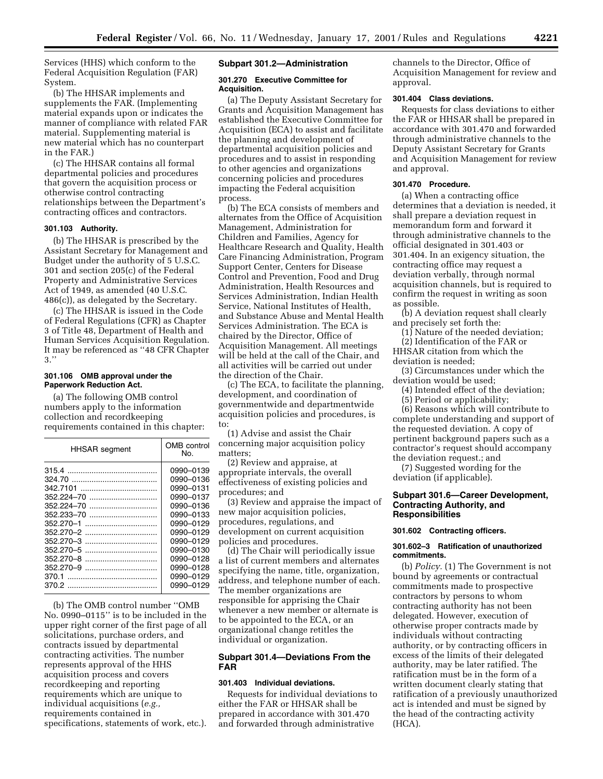Services (HHS) which conform to the Federal Acquisition Regulation (FAR) System.

(b) The HHSAR implements and supplements the FAR. (Implementing material expands upon or indicates the manner of compliance with related FAR material. Supplementing material is new material which has no counterpart in the FAR.)

(c) The HHSAR contains all formal departmental policies and procedures that govern the acquisition process or otherwise control contracting relationships between the Department's contracting offices and contractors.

## **301.103 Authority.**

(b) The HHSAR is prescribed by the Assistant Secretary for Management and Budget under the authority of 5 U.S.C. 301 and section 205(c) of the Federal Property and Administrative Services Act of 1949, as amended (40 U.S.C. 486(c)), as delegated by the Secretary.

(c) The HHSAR is issued in the Code of Federal Regulations (CFR) as Chapter 3 of Title 48, Department of Health and Human Services Acquisition Regulation. It may be referenced as ''48 CFR Chapter 3.''

#### **301.106 OMB approval under the Paperwork Reduction Act.**

(a) The following OMB control numbers apply to the information collection and recordkeeping requirements contained in this chapter:

| <b>HHSAR</b> segment | OMB control<br>No. |
|----------------------|--------------------|
|                      | 0990-0139          |
|                      | 0990-0136          |
|                      | 0990-0131          |
|                      | 0990-0137          |
|                      | 0990-0136          |
|                      | 0990-0133          |
|                      | 0990-0129          |
|                      | 0990-0129          |
|                      | 0990-0129          |
|                      | 0990-0130          |
|                      | 0990-0128          |
|                      | 0990-0128          |
| 370.1                | 0990-0129          |
|                      | 0990-0129          |

(b) The OMB control number ''OMB No. 0990–0115'' is to be included in the upper right corner of the first page of all solicitations, purchase orders, and contracts issued by departmental contracting activities. The number represents approval of the HHS acquisition process and covers recordkeeping and reporting requirements which are unique to individual acquisitions (*e.g.,* requirements contained in specifications, statements of work, etc.).

#### **Subpart 301.2—Administration**

#### **301.270 Executive Committee for Acquisition.**

(a) The Deputy Assistant Secretary for Grants and Acquisition Management has established the Executive Committee for Acquisition (ECA) to assist and facilitate the planning and development of departmental acquisition policies and procedures and to assist in responding to other agencies and organizations concerning policies and procedures impacting the Federal acquisition process.

(b) The ECA consists of members and alternates from the Office of Acquisition Management, Administration for Children and Families, Agency for Healthcare Research and Quality, Health Care Financing Administration, Program Support Center, Centers for Disease Control and Prevention, Food and Drug Administration, Health Resources and Services Administration, Indian Health Service, National Institutes of Health, and Substance Abuse and Mental Health Services Administration. The ECA is chaired by the Director, Office of Acquisition Management. All meetings will be held at the call of the Chair, and all activities will be carried out under the direction of the Chair.

(c) The ECA, to facilitate the planning, development, and coordination of governmentwide and departmentwide acquisition policies and procedures, is to:

(1) Advise and assist the Chair concerning major acquisition policy matters;

(2) Review and appraise, at appropriate intervals, the overall effectiveness of existing policies and procedures; and

(3) Review and appraise the impact of new major acquisition policies, procedures, regulations, and development on current acquisition policies and procedures.

(d) The Chair will periodically issue a list of current members and alternates specifying the name, title, organization, address, and telephone number of each. The member organizations are responsible for apprising the Chair whenever a new member or alternate is to be appointed to the ECA, or an organizational change retitles the individual or organization.

## **Subpart 301.4—Deviations From the FAR**

#### **301.403 Individual deviations.**

Requests for individual deviations to either the FAR or HHSAR shall be prepared in accordance with 301.470 and forwarded through administrative

channels to the Director, Office of Acquisition Management for review and approval.

## **301.404 Class deviations.**

Requests for class deviations to either the FAR or HHSAR shall be prepared in accordance with 301.470 and forwarded through administrative channels to the Deputy Assistant Secretary for Grants and Acquisition Management for review and approval.

## **301.470 Procedure.**

(a) When a contracting office determines that a deviation is needed, it shall prepare a deviation request in memorandum form and forward it through administrative channels to the official designated in 301.403 or 301.404. In an exigency situation, the contracting office may request a deviation verbally, through normal acquisition channels, but is required to confirm the request in writing as soon as possible.

(b) A deviation request shall clearly and precisely set forth the:

(1) Nature of the needed deviation; (2) Identification of the FAR or

HHSAR citation from which the deviation is needed;

(3) Circumstances under which the deviation would be used;

(4) Intended effect of the deviation;

(5) Period or applicability;

(6) Reasons which will contribute to complete understanding and support of the requested deviation. A copy of pertinent background papers such as a contractor's request should accompany the deviation request.; and

(7) Suggested wording for the deviation (if applicable).

## **Subpart 301.6—Career Development, Contracting Authority, and Responsibilities**

## **301.602 Contracting officers.**

#### **301.602–3 Ratification of unauthorized commitments.**

(b) *Policy.* (1) The Government is not bound by agreements or contractual commitments made to prospective contractors by persons to whom contracting authority has not been delegated. However, execution of otherwise proper contracts made by individuals without contracting authority, or by contracting officers in excess of the limits of their delegated authority, may be later ratified. The ratification must be in the form of a written document clearly stating that ratification of a previously unauthorized act is intended and must be signed by the head of the contracting activity (HCA).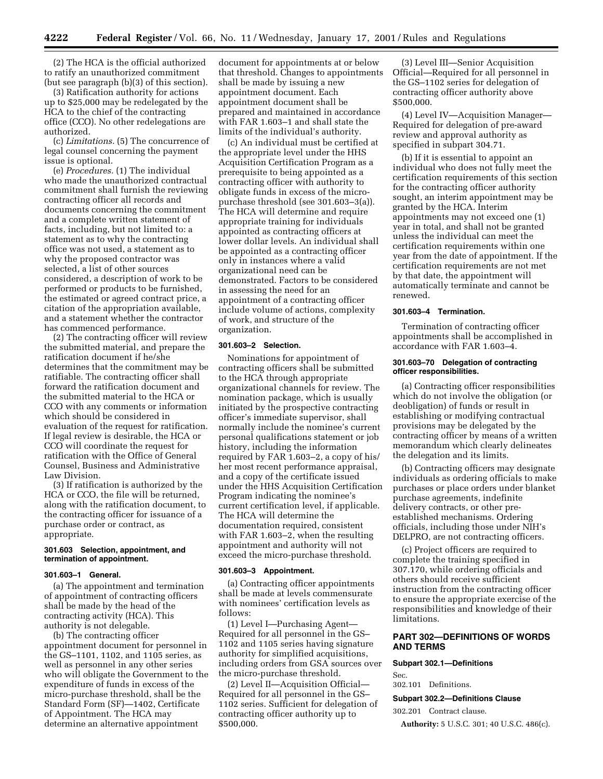(2) The HCA is the official authorized to ratify an unauthorized commitment (but see paragraph (b)(3) of this section).

(3) Ratification authority for actions up to \$25,000 may be redelegated by the HCA to the chief of the contracting office (CCO). No other redelegations are authorized.

(c) *Limitations.* (5) The concurrence of legal counsel concerning the payment issue is optional.

(e) *Procedures.* (1) The individual who made the unauthorized contractual commitment shall furnish the reviewing contracting officer all records and documents concerning the commitment and a complete written statement of facts, including, but not limited to: a statement as to why the contracting office was not used, a statement as to why the proposed contractor was selected, a list of other sources considered, a description of work to be performed or products to be furnished, the estimated or agreed contract price, a citation of the appropriation available, and a statement whether the contractor has commenced performance.

(2) The contracting officer will review the submitted material, and prepare the ratification document if he/she determines that the commitment may be ratifiable. The contracting officer shall forward the ratification document and the submitted material to the HCA or CCO with any comments or information which should be considered in evaluation of the request for ratification. If legal review is desirable, the HCA or CCO will coordinate the request for ratification with the Office of General Counsel, Business and Administrative Law Division.

(3) If ratification is authorized by the HCA or CCO, the file will be returned, along with the ratification document, to the contracting officer for issuance of a purchase order or contract, as appropriate.

#### **301.603 Selection, appointment, and termination of appointment.**

## **301.603–1 General.**

(a) The appointment and termination of appointment of contracting officers shall be made by the head of the contracting activity (HCA). This authority is not delegable.

(b) The contracting officer appointment document for personnel in the GS–1101, 1102, and 1105 series, as well as personnel in any other series who will obligate the Government to the expenditure of funds in excess of the micro-purchase threshold, shall be the Standard Form (SF)—1402, Certificate of Appointment. The HCA may determine an alternative appointment

document for appointments at or below that threshold. Changes to appointments shall be made by issuing a new appointment document. Each appointment document shall be prepared and maintained in accordance with FAR 1.603–1 and shall state the limits of the individual's authority.

(c) An individual must be certified at the appropriate level under the HHS Acquisition Certification Program as a prerequisite to being appointed as a contracting officer with authority to obligate funds in excess of the micropurchase threshold (see 301.603–3(a)). The HCA will determine and require appropriate training for individuals appointed as contracting officers at lower dollar levels. An individual shall be appointed as a contracting officer only in instances where a valid organizational need can be demonstrated. Factors to be considered in assessing the need for an appointment of a contracting officer include volume of actions, complexity of work, and structure of the organization.

#### **301.603–2 Selection.**

Nominations for appointment of contracting officers shall be submitted to the HCA through appropriate organizational channels for review. The nomination package, which is usually initiated by the prospective contracting officer's immediate supervisor, shall normally include the nominee's current personal qualifications statement or job history, including the information required by FAR 1.603–2, a copy of his/ her most recent performance appraisal, and a copy of the certificate issued under the HHS Acquisition Certification Program indicating the nominee's current certification level, if applicable. The HCA will determine the documentation required, consistent with FAR 1.603–2, when the resulting appointment and authority will not exceed the micro-purchase threshold.

#### **301.603–3 Appointment.**

(a) Contracting officer appointments shall be made at levels commensurate with nominees' certification levels as follows:

(1) Level I—Purchasing Agent— Required for all personnel in the GS– 1102 and 1105 series having signature authority for simplified acquisitions, including orders from GSA sources over the micro-purchase threshold.

(2) Level II—Acquisition Official— Required for all personnel in the GS– 1102 series. Sufficient for delegation of contracting officer authority up to \$500,000.

(3) Level III—Senior Acquisition Official—Required for all personnel in the GS–1102 series for delegation of contracting officer authority above \$500,000.

(4) Level IV—Acquisition Manager— Required for delegation of pre-award review and approval authority as specified in subpart 304.71.

(b) If it is essential to appoint an individual who does not fully meet the certification requirements of this section for the contracting officer authority sought, an interim appointment may be granted by the HCA. Interim appointments may not exceed one (1) year in total, and shall not be granted unless the individual can meet the certification requirements within one year from the date of appointment. If the certification requirements are not met by that date, the appointment will automatically terminate and cannot be renewed.

#### **301.603–4 Termination.**

Termination of contracting officer appointments shall be accomplished in accordance with FAR 1.603–4.

#### **301.603–70 Delegation of contracting officer responsibilities.**

(a) Contracting officer responsibilities which do not involve the obligation (or deobligation) of funds or result in establishing or modifying contractual provisions may be delegated by the contracting officer by means of a written memorandum which clearly delineates the delegation and its limits.

(b) Contracting officers may designate individuals as ordering officials to make purchases or place orders under blanket purchase agreements, indefinite delivery contracts, or other preestablished mechanisms. Ordering officials, including those under NIH's DELPRO, are not contracting officers.

(c) Project officers are required to complete the training specified in 307.170, while ordering officials and others should receive sufficient instruction from the contracting officer to ensure the appropriate exercise of the responsibilities and knowledge of their limitations.

## **PART 302—DEFINITIONS OF WORDS AND TERMS**

#### **Subpart 302.1—Definitions**

Sec.

302.101 Definitions.

#### **Subpart 302.2—Definitions Clause**

302.201 Contract clause.

**Authority:** 5 U.S.C. 301; 40 U.S.C. 486(c).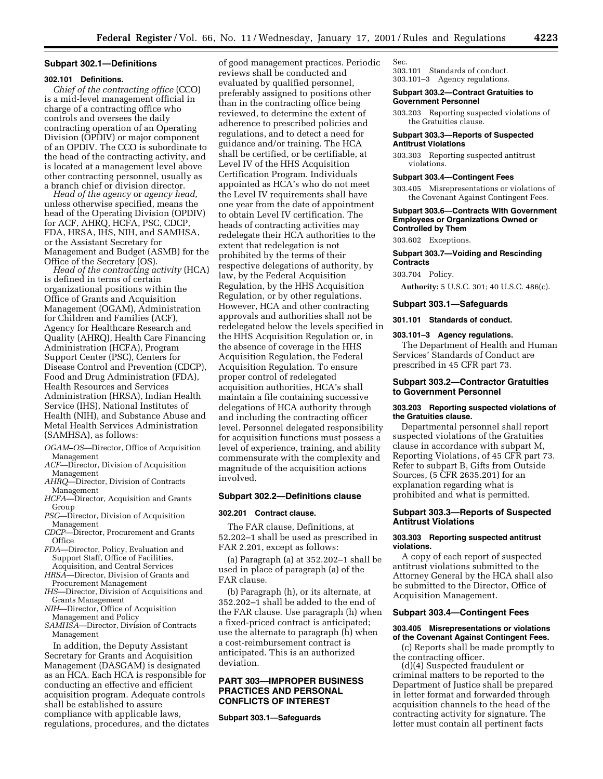#### **Subpart 302.1—Definitions**

#### **302.101 Definitions.**

*Chief of the contracting office* (CCO) is a mid-level management official in charge of a contracting office who controls and oversees the daily contracting operation of an Operating Division (OPDIV) or major component of an OPDIV. The CCO is subordinate to the head of the contracting activity, and is located at a management level above other contracting personnel, usually as a branch chief or division director.

*Head of the agency* or *agency head,* unless otherwise specified, means the head of the Operating Division (OPDIV) for ACF, AHRQ, HCFA, PSC, CDCP, FDA, HRSA, IHS, NIH, and SAMHSA, or the Assistant Secretary for Management and Budget (ASMB) for the Office of the Secretary (OS). *Head of the contracting activity* (HCA)

is defined in terms of certain organizational positions within the Office of Grants and Acquisition Management (OGAM), Administration for Children and Families (ACF), Agency for Healthcare Research and Quality (AHRQ), Health Care Financing Administration (HCFA), Program Support Center (PSC), Centers for Disease Control and Prevention (CDCP), Food and Drug Administration (FDA), Health Resources and Services Administration (HRSA), Indian Health Service (IHS), National Institutes of Health (NIH), and Substance Abuse and Metal Health Services Administration (SAMHSA), as follows:

- *OGAM–OS*—Director, Office of Acquisition Management
- *ACF*—Director, Division of Acquisition Management
- *AHRQ*—Director, Division of Contracts Management
- *HCFA*—Director, Acquisition and Grants Group
- *PSC*—Director, Division of Acquisition Management
- *CDCP*—Director, Procurement and Grants **Office**
- *FDA*—Director, Policy, Evaluation and Support Staff, Office of Facilities, Acquisition, and Central Services
- *HRSA*—Director, Division of Grants and Procurement Management
- *IHS*—Director, Division of Acquisitions and Grants Management
- *NIH*—Director, Office of Acquisition Management and Policy
- *SAMHSA*—Director, Division of Contracts Management

In addition, the Deputy Assistant Secretary for Grants and Acquisition Management (DASGAM) is designated as an HCA. Each HCA is responsible for conducting an effective and efficient acquisition program. Adequate controls shall be established to assure compliance with applicable laws, regulations, procedures, and the dictates

of good management practices. Periodic reviews shall be conducted and evaluated by qualified personnel, preferably assigned to positions other than in the contracting office being reviewed, to determine the extent of adherence to prescribed policies and regulations, and to detect a need for guidance and/or training. The HCA shall be certified, or be certifiable, at Level IV of the HHS Acquisition Certification Program. Individuals appointed as HCA's who do not meet the Level IV requirements shall have one year from the date of appointment to obtain Level IV certification. The heads of contracting activities may redelegate their HCA authorities to the extent that redelegation is not prohibited by the terms of their respective delegations of authority, by law, by the Federal Acquisition Regulation, by the HHS Acquisition Regulation, or by other regulations. However, HCA and other contracting approvals and authorities shall not be redelegated below the levels specified in the HHS Acquisition Regulation or, in the absence of coverage in the HHS Acquisition Regulation, the Federal Acquisition Regulation. To ensure proper control of redelegated acquisition authorities, HCA's shall maintain a file containing successive delegations of HCA authority through and including the contracting officer level. Personnel delegated responsibility for acquisition functions must possess a level of experience, training, and ability commensurate with the complexity and magnitude of the acquisition actions involved.

## **Subpart 302.2—Definitions clause**

#### **302.201 Contract clause.**

The FAR clause, Definitions, at 52.202–1 shall be used as prescribed in FAR 2.201, except as follows:

(a) Paragraph (a) at 352.202–1 shall be used in place of paragraph (a) of the FAR clause.

(b) Paragraph (h), or its alternate, at 352.202–1 shall be added to the end of the FAR clause. Use paragraph (h) when a fixed-priced contract is anticipated; use the alternate to paragraph (h) when a cost-reimbursement contract is anticipated. This is an authorized deviation.

## **PART 303—IMPROPER BUSINESS PRACTICES AND PERSONAL CONFLICTS OF INTEREST**

**Subpart 303.1—Safeguards**

#### Sec.

303.101 Standards of conduct. 303.101–3 Agency regulations.

#### **Subpart 303.2—Contract Gratuities to Government Personnel**

303.203 Reporting suspected violations of the Gratuities clause.

#### **Subpart 303.3—Reports of Suspected Antitrust Violations**

303.303 Reporting suspected antitrust violations.

#### **Subpart 303.4—Contingent Fees**

303.405 Misrepresentations or violations of the Covenant Against Contingent Fees.

#### **Subpart 303.6—Contracts With Government Employees or Organizations Owned or Controlled by Them**

303.602 Exceptions.

## **Subpart 303.7—Voiding and Rescinding Contracts**

303.704 Policy.

**Authority:** 5 U.S.C. 301; 40 U.S.C. 486(c).

#### **Subpart 303.1—Safeguards**

**301.101 Standards of conduct.**

#### **303.101–3 Agency regulations.**

The Department of Health and Human Services' Standards of Conduct are prescribed in 45 CFR part 73.

## **Subpart 303.2—Contractor Gratuities to Government Personnel**

#### **303.203 Reporting suspected violations of the Gratuities clause.**

Departmental personnel shall report suspected violations of the Gratuities clause in accordance with subpart M, Reporting Violations, of 45 CFR part 73. Refer to subpart B, Gifts from Outside Sources, (5 CFR 2635.201) for an explanation regarding what is prohibited and what is permitted.

## **Subpart 303.3—Reports of Suspected Antitrust Violations**

#### **303.303 Reporting suspected antitrust violations.**

A copy of each report of suspected antitrust violations submitted to the Attorney General by the HCA shall also be submitted to the Director, Office of Acquisition Management.

## **Subpart 303.4—Contingent Fees**

#### **303.405 Misrepresentations or violations of the Covenant Against Contingent Fees.**

(c) Reports shall be made promptly to the contracting officer. (d)(4) Suspected fraudulent or

criminal matters to be reported to the Department of Justice shall be prepared in letter format and forwarded through acquisition channels to the head of the contracting activity for signature. The letter must contain all pertinent facts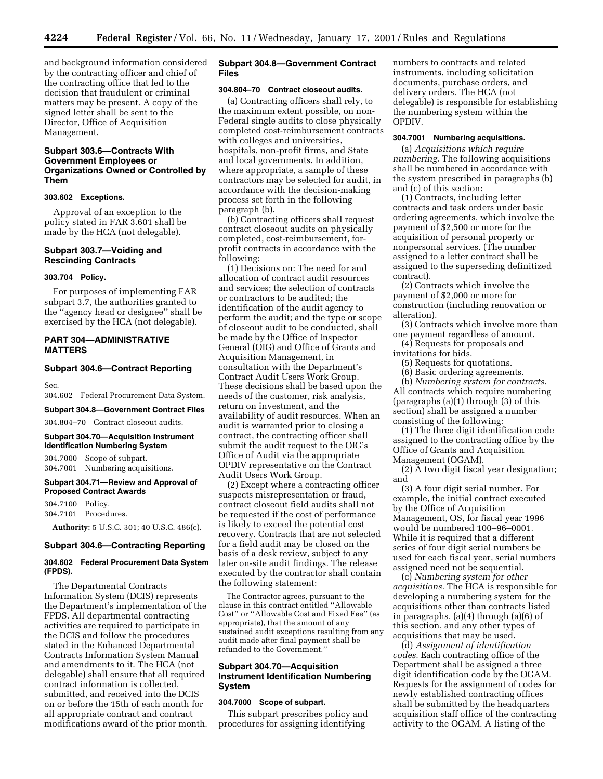and background information considered by the contracting officer and chief of the contracting office that led to the decision that fraudulent or criminal matters may be present. A copy of the signed letter shall be sent to the Director, Office of Acquisition Management.

## **Subpart 303.6—Contracts With Government Employees or Organizations Owned or Controlled by Them**

## **303.602 Exceptions.**

Approval of an exception to the policy stated in FAR 3.601 shall be made by the HCA (not delegable).

## **Subpart 303.7—Voiding and Rescinding Contracts**

#### **303.704 Policy.**

For purposes of implementing FAR subpart 3.7, the authorities granted to the ''agency head or designee'' shall be exercised by the HCA (not delegable).

## **PART 304—ADMINISTRATIVE MATTERS**

## **Subpart 304.6—Contract Reporting**

Sec.

304.602 Federal Procurement Data System.

#### **Subpart 304.8—Government Contract Files**

304.804–70 Contract closeout audits.

## **Subpart 304.70—Acquisition Instrument Identification Numbering System**

304.7000 Scope of subpart. 304.7001 Numbering acquisitions.

## **Subpart 304.71—Review and Approval of Proposed Contract Awards**

304.7100 Policy. 304.7101 Procedures.

**Authority:** 5 U.S.C. 301; 40 U.S.C. 486(c).

#### **Subpart 304.6—Contracting Reporting**

## **304.602 Federal Procurement Data System (FPDS).**

The Departmental Contracts Information System (DCIS) represents the Department's implementation of the FPDS. All departmental contracting activities are required to participate in the DCIS and follow the procedures stated in the Enhanced Departmental Contracts Information System Manual and amendments to it. The HCA (not delegable) shall ensure that all required contract information is collected, submitted, and received into the DCIS on or before the 15th of each month for all appropriate contract and contract modifications award of the prior month.

## **Subpart 304.8—Government Contract Files**

#### **304.804–70 Contract closeout audits.**

(a) Contracting officers shall rely, to the maximum extent possible, on non-Federal single audits to close physically completed cost-reimbursement contracts with colleges and universities, hospitals, non-profit firms, and State and local governments. In addition, where appropriate, a sample of these contractors may be selected for audit, in accordance with the decision-making process set forth in the following paragraph (b).

(b) Contracting officers shall request contract closeout audits on physically completed, cost-reimbursement, forprofit contracts in accordance with the following:

(1) Decisions on: The need for and allocation of contract audit resources and services; the selection of contracts or contractors to be audited; the identification of the audit agency to perform the audit; and the type or scope of closeout audit to be conducted, shall be made by the Office of Inspector General (OIG) and Office of Grants and Acquisition Management, in consultation with the Department's Contract Audit Users Work Group. These decisions shall be based upon the needs of the customer, risk analysis, return on investment, and the availability of audit resources. When an audit is warranted prior to closing a contract, the contracting officer shall submit the audit request to the OIG's Office of Audit via the appropriate OPDIV representative on the Contract Audit Users Work Group.

(2) Except where a contracting officer suspects misrepresentation or fraud, contract closeout field audits shall not be requested if the cost of performance is likely to exceed the potential cost recovery. Contracts that are not selected for a field audit may be closed on the basis of a desk review, subject to any later on-site audit findings. The release executed by the contractor shall contain the following statement:

The Contractor agrees, pursuant to the clause in this contract entitled ''Allowable Cost'' or ''Allowable Cost and Fixed Fee'' (as appropriate), that the amount of any sustained audit exceptions resulting from any audit made after final payment shall be refunded to the Government.''

## **Subpart 304.70—Acquisition Instrument Identification Numbering System**

#### **304.7000 Scope of subpart.**

This subpart prescribes policy and procedures for assigning identifying

numbers to contracts and related instruments, including solicitation documents, purchase orders, and delivery orders. The HCA (not delegable) is responsible for establishing the numbering system within the OPDIV.

## **304.7001 Numbering acquisitions.**

(a) *Acquisitions which require numbering.* The following acquisitions shall be numbered in accordance with the system prescribed in paragraphs (b) and (c) of this section:

(1) Contracts, including letter contracts and task orders under basic ordering agreements, which involve the payment of \$2,500 or more for the acquisition of personal property or nonpersonal services. (The number assigned to a letter contract shall be assigned to the superseding definitized contract).

(2) Contracts which involve the payment of \$2,000 or more for construction (including renovation or alteration).

(3) Contracts which involve more than one payment regardless of amount.

(4) Requests for proposals and invitations for bids.

(5) Requests for quotations.

(6) Basic ordering agreements.

(b) *Numbering system for contracts.* All contracts which require numbering (paragraphs (a)(1) through (3) of this section) shall be assigned a number consisting of the following:

(1) The three digit identification code assigned to the contracting office by the Office of Grants and Acquisition Management (OGAM).

(2) A two digit fiscal year designation; and

(3) A four digit serial number. For example, the initial contract executed by the Office of Acquisition Management, OS, for fiscal year 1996 would be numbered 100–96–0001. While it is required that a different series of four digit serial numbers be used for each fiscal year, serial numbers assigned need not be sequential.

(c) *Numbering system for other acquisitions.* The HCA is responsible for developing a numbering system for the acquisitions other than contracts listed in paragraphs, (a)(4) through (a)(6) of this section, and any other types of acquisitions that may be used.

(d) *Assignment of identification codes.* Each contracting office of the Department shall be assigned a three digit identification code by the OGAM. Requests for the assignment of codes for newly established contracting offices shall be submitted by the headquarters acquisition staff office of the contracting activity to the OGAM. A listing of the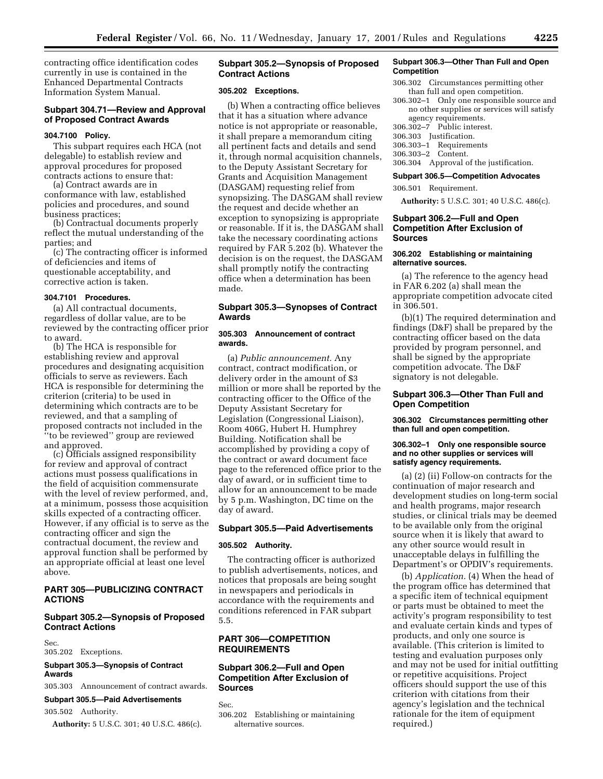contracting office identification codes currently in use is contained in the Enhanced Departmental Contracts Information System Manual.

## **Subpart 304.71—Review and Approval of Proposed Contract Awards**

## **304.7100 Policy.**

This subpart requires each HCA (not delegable) to establish review and approval procedures for proposed contracts actions to ensure that:

(a) Contract awards are in conformance with law, established policies and procedures, and sound business practices;

(b) Contractual documents properly reflect the mutual understanding of the parties; and

(c) The contracting officer is informed of deficiencies and items of questionable acceptability, and corrective action is taken.

## **304.7101 Procedures.**

(a) All contractual documents, regardless of dollar value, are to be reviewed by the contracting officer prior to award.

(b) The HCA is responsible for establishing review and approval procedures and designating acquisition officials to serve as reviewers. Each HCA is responsible for determining the criterion (criteria) to be used in determining which contracts are to be reviewed, and that a sampling of proposed contracts not included in the ''to be reviewed'' group are reviewed and approved.

(c) Officials assigned responsibility for review and approval of contract actions must possess qualifications in the field of acquisition commensurate with the level of review performed, and, at a minimum, possess those acquisition skills expected of a contracting officer. However, if any official is to serve as the contracting officer and sign the contractual document, the review and approval function shall be performed by an appropriate official at least one level above.

## **PART 305—PUBLICIZING CONTRACT ACTIONS**

## **Subpart 305.2—Synopsis of Proposed Contract Actions**

Sec.

305.202 Exceptions.

## **Subpart 305.3—Synopsis of Contract Awards**

305.303 Announcement of contract awards.

## **Subpart 305.5—Paid Advertisements**

305.502 Authority.

**Authority:** 5 U.S.C. 301; 40 U.S.C. 486(c).

## **Subpart 305.2—Synopsis of Proposed Contract Actions**

## **305.202 Exceptions.**

(b) When a contracting office believes that it has a situation where advance notice is not appropriate or reasonable, it shall prepare a memorandum citing all pertinent facts and details and send it, through normal acquisition channels, to the Deputy Assistant Secretary for Grants and Acquisition Management (DASGAM) requesting relief from synopsizing. The DASGAM shall review the request and decide whether an exception to synopsizing is appropriate or reasonable. If it is, the DASGAM shall take the necessary coordinating actions required by FAR 5.202 (b). Whatever the decision is on the request, the DASGAM shall promptly notify the contracting office when a determination has been made.

## **Subpart 305.3—Synopses of Contract Awards**

## **305.303 Announcement of contract awards.**

(a) *Public announcement.* Any contract, contract modification, or delivery order in the amount of \$3 million or more shall be reported by the contracting officer to the Office of the Deputy Assistant Secretary for Legislation (Congressional Liaison), Room 406G, Hubert H. Humphrey Building. Notification shall be accomplished by providing a copy of the contract or award document face page to the referenced office prior to the day of award, or in sufficient time to allow for an announcement to be made by 5 p.m. Washington, DC time on the day of award.

#### **Subpart 305.5—Paid Advertisements**

#### **305.502 Authority.**

The contracting officer is authorized to publish advertisements, notices, and notices that proposals are being sought in newspapers and periodicals in accordance with the requirements and conditions referenced in FAR subpart 5.5.

## **PART 306—COMPETITION REQUIREMENTS**

## **Subpart 306.2—Full and Open Competition After Exclusion of Sources**

Sec.

306.202 Establishing or maintaining alternative sources.

#### **Subpart 306.3—Other Than Full and Open Competition**

- 306.302 Circumstances permitting other than full and open competition.
- 306.302–1 Only one responsible source and no other supplies or services will satisfy agency requirements.
- 306.302–7 Public interest.
- 306.303 Justification.
- 306.303–1 Requirements
- 306.303–2 Content.
- 306.304 Approval of the justification.

#### **Subpart 306.5—Competition Advocates**

306.501 Requirement.

**Authority:** 5 U.S.C. 301; 40 U.S.C. 486(c).

## **Subpart 306.2—Full and Open Competition After Exclusion of Sources**

## **306.202 Establishing or maintaining alternative sources.**

(a) The reference to the agency head in FAR 6.202 (a) shall mean the appropriate competition advocate cited in 306.501.

(b)(1) The required determination and findings (D&F) shall be prepared by the contracting officer based on the data provided by program personnel, and shall be signed by the appropriate competition advocate. The D&F signatory is not delegable.

## **Subpart 306.3—Other Than Full and Open Competition**

**306.302 Circumstances permitting other than full and open competition.**

#### **306.302–1 Only one responsible source and no other supplies or services will satisfy agency requirements.**

(a) (2) (ii) Follow-on contracts for the continuation of major research and development studies on long-term social and health programs, major research studies, or clinical trials may be deemed to be available only from the original source when it is likely that award to any other source would result in unacceptable delays in fulfilling the Department's or OPDIV's requirements.

(b) *Application.* (4) When the head of the program office has determined that a specific item of technical equipment or parts must be obtained to meet the activity's program responsibility to test and evaluate certain kinds and types of products, and only one source is available. (This criterion is limited to testing and evaluation purposes only and may not be used for initial outfitting or repetitive acquisitions. Project officers should support the use of this criterion with citations from their agency's legislation and the technical rationale for the item of equipment required.)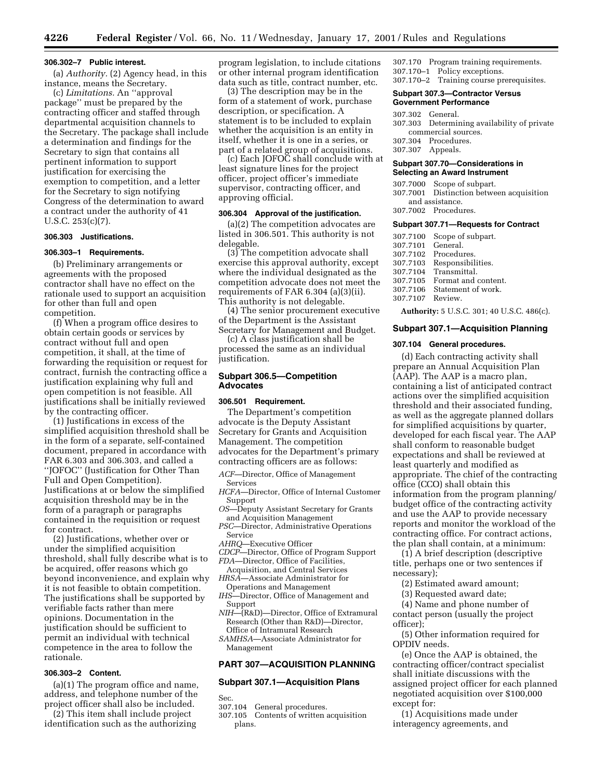#### **306.302–7 Public interest.**

(a) *Authority.* (2) Agency head, in this instance, means the Secretary.

(c) *Limitations.* An ''approval package'' must be prepared by the contracting officer and staffed through departmental acquisition channels to the Secretary. The package shall include a determination and findings for the Secretary to sign that contains all pertinent information to support justification for exercising the exemption to competition, and a letter for the Secretary to sign notifying Congress of the determination to award a contract under the authority of 41 U.S.C. 253(c)(7).

## **306.303 Justifications.**

## **306.303–1 Requirements.**

(b) Preliminary arrangements or agreements with the proposed contractor shall have no effect on the rationale used to support an acquisition for other than full and open competition.

(f) When a program office desires to obtain certain goods or services by contract without full and open competition, it shall, at the time of forwarding the requisition or request for contract, furnish the contracting office a justification explaining why full and open competition is not feasible. All justifications shall be initially reviewed by the contracting officer.

(1) Justifications in excess of the simplified acquisition threshold shall be in the form of a separate, self-contained document, prepared in accordance with FAR 6.303 and 306.303, and called a ''JOFOC'' (Justification for Other Than Full and Open Competition). Justifications at or below the simplified acquisition threshold may be in the form of a paragraph or paragraphs contained in the requisition or request for contract.

(2) Justifications, whether over or under the simplified acquisition threshold, shall fully describe what is to be acquired, offer reasons which go beyond inconvenience, and explain why it is not feasible to obtain competition. The justifications shall be supported by verifiable facts rather than mere opinions. Documentation in the justification should be sufficient to permit an individual with technical competence in the area to follow the rationale.

## **306.303–2 Content.**

(a)(1) The program office and name, address, and telephone number of the project officer shall also be included.

(2) This item shall include project identification such as the authorizing program legislation, to include citations or other internal program identification data such as title, contract number, etc.

(3) The description may be in the form of a statement of work, purchase description, or specification. A statement is to be included to explain whether the acquisition is an entity in itself, whether it is one in a series, or part of a related group of acquisitions.

(c) Each JOFOC shall conclude with at least signature lines for the project officer, project officer's immediate supervisor, contracting officer, and approving official.

## **306.304 Approval of the justification.**

(a)(2) The competition advocates are listed in 306.501. This authority is not delegable.

(3) The competition advocate shall exercise this approval authority, except where the individual designated as the competition advocate does not meet the requirements of FAR 6.304 (a)(3)(ii). This authority is not delegable.

(4) The senior procurement executive of the Department is the Assistant Secretary for Management and Budget.

(c) A class justification shall be processed the same as an individual justification.

#### **Subpart 306.5—Competition Advocates**

#### **306.501 Requirement.**

The Department's competition advocate is the Deputy Assistant Secretary for Grants and Acquisition Management. The competition advocates for the Department's primary contracting officers are as follows:

*ACF*—Director, Office of Management Services

- *HCFA*—Director, Office of Internal Customer Support
- *OS*—Deputy Assistant Secretary for Grants and Acquisition Management
- *PSC*—Director, Administrative Operations Service
- *AHRQ*—Executive Officer
- *CDCP*—Director, Office of Program Support *FDA*—Director, Office of Facilities,
- Acquisition, and Central Services
- *HRSA*—Associate Administrator for Operations and Management
- *IHS*—Director, Office of Management and Support
- *NIH*—(R&D)—Director, Office of Extramural Research (Other than R&D)—Director, Office of Intramural Research
- *SAMHSA*—Associate Administrator for Management

## **PART 307—ACQUISITION PLANNING**

#### **Subpart 307.1—Acquisition Plans**

Sec.

- 307.104 General procedures.
- 307.105 Contents of written acquisition plans.

307.170 Program training requirements. 307.170–1 Policy exceptions. 307.170–2 Training course prerequisites.

#### **Subpart 307.3—Contractor Versus Government Performance**

- 307.302 General.
- 307.303 Determining availability of private commercial sources.
- 307.304 Procedures.
- 307.307 Appeals.

### **Subpart 307.70—Considerations in Selecting an Award Instrument**

- 307.7000 Scope of subpart.
- 307.7001 Distinction between acquisition and assistance.
- 307.7002 Procedures.

#### **Subpart 307.71—Requests for Contract**

307.7100 Scope of subpart. 307.7101 General. 307.7102 Procedures. Responsibilities. 307.7104 Transmittal. Format and content. 307.7106 Statement of work. 307.7107 Review.

**Authority:** 5 U.S.C. 301; 40 U.S.C. 486(c).

## **Subpart 307.1—Acquisition Planning**

#### **307.104 General procedures.**

(d) Each contracting activity shall prepare an Annual Acquisition Plan (AAP). The AAP is a macro plan, containing a list of anticipated contract actions over the simplified acquisition threshold and their associated funding, as well as the aggregate planned dollars for simplified acquisitions by quarter, developed for each fiscal year. The AAP shall conform to reasonable budget expectations and shall be reviewed at least quarterly and modified as appropriate. The chief of the contracting office (CCO) shall obtain this information from the program planning/ budget office of the contracting activity and use the AAP to provide necessary reports and monitor the workload of the contracting office. For contract actions, the plan shall contain, at a minimum:

(1) A brief description (descriptive title, perhaps one or two sentences if necessary);

- (2) Estimated award amount;
- (3) Requested award date;

(4) Name and phone number of contact person (usually the project officer);

(5) Other information required for OPDIV needs.

(e) Once the AAP is obtained, the contracting officer/contract specialist shall initiate discussions with the assigned project officer for each planned negotiated acquisition over \$100,000 except for:

(1) Acquisitions made under interagency agreements, and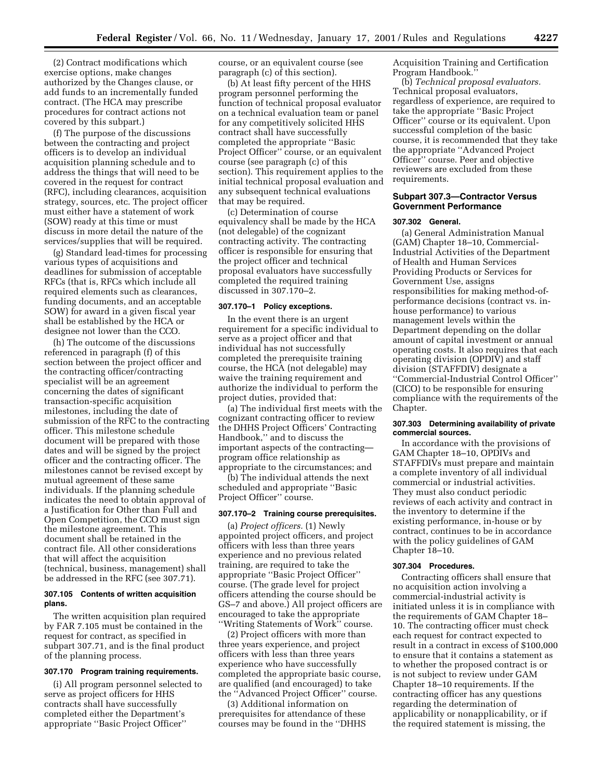(2) Contract modifications which exercise options, make changes authorized by the Changes clause, or add funds to an incrementally funded contract. (The HCA may prescribe procedures for contract actions not covered by this subpart.)

(f) The purpose of the discussions between the contracting and project officers is to develop an individual acquisition planning schedule and to address the things that will need to be covered in the request for contract (RFC), including clearances, acquisition strategy, sources, etc. The project officer must either have a statement of work (SOW) ready at this time or must discuss in more detail the nature of the services/supplies that will be required.

(g) Standard lead-times for processing various types of acquisitions and deadlines for submission of acceptable RFCs (that is, RFCs which include all required elements such as clearances, funding documents, and an acceptable SOW) for award in a given fiscal year shall be established by the HCA or designee not lower than the CCO.

(h) The outcome of the discussions referenced in paragraph (f) of this section between the project officer and the contracting officer/contracting specialist will be an agreement concerning the dates of significant transaction-specific acquisition milestones, including the date of submission of the RFC to the contracting officer. This milestone schedule document will be prepared with those dates and will be signed by the project officer and the contracting officer. The milestones cannot be revised except by mutual agreement of these same individuals. If the planning schedule indicates the need to obtain approval of a Justification for Other than Full and Open Competition, the CCO must sign the milestone agreement. This document shall be retained in the contract file. All other considerations that will affect the acquisition (technical, business, management) shall be addressed in the RFC (see 307.71).

## **307.105 Contents of written acquisition plans.**

The written acquisition plan required by FAR 7.105 must be contained in the request for contract, as specified in subpart 307.71, and is the final product of the planning process.

#### **307.170 Program training requirements.**

(i) All program personnel selected to serve as project officers for HHS contracts shall have successfully completed either the Department's appropriate ''Basic Project Officer''

course, or an equivalent course (see paragraph (c) of this section).

(b) At least fifty percent of the HHS program personnel performing the function of technical proposal evaluator on a technical evaluation team or panel for any competitively solicited HHS contract shall have successfully completed the appropriate ''Basic Project Officer'' course, or an equivalent course (see paragraph (c) of this section). This requirement applies to the initial technical proposal evaluation and any subsequent technical evaluations that may be required.

(c) Determination of course equivalency shall be made by the HCA (not delegable) of the cognizant contracting activity. The contracting officer is responsible for ensuring that the project officer and technical proposal evaluators have successfully completed the required training discussed in 307.170–2.

## **307.170–1 Policy exceptions.**

In the event there is an urgent requirement for a specific individual to serve as a project officer and that individual has not successfully completed the prerequisite training course, the HCA (not delegable) may waive the training requirement and authorize the individual to perform the project duties, provided that:

(a) The individual first meets with the cognizant contracting officer to review the DHHS Project Officers' Contracting Handbook,'' and to discuss the important aspects of the contracting program office relationship as appropriate to the circumstances; and

(b) The individual attends the next scheduled and appropriate ''Basic Project Officer'' course.

## **307.170–2 Training course prerequisites.**

(a) *Project officers.* (1) Newly appointed project officers, and project officers with less than three years experience and no previous related training, are required to take the appropriate ''Basic Project Officer'' course. (The grade level for project officers attending the course should be GS–7 and above.) All project officers are encouraged to take the appropriate ''Writing Statements of Work'' course.

(2) Project officers with more than three years experience, and project officers with less than three years experience who have successfully completed the appropriate basic course, are qualified (and encouraged) to take the ''Advanced Project Officer'' course.

(3) Additional information on prerequisites for attendance of these courses may be found in the ''DHHS Acquisition Training and Certification Program Handbook.''

(b) *Technical proposal evaluators.* Technical proposal evaluators, regardless of experience, are required to take the appropriate ''Basic Project Officer'' course or its equivalent. Upon successful completion of the basic course, it is recommended that they take the appropriate ''Advanced Project Officer'' course. Peer and objective reviewers are excluded from these requirements.

## **Subpart 307.3—Contractor Versus Government Performance**

#### **307.302 General.**

(a) General Administration Manual (GAM) Chapter 18–10, Commercial-Industrial Activities of the Department of Health and Human Services Providing Products or Services for Government Use, assigns responsibilities for making method-ofperformance decisions (contract vs. inhouse performance) to various management levels within the Department depending on the dollar amount of capital investment or annual operating costs. It also requires that each operating division (OPDIV) and staff division (STAFFDIV) designate a ''Commercial-Industrial Control Officer'' (CICO) to be responsible for ensuring compliance with the requirements of the Chapter.

#### **307.303 Determining availability of private commercial sources.**

In accordance with the provisions of GAM Chapter 18–10, OPDIVs and STAFFDIVs must prepare and maintain a complete inventory of all individual commercial or industrial activities. They must also conduct periodic reviews of each activity and contract in the inventory to determine if the existing performance, in-house or by contract, continues to be in accordance with the policy guidelines of GAM Chapter 18–10.

## **307.304 Procedures.**

Contracting officers shall ensure that no acquisition action involving a commercial-industrial activity is initiated unless it is in compliance with the requirements of GAM Chapter 18– 10. The contracting officer must check each request for contract expected to result in a contract in excess of \$100,000 to ensure that it contains a statement as to whether the proposed contract is or is not subject to review under GAM Chapter 18–10 requirements. If the contracting officer has any questions regarding the determination of applicability or nonapplicability, or if the required statement is missing, the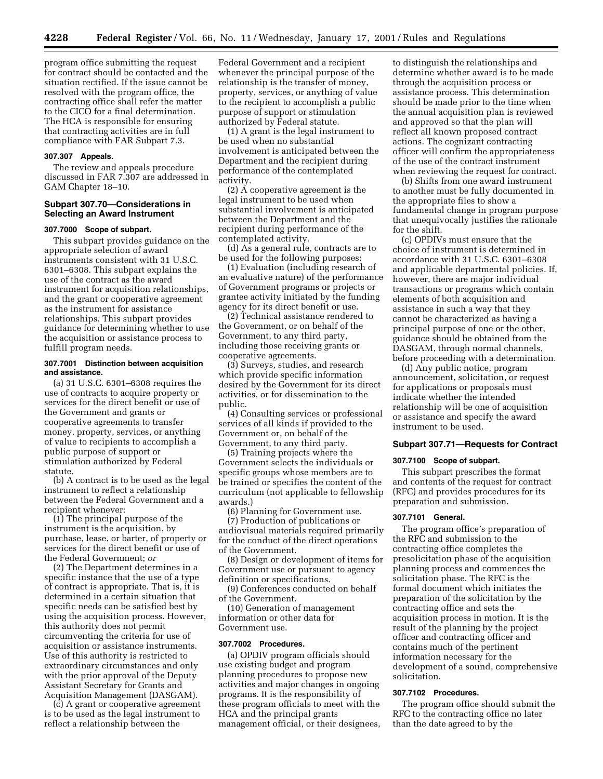program office submitting the request for contract should be contacted and the situation rectified. If the issue cannot be resolved with the program office, the contracting office shall refer the matter to the CICO for a final determination. The HCA is responsible for ensuring that contracting activities are in full compliance with FAR Subpart 7.3.

## **307.307 Appeals.**

The review and appeals procedure discussed in FAR 7.307 are addressed in GAM Chapter 18–10.

## **Subpart 307.70—Considerations in Selecting an Award Instrument**

#### **307.7000 Scope of subpart.**

This subpart provides guidance on the appropriate selection of award instruments consistent with 31 U.S.C. 6301–6308. This subpart explains the use of the contract as the award instrument for acquisition relationships, and the grant or cooperative agreement as the instrument for assistance relationships. This subpart provides guidance for determining whether to use the acquisition or assistance process to fulfill program needs.

#### **307.7001 Distinction between acquisition and assistance.**

(a) 31 U.S.C. 6301–6308 requires the use of contracts to acquire property or services for the direct benefit or use of the Government and grants or cooperative agreements to transfer money, property, services, or anything of value to recipients to accomplish a public purpose of support or stimulation authorized by Federal statute.

(b) A contract is to be used as the legal instrument to reflect a relationship between the Federal Government and a recipient whenever:

(1) The principal purpose of the instrument is the acquisition, by purchase, lease, or barter, of property or services for the direct benefit or use of the Federal Government; *or*

(2) The Department determines in a specific instance that the use of a type of contract is appropriate. That is, it is determined in a certain situation that specific needs can be satisfied best by using the acquisition process. However, this authority does not permit circumventing the criteria for use of acquisition or assistance instruments. Use of this authority is restricted to extraordinary circumstances and only with the prior approval of the Deputy Assistant Secretary for Grants and Acquisition Management (DASGAM).

(c) A grant or cooperative agreement is to be used as the legal instrument to reflect a relationship between the

Federal Government and a recipient whenever the principal purpose of the relationship is the transfer of money, property, services, or anything of value to the recipient to accomplish a public purpose of support or stimulation authorized by Federal statute.

(1) A grant is the legal instrument to be used when no substantial involvement is anticipated between the Department and the recipient during performance of the contemplated activity.

(2) A cooperative agreement is the legal instrument to be used when substantial involvement is anticipated between the Department and the recipient during performance of the contemplated activity.

(d) As a general rule, contracts are to be used for the following purposes:

(1) Evaluation (including research of an evaluative nature) of the performance of Government programs or projects or grantee activity initiated by the funding agency for its direct benefit or use.

(2) Technical assistance rendered to the Government, or on behalf of the Government, to any third party, including those receiving grants or cooperative agreements.

(3) Surveys, studies, and research which provide specific information desired by the Government for its direct activities, or for dissemination to the public.

(4) Consulting services or professional services of all kinds if provided to the Government or, on behalf of the Government, to any third party.

(5) Training projects where the Government selects the individuals or specific groups whose members are to be trained or specifies the content of the curriculum (not applicable to fellowship awards.)

(6) Planning for Government use.

(7) Production of publications or audiovisual materials required primarily for the conduct of the direct operations of the Government.

(8) Design or development of items for Government use or pursuant to agency definition or specifications.

(9) Conferences conducted on behalf of the Government.

(10) Generation of management information or other data for Government use.

## **307.7002 Procedures.**

(a) OPDIV program officials should use existing budget and program planning procedures to propose new activities and major changes in ongoing programs. It is the responsibility of these program officials to meet with the HCA and the principal grants management official, or their designees, to distinguish the relationships and determine whether award is to be made through the acquisition process or assistance process. This determination should be made prior to the time when the annual acquisition plan is reviewed and approved so that the plan will reflect all known proposed contract actions. The cognizant contracting officer will confirm the appropriateness of the use of the contract instrument when reviewing the request for contract.

(b) Shifts from one award instrument to another must be fully documented in the appropriate files to show a fundamental change in program purpose that unequivocally justifies the rationale for the shift.

(c) OPDIVs must ensure that the choice of instrument is determined in accordance with 31 U.S.C. 6301–6308 and applicable departmental policies. If, however, there are major individual transactions or programs which contain elements of both acquisition and assistance in such a way that they cannot be characterized as having a principal purpose of one or the other, guidance should be obtained from the DASGAM, through normal channels, before proceeding with a determination.

(d) Any public notice, program announcement, solicitation, or request for applications or proposals must indicate whether the intended relationship will be one of acquisition or assistance and specify the award instrument to be used.

## **Subpart 307.71—Requests for Contract**

#### **307.7100 Scope of subpart.**

This subpart prescribes the format and contents of the request for contract (RFC) and provides procedures for its preparation and submission.

## **307.7101 General.**

The program office's preparation of the RFC and submission to the contracting office completes the presolicitation phase of the acquisition planning process and commences the solicitation phase. The RFC is the formal document which initiates the preparation of the solicitation by the contracting office and sets the acquisition process in motion. It is the result of the planning by the project officer and contracting officer and contains much of the pertinent information necessary for the development of a sound, comprehensive solicitation.

#### **307.7102 Procedures.**

The program office should submit the RFC to the contracting office no later than the date agreed to by the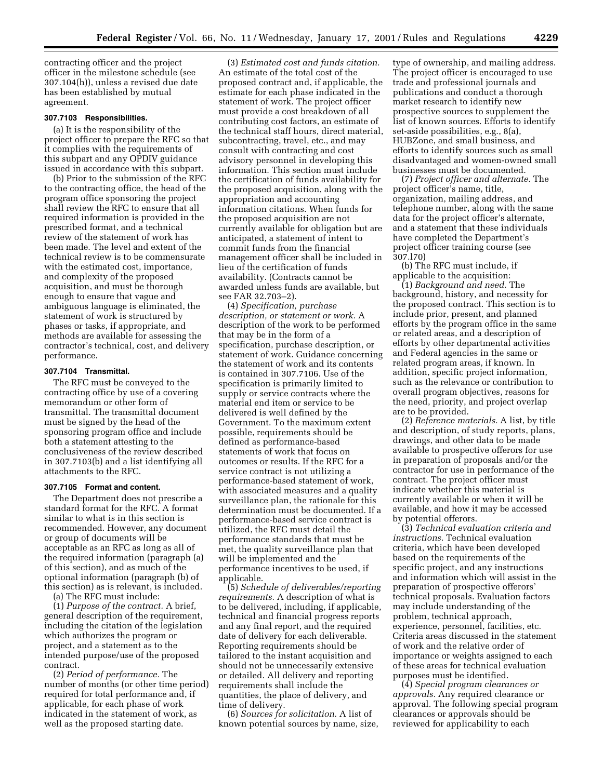contracting officer and the project officer in the milestone schedule (see 307.104(h)), unless a revised due date has been established by mutual agreement.

## **307.7103 Responsibilities.**

(a) It is the responsibility of the project officer to prepare the RFC so that it complies with the requirements of this subpart and any OPDIV guidance issued in accordance with this subpart.

(b) Prior to the submission of the RFC to the contracting office, the head of the program office sponsoring the project shall review the RFC to ensure that all required information is provided in the prescribed format, and a technical review of the statement of work has been made. The level and extent of the technical review is to be commensurate with the estimated cost, importance, and complexity of the proposed acquisition, and must be thorough enough to ensure that vague and ambiguous language is eliminated, the statement of work is structured by phases or tasks, if appropriate, and methods are available for assessing the contractor's technical, cost, and delivery performance.

## **307.7104 Transmittal.**

The RFC must be conveyed to the contracting office by use of a covering memorandum or other form of transmittal. The transmittal document must be signed by the head of the sponsoring program office and include both a statement attesting to the conclusiveness of the review described in 307.7103(b) and a list identifying all attachments to the RFC.

#### **307.7105 Format and content.**

The Department does not prescribe a standard format for the RFC. A format similar to what is in this section is recommended. However, any document or group of documents will be acceptable as an RFC as long as all of the required information (paragraph (a) of this section), and as much of the optional information (paragraph (b) of this section) as is relevant, is included.

(a) The RFC must include:

(1) *Purpose of the contract.* A brief, general description of the requirement, including the citation of the legislation which authorizes the program or project, and a statement as to the intended purpose/use of the proposed contract.

(2) *Period of performance.* The number of months (or other time period) required for total performance and, if applicable, for each phase of work indicated in the statement of work, as well as the proposed starting date.

(3) *Estimated cost and funds citation.* An estimate of the total cost of the proposed contract and, if applicable, the estimate for each phase indicated in the statement of work. The project officer must provide a cost breakdown of all contributing cost factors, an estimate of the technical staff hours, direct material, subcontracting, travel, etc., and may consult with contracting and cost advisory personnel in developing this information. This section must include the certification of funds availability for the proposed acquisition, along with the appropriation and accounting information citations. When funds for the proposed acquisition are not currently available for obligation but are anticipated, a statement of intent to commit funds from the financial management officer shall be included in lieu of the certification of funds availability. (Contracts cannot be awarded unless funds are available, but see FAR 32.703–2).

(4) *Specification, purchase description, or statement or work.* A description of the work to be performed that may be in the form of a specification, purchase description, or statement of work. Guidance concerning the statement of work and its contents is contained in 307.7106. Use of the specification is primarily limited to supply or service contracts where the material end item or service to be delivered is well defined by the Government. To the maximum extent possible, requirements should be defined as performance-based statements of work that focus on outcomes or results. If the RFC for a service contract is not utilizing a performance-based statement of work, with associated measures and a quality surveillance plan, the rationale for this determination must be documented. If a performance-based service contract is utilized, the RFC must detail the performance standards that must be met, the quality surveillance plan that will be implemented and the performance incentives to be used, if applicable.

(5) *Schedule of deliverables/reporting requirements.* A description of what is to be delivered, including, if applicable, technical and financial progress reports and any final report, and the required date of delivery for each deliverable. Reporting requirements should be tailored to the instant acquisition and should not be unnecessarily extensive or detailed. All delivery and reporting requirements shall include the quantities, the place of delivery, and time of delivery.

(6) *Sources for solicitation.* A list of known potential sources by name, size, type of ownership, and mailing address. The project officer is encouraged to use trade and professional journals and publications and conduct a thorough market research to identify new prospective sources to supplement the list of known sources. Efforts to identify set-aside possibilities, e.g., 8(a), HUBZone, and small business, and efforts to identify sources such as small disadvantaged and women-owned small businesses must be documented.

(7) *Project officer and alternate.* The project officer's name, title, organization, mailing address, and telephone number, along with the same data for the project officer's alternate, and a statement that these individuals have completed the Department's project officer training course (see 307.l70)

(b) The RFC must include, if applicable to the acquisition:

(1) *Background and need.* The background, history, and necessity for the proposed contract. This section is to include prior, present, and planned efforts by the program office in the same or related areas, and a description of efforts by other departmental activities and Federal agencies in the same or related program areas, if known. In addition, specific project information, such as the relevance or contribution to overall program objectives, reasons for the need, priority, and project overlap are to be provided.

(2) *Reference materials.* A list, by title and description, of study reports, plans, drawings, and other data to be made available to prospective offerors for use in preparation of proposals and/or the contractor for use in performance of the contract. The project officer must indicate whether this material is currently available or when it will be available, and how it may be accessed by potential offerors.

(3) *Technical evaluation criteria and instructions.* Technical evaluation criteria, which have been developed based on the requirements of the specific project, and any instructions and information which will assist in the preparation of prospective offerors' technical proposals. Evaluation factors may include understanding of the problem, technical approach, experience, personnel, facilities, etc. Criteria areas discussed in the statement of work and the relative order of importance or weights assigned to each of these areas for technical evaluation purposes must be identified.

(4) *Special program clearances or approvals.* Any required clearance or approval. The following special program clearances or approvals should be reviewed for applicability to each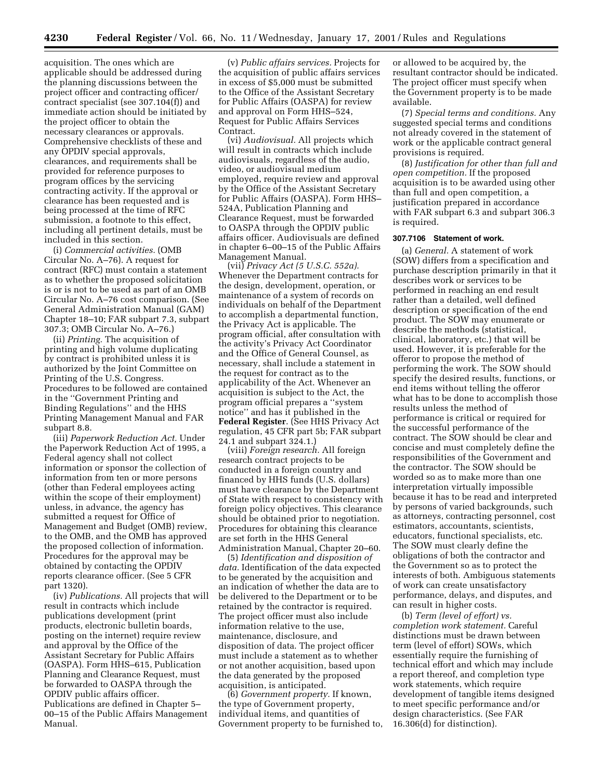acquisition. The ones which are applicable should be addressed during the planning discussions between the project officer and contracting officer/ contract specialist (see 307.104(f)) and immediate action should be initiated by the project officer to obtain the necessary clearances or approvals. Comprehensive checklists of these and any OPDIV special approvals, clearances, and requirements shall be provided for reference purposes to program offices by the servicing contracting activity. If the approval or clearance has been requested and is being processed at the time of RFC submission, a footnote to this effect, including all pertinent details, must be included in this section.

(i) *Commercial activities.* (OMB Circular No. A–76). A request for contract (RFC) must contain a statement as to whether the proposed solicitation is or is not to be used as part of an OMB Circular No. A–76 cost comparison. (See General Administration Manual (GAM) Chapter 18–10; FAR subpart 7.3, subpart 307.3; OMB Circular No. A–76.)

(ii) *Printing.* The acquisition of printing and high volume duplicating by contract is prohibited unless it is authorized by the Joint Committee on Printing of the U.S. Congress. Procedures to be followed are contained in the ''Government Printing and Binding Regulations'' and the HHS Printing Management Manual and FAR subpart 8.8.

(iii) *Paperwork Reduction Act.* Under the Paperwork Reduction Act of 1995, a Federal agency shall not collect information or sponsor the collection of information from ten or more persons (other than Federal employees acting within the scope of their employment) unless, in advance, the agency has submitted a request for Office of Management and Budget (OMB) review, to the OMB, and the OMB has approved the proposed collection of information. Procedures for the approval may be obtained by contacting the OPDIV reports clearance officer. (See 5 CFR part 1320).

(iv) *Publications.* All projects that will result in contracts which include publications development (print products, electronic bulletin boards, posting on the internet) require review and approval by the Office of the Assistant Secretary for Public Affairs (OASPA). Form HHS–615, Publication Planning and Clearance Request, must be forwarded to OASPA through the OPDIV public affairs officer. Publications are defined in Chapter 5– 00–15 of the Public Affairs Management Manual.

(v) *Public affairs services.* Projects for the acquisition of public affairs services in excess of \$5,000 must be submitted to the Office of the Assistant Secretary for Public Affairs (OASPA) for review and approval on Form HHS–524, Request for Public Affairs Services Contract.

(vi) *Audiovisual.* All projects which will result in contracts which include audiovisuals, regardless of the audio, video, or audiovisual medium employed, require review and approval by the Office of the Assistant Secretary for Public Affairs (OASPA). Form HHS– 524A, Publication Planning and Clearance Request, must be forwarded to OASPA through the OPDIV public affairs officer. Audiovisuals are defined in chapter 6–00–15 of the Public Affairs Management Manual.

(vii) *Privacy Act (5 U.S.C. 552a).* Whenever the Department contracts for the design, development, operation, or maintenance of a system of records on individuals on behalf of the Department to accomplish a departmental function, the Privacy Act is applicable. The program official, after consultation with the activity's Privacy Act Coordinator and the Office of General Counsel, as necessary, shall include a statement in the request for contract as to the applicability of the Act. Whenever an acquisition is subject to the Act, the program official prepares a ''system notice'' and has it published in the **Federal Register**. (See HHS Privacy Act regulation, 45 CFR part 5b; FAR subpart 24.1 and subpart 324.1.)

(viii) *Foreign research.* All foreign research contract projects to be conducted in a foreign country and financed by HHS funds (U.S. dollars) must have clearance by the Department of State with respect to consistency with foreign policy objectives. This clearance should be obtained prior to negotiation. Procedures for obtaining this clearance are set forth in the HHS General Administration Manual, Chapter 20–60.

(5) *Identification and disposition of data.* Identification of the data expected to be generated by the acquisition and an indication of whether the data are to be delivered to the Department or to be retained by the contractor is required. The project officer must also include information relative to the use, maintenance, disclosure, and disposition of data. The project officer must include a statement as to whether or not another acquisition, based upon the data generated by the proposed acquisition, is anticipated.

(6) *Government property.* If known, the type of Government property, individual items, and quantities of Government property to be furnished to, or allowed to be acquired by, the resultant contractor should be indicated. The project officer must specify when the Government property is to be made available.

(7) *Special terms and conditions.* Any suggested special terms and conditions not already covered in the statement of work or the applicable contract general provisions is required.

(8) *Justification for other than full and open competition.* If the proposed acquisition is to be awarded using other than full and open competition, a justification prepared in accordance with FAR subpart 6.3 and subpart 306.3 is required.

#### **307.7106 Statement of work.**

(a) *General.* A statement of work (SOW) differs from a specification and purchase description primarily in that it describes work or services to be performed in reaching an end result rather than a detailed, well defined description or specification of the end product. The SOW may enumerate or describe the methods (statistical, clinical, laboratory, etc.) that will be used. However, it is preferable for the offeror to propose the method of performing the work. The SOW should specify the desired results, functions, or end items without telling the offeror what has to be done to accomplish those results unless the method of performance is critical or required for the successful performance of the contract. The SOW should be clear and concise and must completely define the responsibilities of the Government and the contractor. The SOW should be worded so as to make more than one interpretation virtually impossible because it has to be read and interpreted by persons of varied backgrounds, such as attorneys, contracting personnel, cost estimators, accountants, scientists, educators, functional specialists, etc. The SOW must clearly define the obligations of both the contractor and the Government so as to protect the interests of both. Ambiguous statements of work can create unsatisfactory performance, delays, and disputes, and can result in higher costs.

(b) *Term (level of effort) vs. completion work statement.* Careful distinctions must be drawn between term (level of effort) SOWs, which essentially require the furnishing of technical effort and which may include a report thereof, and completion type work statements, which require development of tangible items designed to meet specific performance and/or design characteristics. (See FAR 16.306(d) for distinction).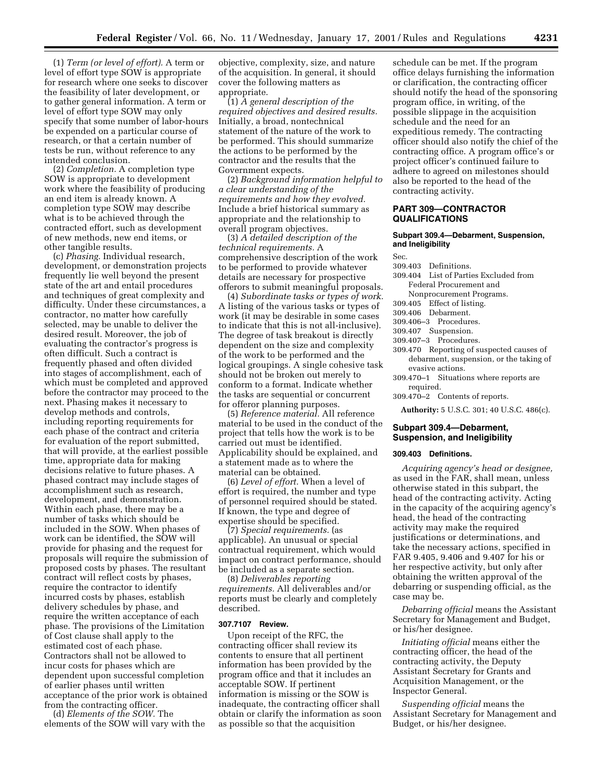(1) *Term (or level of effort).* A term or level of effort type SOW is appropriate for research where one seeks to discover the feasibility of later development, or to gather general information. A term or level of effort type SOW may only specify that some number of labor-hours be expended on a particular course of research, or that a certain number of tests be run, without reference to any intended conclusion.

(2) *Completion.* A completion type SOW is appropriate to development work where the feasibility of producing an end item is already known. A completion type SOW may describe what is to be achieved through the contracted effort, such as development of new methods, new end items, or other tangible results.

(c) *Phasing.* Individual research, development, or demonstration projects frequently lie well beyond the present state of the art and entail procedures and techniques of great complexity and difficulty. Under these circumstances, a contractor, no matter how carefully selected, may be unable to deliver the desired result. Moreover, the job of evaluating the contractor's progress is often difficult. Such a contract is frequently phased and often divided into stages of accomplishment, each of which must be completed and approved before the contractor may proceed to the next. Phasing makes it necessary to develop methods and controls, including reporting requirements for each phase of the contract and criteria for evaluation of the report submitted, that will provide, at the earliest possible time, appropriate data for making decisions relative to future phases. A phased contract may include stages of accomplishment such as research, development, and demonstration. Within each phase, there may be a number of tasks which should be included in the SOW. When phases of work can be identified, the SOW will provide for phasing and the request for proposals will require the submission of proposed costs by phases. The resultant contract will reflect costs by phases, require the contractor to identify incurred costs by phases, establish delivery schedules by phase, and require the written acceptance of each phase. The provisions of the Limitation of Cost clause shall apply to the estimated cost of each phase. Contractors shall not be allowed to incur costs for phases which are dependent upon successful completion of earlier phases until written acceptance of the prior work is obtained from the contracting officer.

(d) *Elements of the SOW.* The elements of the SOW will vary with the

objective, complexity, size, and nature of the acquisition. In general, it should cover the following matters as appropriate.

(1) *A general description of the required objectives and desired results.* Initially, a broad, nontechnical statement of the nature of the work to be performed. This should summarize the actions to be performed by the contractor and the results that the Government expects.

(2) *Background information helpful to a clear understanding of the requirements and how they evolved.* Include a brief historical summary as appropriate and the relationship to overall program objectives.

(3) *A detailed description of the technical requirements.* A comprehensive description of the work to be performed to provide whatever details are necessary for prospective offerors to submit meaningful proposals.

(4) *Subordinate tasks or types of work.* A listing of the various tasks or types of work (it may be desirable in some cases to indicate that this is not all-inclusive). The degree of task breakout is directly dependent on the size and complexity of the work to be performed and the logical groupings. A single cohesive task should not be broken out merely to conform to a format. Indicate whether the tasks are sequential or concurrent for offeror planning purposes.

(5) *Reference material.* All reference material to be used in the conduct of the project that tells how the work is to be carried out must be identified. Applicability should be explained, and a statement made as to where the material can be obtained.

(6) *Level of effort.* When a level of effort is required, the number and type of personnel required should be stated. If known, the type and degree of expertise should be specified.

(7) *Special requirements.* (as applicable). An unusual or special contractual requirement, which would impact on contract performance, should be included as a separate section.

(8) *Deliverables reporting requirements.* All deliverables and/or reports must be clearly and completely described.

#### **307.7107 Review.**

Upon receipt of the RFC, the contracting officer shall review its contents to ensure that all pertinent information has been provided by the program office and that it includes an acceptable SOW. If pertinent information is missing or the SOW is inadequate, the contracting officer shall obtain or clarify the information as soon as possible so that the acquisition

schedule can be met. If the program office delays furnishing the information or clarification, the contracting officer should notify the head of the sponsoring program office, in writing, of the possible slippage in the acquisition schedule and the need for an expeditious remedy. The contracting officer should also notify the chief of the contracting office. A program office's or project officer's continued failure to adhere to agreed on milestones should also be reported to the head of the contracting activity.

## **PART 309—CONTRACTOR QUALIFICATIONS**

## **Subpart 309.4—Debarment, Suspension, and Ineligibility**

309.403 Definitions.

Sec.

- 309.404 List of Parties Excluded from Federal Procurement and Nonprocurement Programs.
- 309.405 Effect of listing.
- 309.406 Debarment.
- 309.406–3 Procedures.
- 309.407 Suspension.
- 309.407–3 Procedures.
- 309.470 Reporting of suspected causes of debarment, suspension, or the taking of
- evasive actions. 309.470–1 Situations where reports are required.
- 309.470–2 Contents of reports.

**Authority:** 5 U.S.C. 301; 40 U.S.C. 486(c).

## **Subpart 309.4—Debarment, Suspension, and Ineligibility**

## **309.403 Definitions.**

*Acquiring agency's head or designee,* as used in the FAR, shall mean, unless otherwise stated in this subpart, the head of the contracting activity. Acting in the capacity of the acquiring agency's head, the head of the contracting activity may make the required justifications or determinations, and take the necessary actions, specified in FAR 9.405, 9.406 and 9.407 for his or her respective activity, but only after obtaining the written approval of the debarring or suspending official, as the case may be.

*Debarring official* means the Assistant Secretary for Management and Budget, or his/her designee.

*Initiating official* means either the contracting officer, the head of the contracting activity, the Deputy Assistant Secretary for Grants and Acquisition Management, or the Inspector General.

*Suspending official* means the Assistant Secretary for Management and Budget, or his/her designee.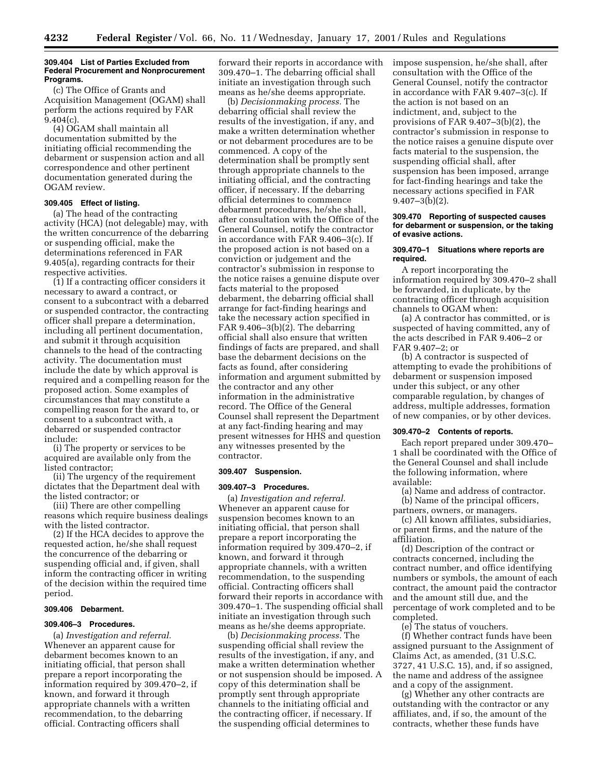#### **309.404 List of Parties Excluded from Federal Procurement and Nonprocurement Programs.**

(c) The Office of Grants and Acquisition Management (OGAM) shall perform the actions required by FAR  $9.404(c)$ .

(4) OGAM shall maintain all documentation submitted by the initiating official recommending the debarment or suspension action and all correspondence and other pertinent documentation generated during the OGAM review.

## **309.405 Effect of listing.**

(a) The head of the contracting activity (HCA) (not delegable) may, with the written concurrence of the debarring or suspending official, make the determinations referenced in FAR 9.405(a), regarding contracts for their respective activities.

(1) If a contracting officer considers it necessary to award a contract, or consent to a subcontract with a debarred or suspended contractor, the contracting officer shall prepare a determination, including all pertinent documentation, and submit it through acquisition channels to the head of the contracting activity. The documentation must include the date by which approval is required and a compelling reason for the proposed action. Some examples of circumstances that may constitute a compelling reason for the award to, or consent to a subcontract with, a debarred or suspended contractor include:

(i) The property or services to be acquired are available only from the listed contractor;

(ii) The urgency of the requirement dictates that the Department deal with the listed contractor; or

(iii) There are other compelling reasons which require business dealings with the listed contractor.

(2) If the HCA decides to approve the requested action, he/she shall request the concurrence of the debarring or suspending official and, if given, shall inform the contracting officer in writing of the decision within the required time period.

## **309.406 Debarment.**

#### **309.406–3 Procedures.**

(a) *Investigation and referral.* Whenever an apparent cause for debarment becomes known to an initiating official, that person shall prepare a report incorporating the information required by 309.470–2, if known, and forward it through appropriate channels with a written recommendation, to the debarring official. Contracting officers shall

forward their reports in accordance with 309.470–1. The debarring official shall initiate an investigation through such means as he/she deems appropriate.

(b) *Decisionmaking process.* The debarring official shall review the results of the investigation, if any, and make a written determination whether or not debarment procedures are to be commenced. A copy of the determination shall be promptly sent through appropriate channels to the initiating official, and the contracting officer, if necessary. If the debarring official determines to commence debarment procedures, he/she shall, after consultation with the Office of the General Counsel, notify the contractor in accordance with FAR 9.406–3(c). If the proposed action is not based on a conviction or judgement and the contractor's submission in response to the notice raises a genuine dispute over facts material to the proposed debarment, the debarring official shall arrange for fact-finding hearings and take the necessary action specified in FAR 9.406–3(b)(2). The debarring official shall also ensure that written findings of facts are prepared, and shall base the debarment decisions on the facts as found, after considering information and argument submitted by the contractor and any other information in the administrative record. The Office of the General Counsel shall represent the Department at any fact-finding hearing and may present witnesses for HHS and question any witnesses presented by the contractor.

#### **309.407 Suspension.**

## **309.407–3 Procedures.**

(a) *Investigation and referral.* Whenever an apparent cause for suspension becomes known to an initiating official, that person shall prepare a report incorporating the information required by 309.470–2, if known, and forward it through appropriate channels, with a written recommendation, to the suspending official. Contracting officers shall forward their reports in accordance with 309.470–1. The suspending official shall initiate an investigation through such means as he/she deems appropriate.

(b) *Decisionmaking process.* The suspending official shall review the results of the investigation, if any, and make a written determination whether or not suspension should be imposed. A copy of this determination shall be promptly sent through appropriate channels to the initiating official and the contracting officer, if necessary. If the suspending official determines to

impose suspension, he/she shall, after consultation with the Office of the General Counsel, notify the contractor in accordance with FAR 9.407–3(c). If the action is not based on an indictment, and, subject to the provisions of FAR 9.407–3(b)(2), the contractor's submission in response to the notice raises a genuine dispute over facts material to the suspension, the suspending official shall, after suspension has been imposed, arrange for fact-finding hearings and take the necessary actions specified in FAR  $9.407 - 3(b)(2)$ .

#### **309.470 Reporting of suspected causes for debarment or suspension, or the taking of evasive actions.**

#### **309.470–1 Situations where reports are required.**

A report incorporating the information required by 309.470–2 shall be forwarded, in duplicate, by the contracting officer through acquisition channels to OGAM when:

(a) A contractor has committed, or is suspected of having committed, any of the acts described in FAR 9.406–2 or FAR 9.407–2; or

(b) A contractor is suspected of attempting to evade the prohibitions of debarment or suspension imposed under this subject, or any other comparable regulation, by changes of address, multiple addresses, formation of new companies, or by other devices.

## **309.470–2 Contents of reports.**

Each report prepared under 309.470– 1 shall be coordinated with the Office of the General Counsel and shall include the following information, where available:

(a) Name and address of contractor. (b) Name of the principal officers, partners, owners, or managers.

(c) All known affiliates, subsidiaries, or parent firms, and the nature of the affiliation.

(d) Description of the contract or contracts concerned, including the contract number, and office identifying numbers or symbols, the amount of each contract, the amount paid the contractor and the amount still due, and the percentage of work completed and to be completed.

(e) The status of vouchers.

(f) Whether contract funds have been assigned pursuant to the Assignment of Claims Act, as amended, (31 U.S.C. 3727, 41 U.S.C. 15), and, if so assigned, the name and address of the assignee and a copy of the assignment.

(g) Whether any other contracts are outstanding with the contractor or any affiliates, and, if so, the amount of the contracts, whether these funds have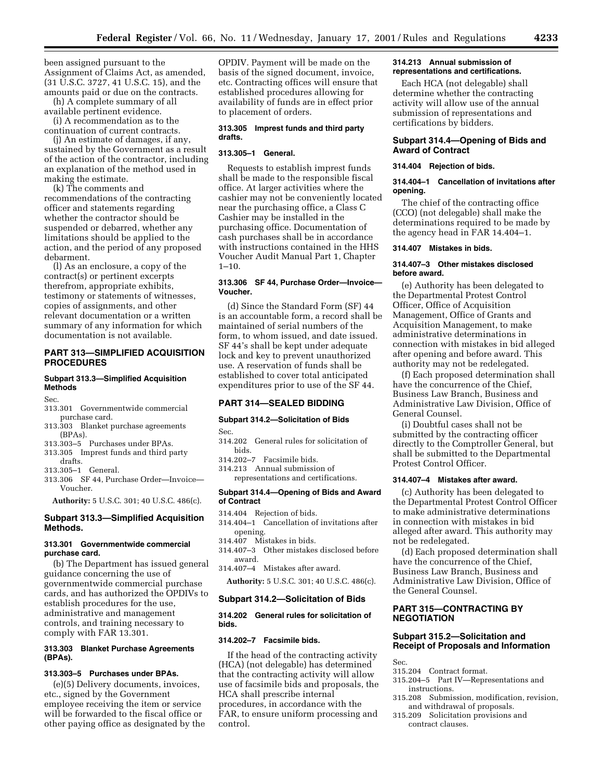been assigned pursuant to the Assignment of Claims Act, as amended, (31 U.S.C. 3727, 41 U.S.C. 15), and the amounts paid or due on the contracts.

(h) A complete summary of all available pertinent evidence.

(i) A recommendation as to the continuation of current contracts.

(j) An estimate of damages, if any, sustained by the Government as a result of the action of the contractor, including an explanation of the method used in making the estimate.

(k) The comments and recommendations of the contracting officer and statements regarding whether the contractor should be suspended or debarred, whether any limitations should be applied to the action, and the period of any proposed debarment.

(l) As an enclosure, a copy of the contract(s) or pertinent excerpts therefrom, appropriate exhibits, testimony or statements of witnesses, copies of assignments, and other relevant documentation or a written summary of any information for which documentation is not available.

## **PART 313—SIMPLIFIED ACQUISITION PROCEDURES**

## **Subpart 313.3—Simplified Acquisition Methods**

Sec.

- 313.301 Governmentwide commercial purchase card.
- 313.303 Blanket purchase agreements (BPAs).
- 313.303–5 Purchases under BPAs.
- 313.305 Imprest funds and third party
- drafts. 313.305–1 General.
- 313.306 SF 44, Purchase Order—Invoice— Voucher.

**Authority:** 5 U.S.C. 301; 40 U.S.C. 486(c).

## **Subpart 313.3—Simplified Acquisition Methods.**

## **313.301 Governmentwide commercial purchase card.**

(b) The Department has issued general guidance concerning the use of governmentwide commercial purchase cards, and has authorized the OPDIVs to establish procedures for the use, administrative and management controls, and training necessary to comply with FAR 13.301.

## **313.303 Blanket Purchase Agreements (BPAs).**

## **313.303–5 Purchases under BPAs.**

(e)(5) Delivery documents, invoices, etc., signed by the Government employee receiving the item or service will be forwarded to the fiscal office or other paying office as designated by the OPDIV. Payment will be made on the basis of the signed document, invoice, etc. Contracting offices will ensure that established procedures allowing for availability of funds are in effect prior to placement of orders.

## **313.305 Imprest funds and third party drafts.**

## **313.305–1 General.**

Requests to establish imprest funds shall be made to the responsible fiscal office. At larger activities where the cashier may not be conveniently located near the purchasing office, a Class C Cashier may be installed in the purchasing office. Documentation of cash purchases shall be in accordance with instructions contained in the HHS Voucher Audit Manual Part 1, Chapter  $1 - 10$ .

## **313.306 SF 44, Purchase Order—Invoice— Voucher.**

(d) Since the Standard Form (SF) 44 is an accountable form, a record shall be maintained of serial numbers of the form, to whom issued, and date issued. SF 44's shall be kept under adequate lock and key to prevent unauthorized use. A reservation of funds shall be established to cover total anticipated expenditures prior to use of the SF 44.

### **PART 314—SEALED BIDDING**

## **Subpart 314.2—Solicitation of Bids**

Sec.

- 314.202 General rules for solicitation of bids.
- 314.202–7 Facsimile bids.
- 314.213 Annual submission of representations and certifications.

#### **Subpart 314.4—Opening of Bids and Award of Contract**

- 314.404 Rejection of bids.
- 314.404–1 Cancellation of invitations after opening.
- 314.407 Mistakes in bids.
- 314.407–3 Other mistakes disclosed before
- award. 314.407–4 Mistakes after award.

**Authority:** 5 U.S.C. 301; 40 U.S.C. 486(c).

#### **Subpart 314.2—Solicitation of Bids**

## **314.202 General rules for solicitation of bids.**

#### **314.202–7 Facsimile bids.**

If the head of the contracting activity (HCA) (not delegable) has determined that the contracting activity will allow use of facsimile bids and proposals, the HCA shall prescribe internal procedures, in accordance with the FAR, to ensure uniform processing and control.

#### **314.213 Annual submission of representations and certifications.**

Each HCA (not delegable) shall determine whether the contracting activity will allow use of the annual submission of representations and certifications by bidders.

## **Subpart 314.4—Opening of Bids and Award of Contract**

#### **314.404 Rejection of bids.**

#### **314.404–1 Cancellation of invitations after opening.**

The chief of the contracting office (CCO) (not delegable) shall make the determinations required to be made by the agency head in FAR 14.404–1.

## **314.407 Mistakes in bids.**

#### **314.407–3 Other mistakes disclosed before award.**

(e) Authority has been delegated to the Departmental Protest Control Officer, Office of Acquisition Management, Office of Grants and Acquisition Management, to make administrative determinations in connection with mistakes in bid alleged after opening and before award. This authority may not be redelegated.

(f) Each proposed determination shall have the concurrence of the Chief, Business Law Branch, Business and Administrative Law Division, Office of General Counsel.

(i) Doubtful cases shall not be submitted by the contracting officer directly to the Comptroller General, but shall be submitted to the Departmental Protest Control Officer.

#### **314.407–4 Mistakes after award.**

(c) Authority has been delegated to the Departmental Protest Control Officer to make administrative determinations in connection with mistakes in bid alleged after award. This authority may not be redelegated.

(d) Each proposed determination shall have the concurrence of the Chief, Business Law Branch, Business and Administrative Law Division, Office of the General Counsel.

## **PART 315—CONTRACTING BY NEGOTIATION**

## **Subpart 315.2—Solicitation and Receipt of Proposals and Information**

- Sec.
- 315.204 Contract format.
- 315.204–5 Part IV—Representations and instructions.
- 315.208 Submission, modification, revision, and withdrawal of proposals.
- 315.209 Solicitation provisions and contract clauses.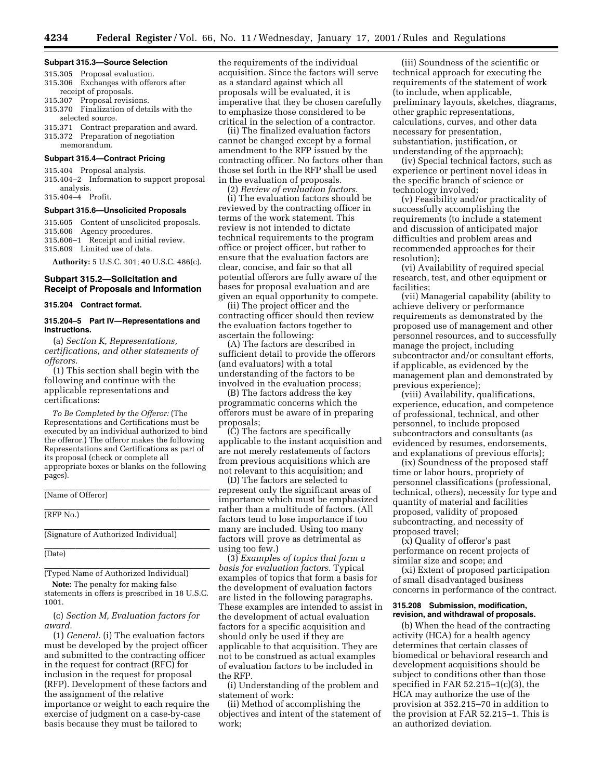#### **Subpart 315.3—Source Selection**

- 315.305 Proposal evaluation. 315.306 Exchanges with offerors after
- receipt of proposals. 315.307 Proposal revisions.
- 315.370 Finalization of details with the selected source.
- 315.371 Contract preparation and award. 315.372 Preparation of negotiation
- memorandum.

## **Subpart 315.4—Contract Pricing**

315.404 Proposal analysis.

315.404–2 Information to support proposal analysis. 315.404–4 Profit.

#### **Subpart 315.6—Unsolicited Proposals**

315.605 Content of unsolicited proposals.

- 315.606 Agency procedures.
- 315.606–1 Receipt and initial review.
- 315.609 Limited use of data.

**Authority:** 5 U.S.C. 301; 40 U.S.C. 486(c).

## **Subpart 315.2—Solicitation and Receipt of Proposals and Information**

## **315.204 Contract format.**

## **315.204–5 Part IV—Representations and instructions.**

(a) *Section K, Representations, certifications, and other statements of offerors.*

(1) This section shall begin with the following and continue with the applicable representations and certifications:

*To Be Completed by the Offeror:* (The Representations and Certifications must be executed by an individual authorized to bind the offeror.) The offeror makes the following Representations and Certifications as part of its proposal (check or complete all appropriate boxes or blanks on the following pages).

(Name of Offeror)

## (RFP No.)

(Signature of Authorized Individual)

(Date)

(Typed Name of Authorized Individual)

**Note:** The penalty for making false statements in offers is prescribed in 18 U.S.C. 1001.

(c) *Section M, Evaluation factors for award.*

(1) *General.* (i) The evaluation factors must be developed by the project officer and submitted to the contracting officer in the request for contract (RFC) for inclusion in the request for proposal (RFP). Development of these factors and the assignment of the relative importance or weight to each require the exercise of judgment on a case-by-case basis because they must be tailored to

the requirements of the individual acquisition. Since the factors will serve as a standard against which all proposals will be evaluated, it is imperative that they be chosen carefully to emphasize those considered to be critical in the selection of a contractor.

(ii) The finalized evaluation factors cannot be changed except by a formal amendment to the RFP issued by the contracting officer. No factors other than those set forth in the RFP shall be used in the evaluation of proposals.

(2) *Review of evaluation factors.*

(i) The evaluation factors should be reviewed by the contracting officer in terms of the work statement. This review is not intended to dictate technical requirements to the program office or project officer, but rather to ensure that the evaluation factors are clear, concise, and fair so that all potential offerors are fully aware of the bases for proposal evaluation and are given an equal opportunity to compete.

(ii) The project officer and the contracting officer should then review the evaluation factors together to ascertain the following:

(A) The factors are described in sufficient detail to provide the offerors (and evaluators) with a total understanding of the factors to be involved in the evaluation process;

(B) The factors address the key programmatic concerns which the offerors must be aware of in preparing proposals;

(C) The factors are specifically applicable to the instant acquisition and are not merely restatements of factors from previous acquisitions which are not relevant to this acquisition; and

(D) The factors are selected to represent only the significant areas of importance which must be emphasized rather than a multitude of factors. (All factors tend to lose importance if too many are included. Using too many factors will prove as detrimental as using too few.)

(3) *Examples of topics that form a basis for evaluation factors.* Typical examples of topics that form a basis for the development of evaluation factors are listed in the following paragraphs. These examples are intended to assist in the development of actual evaluation factors for a specific acquisition and should only be used if they are applicable to that acquisition. They are not to be construed as actual examples of evaluation factors to be included in the RFP.

(i) Understanding of the problem and statement of work:

(ii) Method of accomplishing the objectives and intent of the statement of work;

(iii) Soundness of the scientific or technical approach for executing the requirements of the statement of work (to include, when applicable, preliminary layouts, sketches, diagrams, other graphic representations, calculations, curves, and other data necessary for presentation, substantiation, justification, or understanding of the approach);

(iv) Special technical factors, such as experience or pertinent novel ideas in the specific branch of science or technology involved;

(v) Feasibility and/or practicality of successfully accomplishing the requirements (to include a statement and discussion of anticipated major difficulties and problem areas and recommended approaches for their resolution);

(vi) Availability of required special research, test, and other equipment or facilities;

(vii) Managerial capability (ability to achieve delivery or performance requirements as demonstrated by the proposed use of management and other personnel resources, and to successfully manage the project, including subcontractor and/or consultant efforts, if applicable, as evidenced by the management plan and demonstrated by previous experience);

(viii) Availability, qualifications, experience, education, and competence of professional, technical, and other personnel, to include proposed subcontractors and consultants (as evidenced by resumes, endorsements, and explanations of previous efforts);

(ix) Soundness of the proposed staff time or labor hours, propriety of personnel classifications (professional, technical, others), necessity for type and quantity of material and facilities proposed, validity of proposed subcontracting, and necessity of proposed travel;

(x) Quality of offeror's past performance on recent projects of similar size and scope; and

(xi) Extent of proposed participation of small disadvantaged business concerns in performance of the contract.

#### **315.208 Submission, modification, revision, and withdrawal of proposals.**

(b) When the head of the contracting activity (HCA) for a health agency determines that certain classes of biomedical or behavioral research and development acquisitions should be subject to conditions other than those specified in FAR  $52.215-1(c)(3)$ , the HCA may authorize the use of the provision at 352.215–70 in addition to the provision at FAR 52.215–1. This is an authorized deviation.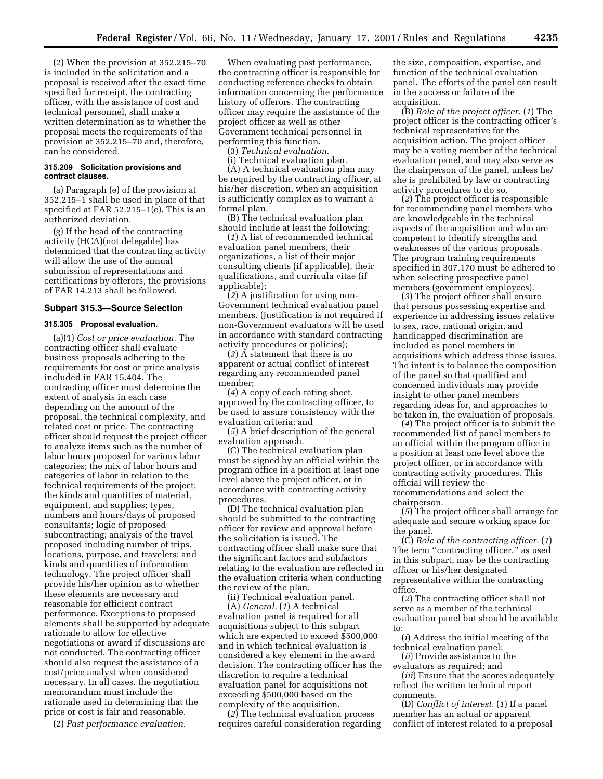(2) When the provision at 352.215–70 is included in the solicitation and a proposal is received after the exact time specified for receipt, the contracting officer, with the assistance of cost and technical personnel, shall make a written determination as to whether the proposal meets the requirements of the provision at 352.215–70 and, therefore, can be considered.

#### **315.209 Solicitation provisions and contract clauses.**

(a) Paragraph (e) of the provision at 352.215–1 shall be used in place of that specified at FAR 52.215–1(e). This is an authorized deviation.

(g) If the head of the contracting activity (HCA)(not delegable) has determined that the contracting activity will allow the use of the annual submission of representations and certifications by offerors, the provisions of FAR 14.213 shall be followed.

#### **Subpart 315.3—Source Selection**

#### **315.305 Proposal evaluation.**

(a)(1) *Cost or price evaluation.* The contracting officer shall evaluate business proposals adhering to the requirements for cost or price analysis included in FAR 15.404. The contracting officer must determine the extent of analysis in each case depending on the amount of the proposal, the technical complexity, and related cost or price. The contracting officer should request the project officer to analyze items such as the number of labor hours proposed for various labor categories; the mix of labor hours and categories of labor in relation to the technical requirements of the project; the kinds and quantities of material, equipment, and supplies; types, numbers and hours/days of proposed consultants; logic of proposed subcontracting; analysis of the travel proposed including number of trips, locations, purpose, and travelers; and kinds and quantities of information technology. The project officer shall provide his/her opinion as to whether these elements are necessary and reasonable for efficient contract performance. Exceptions to proposed elements shall be supported by adequate rationale to allow for effective negotiations or award if discussions are not conducted. The contracting officer should also request the assistance of a cost/price analyst when considered necessary. In all cases, the negotiation memorandum must include the rationale used in determining that the price or cost is fair and reasonable.

(2) *Past performance evaluation.*

When evaluating past performance, the contracting officer is responsible for conducting reference checks to obtain information concerning the performance history of offerors. The contracting officer may require the assistance of the project officer as well as other Government technical personnel in performing this function.

(3) *Technical evaluation.*

(i) Technical evaluation plan.

(A) A technical evaluation plan may be required by the contracting officer, at his/her discretion, when an acquisition is sufficiently complex as to warrant a formal plan.

(B) The technical evaluation plan should include at least the following:

(*1*) A list of recommended technical evaluation panel members, their organizations, a list of their major consulting clients (if applicable), their qualifications, and curricula vitae (if applicable);

(*2*) A justification for using non-Government technical evaluation panel members. (Justification is not required if non-Government evaluators will be used in accordance with standard contracting activity procedures or policies);

(*3*) A statement that there is no apparent or actual conflict of interest regarding any recommended panel member;

(*4*) A copy of each rating sheet, approved by the contracting officer, to be used to assure consistency with the evaluation criteria; and

(*5*) A brief description of the general evaluation approach.

(C) The technical evaluation plan must be signed by an official within the program office in a position at least one level above the project officer, or in accordance with contracting activity procedures.

(D) The technical evaluation plan should be submitted to the contracting officer for review and approval before the solicitation is issued. The contracting officer shall make sure that the significant factors and subfactors relating to the evaluation are reflected in the evaluation criteria when conducting the review of the plan.

(ii) Technical evaluation panel.

(A) *General.* (*1*) A technical evaluation panel is required for all acquisitions subject to this subpart which are expected to exceed \$500,000 and in which technical evaluation is considered a key element in the award decision. The contracting officer has the discretion to require a technical evaluation panel for acquisitions not exceeding \$500,000 based on the complexity of the acquisition.

(*2*) The technical evaluation process requires careful consideration regarding

the size, composition, expertise, and function of the technical evaluation panel. The efforts of the panel can result in the success or failure of the acquisition.

(B) *Role of the project officer.* (*1*) The project officer is the contracting officer's technical representative for the acquisition action. The project officer may be a voting member of the technical evaluation panel, and may also serve as the chairperson of the panel, unless he/ she is prohibited by law or contracting activity procedures to do so.

(*2*) The project officer is responsible for recommending panel members who are knowledgeable in the technical aspects of the acquisition and who are competent to identify strengths and weaknesses of the various proposals. The program training requirements specified in 307.170 must be adhered to when selecting prospective panel members (government employees).

(*3*) The project officer shall ensure that persons possessing expertise and experience in addressing issues relative to sex, race, national origin, and handicapped discrimination are included as panel members in acquisitions which address those issues. The intent is to balance the composition of the panel so that qualified and concerned individuals may provide insight to other panel members regarding ideas for, and approaches to be taken in, the evaluation of proposals.

(*4*) The project officer is to submit the recommended list of panel members to an official within the program office in a position at least one level above the project officer, or in accordance with contracting activity procedures. This official will review the recommendations and select the chairperson.

(*5*) The project officer shall arrange for adequate and secure working space for the panel.

(C) *Role of the contracting officer.* (*1*) The term ''contracting officer,'' as used in this subpart, may be the contracting officer or his/her designated representative within the contracting office.

(*2*) The contracting officer shall not serve as a member of the technical evaluation panel but should be available to:

(*i*) Address the initial meeting of the technical evaluation panel;

(*ii*) Provide assistance to the evaluators as required; and

(*iii*) Ensure that the scores adequately reflect the written technical report comments.

(D) *Conflict of interest.* (*1*) If a panel member has an actual or apparent conflict of interest related to a proposal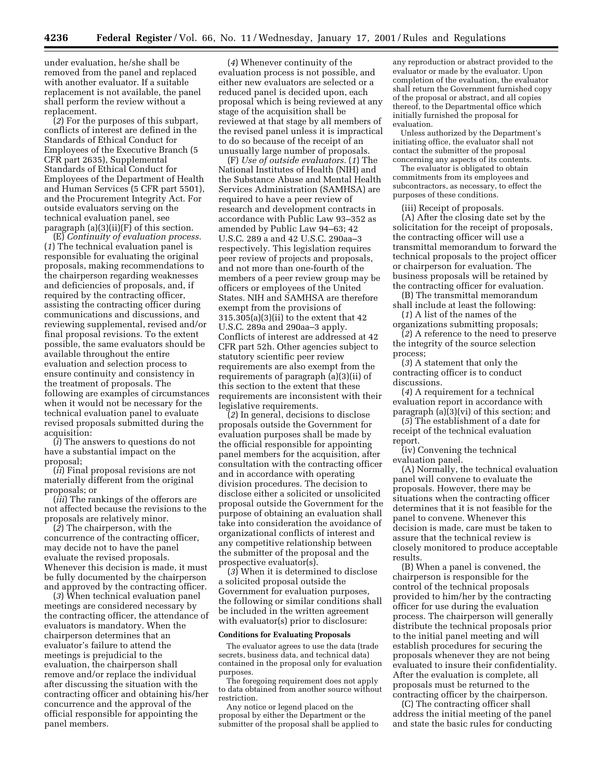under evaluation, he/she shall be removed from the panel and replaced with another evaluator. If a suitable replacement is not available, the panel shall perform the review without a replacement.

(*2*) For the purposes of this subpart, conflicts of interest are defined in the Standards of Ethical Conduct for Employees of the Executive Branch (5 CFR part 2635), Supplemental Standards of Ethical Conduct for Employees of the Department of Health and Human Services (5 CFR part 5501), and the Procurement Integrity Act. For outside evaluators serving on the technical evaluation panel, see paragraph  $(a)(3)(ii)(F)$  of this section.

(E) *Continuity of evaluation process.* (*1*) The technical evaluation panel is responsible for evaluating the original proposals, making recommendations to the chairperson regarding weaknesses and deficiencies of proposals, and, if required by the contracting officer, assisting the contracting officer during communications and discussions, and reviewing supplemental, revised and/or final proposal revisions. To the extent possible, the same evaluators should be available throughout the entire evaluation and selection process to ensure continuity and consistency in the treatment of proposals. The following are examples of circumstances when it would not be necessary for the technical evaluation panel to evaluate revised proposals submitted during the acquisition:

(*i*) The answers to questions do not have a substantial impact on the proposal;

(*ii*) Final proposal revisions are not materially different from the original proposals; or

(*iii*) The rankings of the offerors are not affected because the revisions to the proposals are relatively minor.

(*2*) The chairperson, with the concurrence of the contracting officer, may decide not to have the panel evaluate the revised proposals. Whenever this decision is made, it must be fully documented by the chairperson and approved by the contracting officer.

(*3*) When technical evaluation panel meetings are considered necessary by the contracting officer, the attendance of evaluators is mandatory. When the chairperson determines that an evaluator's failure to attend the meetings is prejudicial to the evaluation, the chairperson shall remove and/or replace the individual after discussing the situation with the contracting officer and obtaining his/her concurrence and the approval of the official responsible for appointing the panel members.

(*4*) Whenever continuity of the evaluation process is not possible, and either new evaluators are selected or a reduced panel is decided upon, each proposal which is being reviewed at any stage of the acquisition shall be reviewed at that stage by all members of the revised panel unless it is impractical to do so because of the receipt of an unusually large number of proposals.

(F) *Use of outside evaluators.* (*1*) The National Institutes of Health (NIH) and the Substance Abuse and Mental Health Services Administration (SAMHSA) are required to have a peer review of research and development contracts in accordance with Public Law 93–352 as amended by Public Law 94–63; 42 U.S.C. 289 a and 42 U.S.C. 290aa–3 respectively. This legislation requires peer review of projects and proposals, and not more than one-fourth of the members of a peer review group may be officers or employees of the United States. NIH and SAMHSA are therefore exempt from the provisions of 315.305(a)(3)(ii) to the extent that 42 U.S.C. 289a and 290aa–3 apply. Conflicts of interest are addressed at 42 CFR part 52h. Other agencies subject to statutory scientific peer review requirements are also exempt from the requirements of paragraph (a)(3)(ii) of this section to the extent that these requirements are inconsistent with their legislative requirements.

(*2*) In general, decisions to disclose proposals outside the Government for evaluation purposes shall be made by the official responsible for appointing panel members for the acquisition, after consultation with the contracting officer and in accordance with operating division procedures. The decision to disclose either a solicited or unsolicited proposal outside the Government for the purpose of obtaining an evaluation shall take into consideration the avoidance of organizational conflicts of interest and any competitive relationship between the submitter of the proposal and the prospective evaluator(s).

(*3*) When it is determined to disclose a solicited proposal outside the Government for evaluation purposes, the following or similar conditions shall be included in the written agreement with evaluator(s) prior to disclosure:

#### **Conditions for Evaluating Proposals**

The evaluator agrees to use the data (trade secrets, business data, and technical data) contained in the proposal only for evaluation purposes.

The foregoing requirement does not apply to data obtained from another source without restriction.

Any notice or legend placed on the proposal by either the Department or the submitter of the proposal shall be applied to any reproduction or abstract provided to the evaluator or made by the evaluator. Upon completion of the evaluation, the evaluator shall return the Government furnished copy of the proposal or abstract, and all copies thereof, to the Departmental office which initially furnished the proposal for evaluation.

Unless authorized by the Department's initiating office, the evaluator shall not contact the submitter of the proposal concerning any aspects of its contents.

The evaluator is obligated to obtain commitments from its employees and subcontractors, as necessary, to effect the purposes of these conditions.

(iii) Receipt of proposals.

(A) After the closing date set by the solicitation for the receipt of proposals, the contracting officer will use a transmittal memorandum to forward the technical proposals to the project officer or chairperson for evaluation. The business proposals will be retained by the contracting officer for evaluation.

(B) The transmittal memorandum shall include at least the following:

(*1*) A list of the names of the organizations submitting proposals;

(*2*) A reference to the need to preserve the integrity of the source selection process;

(*3*) A statement that only the contracting officer is to conduct discussions.

(*4*) A requirement for a technical evaluation report in accordance with paragraph (a)(3)(vi) of this section; and

(*5*) The establishment of a date for receipt of the technical evaluation report.

(iv) Convening the technical evaluation panel.

(A) Normally, the technical evaluation panel will convene to evaluate the proposals. However, there may be situations when the contracting officer determines that it is not feasible for the panel to convene. Whenever this decision is made, care must be taken to assure that the technical review is closely monitored to produce acceptable results.

(B) When a panel is convened, the chairperson is responsible for the control of the technical proposals provided to him/her by the contracting officer for use during the evaluation process. The chairperson will generally distribute the technical proposals prior to the initial panel meeting and will establish procedures for securing the proposals whenever they are not being evaluated to insure their confidentiality. After the evaluation is complete, all proposals must be returned to the contracting officer by the chairperson.

(C) The contracting officer shall address the initial meeting of the panel and state the basic rules for conducting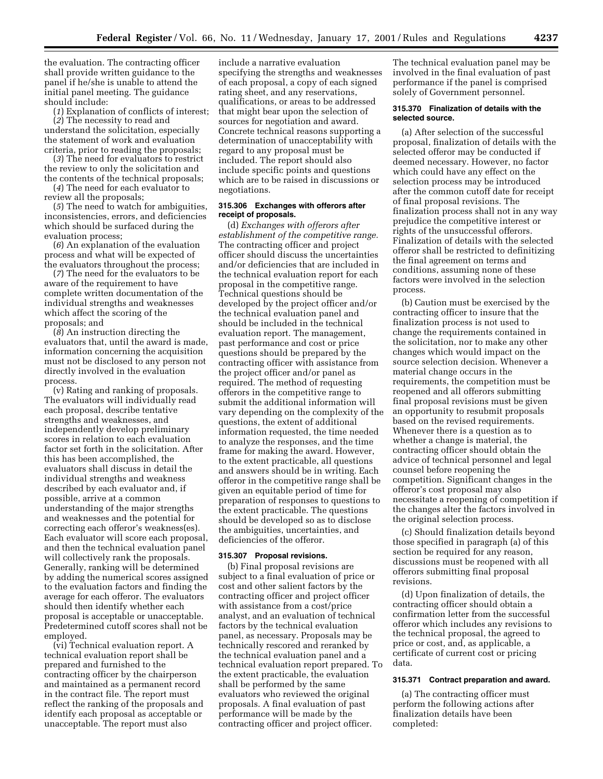the evaluation. The contracting officer shall provide written guidance to the panel if he/she is unable to attend the initial panel meeting. The guidance should include:

(*1*) Explanation of conflicts of interest; (*2*) The necessity to read and understand the solicitation, especially the statement of work and evaluation criteria, prior to reading the proposals;

(*3*) The need for evaluators to restrict the review to only the solicitation and the contents of the technical proposals;

(*4*) The need for each evaluator to review all the proposals;

(*5*) The need to watch for ambiguities, inconsistencies, errors, and deficiencies which should be surfaced during the evaluation process;

(*6*) An explanation of the evaluation process and what will be expected of the evaluators throughout the process;

(*7*) The need for the evaluators to be aware of the requirement to have complete written documentation of the individual strengths and weaknesses which affect the scoring of the proposals; and

(*8*) An instruction directing the evaluators that, until the award is made, information concerning the acquisition must not be disclosed to any person not directly involved in the evaluation process.

(v) Rating and ranking of proposals. The evaluators will individually read each proposal, describe tentative strengths and weaknesses, and independently develop preliminary scores in relation to each evaluation factor set forth in the solicitation. After this has been accomplished, the evaluators shall discuss in detail the individual strengths and weakness described by each evaluator and, if possible, arrive at a common understanding of the major strengths and weaknesses and the potential for correcting each offeror's weakness(es). Each evaluator will score each proposal, and then the technical evaluation panel will collectively rank the proposals. Generally, ranking will be determined by adding the numerical scores assigned to the evaluation factors and finding the average for each offeror. The evaluators should then identify whether each proposal is acceptable or unacceptable. Predetermined cutoff scores shall not be employed.

(vi) Technical evaluation report. A technical evaluation report shall be prepared and furnished to the contracting officer by the chairperson and maintained as a permanent record in the contract file. The report must reflect the ranking of the proposals and identify each proposal as acceptable or unacceptable. The report must also

include a narrative evaluation specifying the strengths and weaknesses of each proposal, a copy of each signed rating sheet, and any reservations, qualifications, or areas to be addressed that might bear upon the selection of sources for negotiation and award. Concrete technical reasons supporting a determination of unacceptability with regard to any proposal must be included. The report should also include specific points and questions which are to be raised in discussions or negotiations.

## **315.306 Exchanges with offerors after receipt of proposals.**

(d) *Exchanges with offerors after establishment of the competitive range.* The contracting officer and project officer should discuss the uncertainties and/or deficiencies that are included in the technical evaluation report for each proposal in the competitive range. Technical questions should be developed by the project officer and/or the technical evaluation panel and should be included in the technical evaluation report. The management, past performance and cost or price questions should be prepared by the contracting officer with assistance from the project officer and/or panel as required. The method of requesting offerors in the competitive range to submit the additional information will vary depending on the complexity of the questions, the extent of additional information requested, the time needed to analyze the responses, and the time frame for making the award. However, to the extent practicable, all questions and answers should be in writing. Each offeror in the competitive range shall be given an equitable period of time for preparation of responses to questions to the extent practicable. The questions should be developed so as to disclose the ambiguities, uncertainties, and deficiencies of the offeror.

#### **315.307 Proposal revisions.**

(b) Final proposal revisions are subject to a final evaluation of price or cost and other salient factors by the contracting officer and project officer with assistance from a cost/price analyst, and an evaluation of technical factors by the technical evaluation panel, as necessary. Proposals may be technically rescored and reranked by the technical evaluation panel and a technical evaluation report prepared. To the extent practicable, the evaluation shall be performed by the same evaluators who reviewed the original proposals. A final evaluation of past performance will be made by the contracting officer and project officer.

The technical evaluation panel may be involved in the final evaluation of past performance if the panel is comprised solely of Government personnel.

#### **315.370 Finalization of details with the selected source.**

(a) After selection of the successful proposal, finalization of details with the selected offeror may be conducted if deemed necessary. However, no factor which could have any effect on the selection process may be introduced after the common cutoff date for receipt of final proposal revisions. The finalization process shall not in any way prejudice the competitive interest or rights of the unsuccessful offerors. Finalization of details with the selected offeror shall be restricted to definitizing the final agreement on terms and conditions, assuming none of these factors were involved in the selection process.

(b) Caution must be exercised by the contracting officer to insure that the finalization process is not used to change the requirements contained in the solicitation, nor to make any other changes which would impact on the source selection decision. Whenever a material change occurs in the requirements, the competition must be reopened and all offerors submitting final proposal revisions must be given an opportunity to resubmit proposals based on the revised requirements. Whenever there is a question as to whether a change is material, the contracting officer should obtain the advice of technical personnel and legal counsel before reopening the competition. Significant changes in the offeror's cost proposal may also necessitate a reopening of competition if the changes alter the factors involved in the original selection process.

(c) Should finalization details beyond those specified in paragraph (a) of this section be required for any reason, discussions must be reopened with all offerors submitting final proposal revisions.

(d) Upon finalization of details, the contracting officer should obtain a confirmation letter from the successful offeror which includes any revisions to the technical proposal, the agreed to price or cost, and, as applicable, a certificate of current cost or pricing data.

#### **315.371 Contract preparation and award.**

(a) The contracting officer must perform the following actions after finalization details have been completed: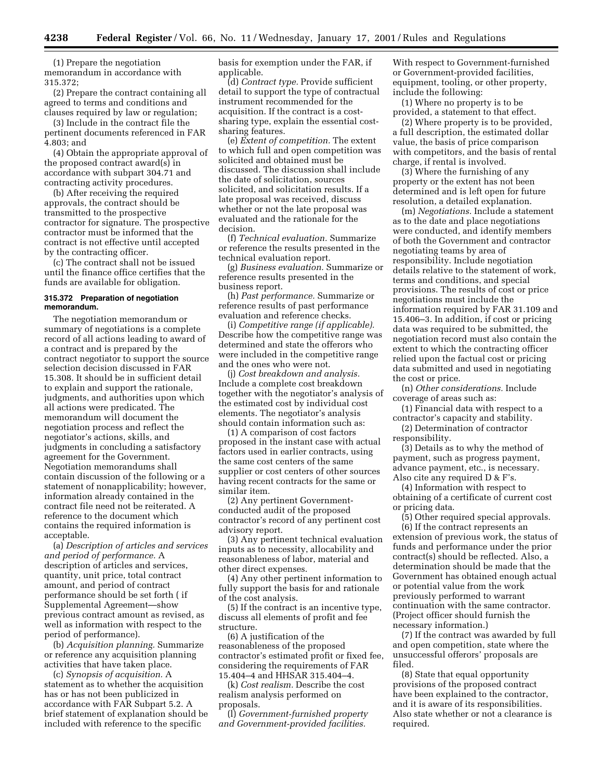(1) Prepare the negotiation memorandum in accordance with 315.372;

(2) Prepare the contract containing all agreed to terms and conditions and clauses required by law or regulation;

(3) Include in the contract file the pertinent documents referenced in FAR 4.803; and

(4) Obtain the appropriate approval of the proposed contract award(s) in accordance with subpart 304.71 and contracting activity procedures.

(b) After receiving the required approvals, the contract should be transmitted to the prospective contractor for signature. The prospective contractor must be informed that the contract is not effective until accepted by the contracting officer.

(c) The contract shall not be issued until the finance office certifies that the funds are available for obligation.

## **315.372 Preparation of negotiation memorandum.**

The negotiation memorandum or summary of negotiations is a complete record of all actions leading to award of a contract and is prepared by the contract negotiator to support the source selection decision discussed in FAR 15.308. It should be in sufficient detail to explain and support the rationale, judgments, and authorities upon which all actions were predicated. The memorandum will document the negotiation process and reflect the negotiator's actions, skills, and judgments in concluding a satisfactory agreement for the Government. Negotiation memorandums shall contain discussion of the following or a statement of nonapplicability; however, information already contained in the contract file need not be reiterated. A reference to the document which contains the required information is acceptable.

(a) *Description of articles and services and period of performance.* A description of articles and services, quantity, unit price, total contract amount, and period of contract performance should be set forth ( if Supplemental Agreement—show previous contract amount as revised, as well as information with respect to the period of performance).

(b) *Acquisition planning.* Summarize or reference any acquisition planning activities that have taken place.

(c) *Synopsis of acquisition.* A statement as to whether the acquisition has or has not been publicized in accordance with FAR Subpart 5.2. A brief statement of explanation should be included with reference to the specific

basis for exemption under the FAR, if applicable.

(d) *Contract type.* Provide sufficient detail to support the type of contractual instrument recommended for the acquisition. If the contract is a costsharing type, explain the essential costsharing features.

(e) *Extent of competition.* The extent to which full and open competition was solicited and obtained must be discussed. The discussion shall include the date of solicitation, sources solicited, and solicitation results. If a late proposal was received, discuss whether or not the late proposal was evaluated and the rationale for the decision.

(f) *Technical evaluation.* Summarize or reference the results presented in the technical evaluation report.

(g) *Business evaluation.* Summarize or reference results presented in the business report.

(h) *Past performance.* Summarize or reference results of past performance evaluation and reference checks.

(i) *Competitive range (if applicable).* Describe how the competitive range was determined and state the offerors who were included in the competitive range and the ones who were not.

(j) *Cost breakdown and analysis.* Include a complete cost breakdown together with the negotiator's analysis of the estimated cost by individual cost elements. The negotiator's analysis should contain information such as:

(1) A comparison of cost factors proposed in the instant case with actual factors used in earlier contracts, using the same cost centers of the same supplier or cost centers of other sources having recent contracts for the same or similar item.

(2) Any pertinent Governmentconducted audit of the proposed contractor's record of any pertinent cost advisory report.

(3) Any pertinent technical evaluation inputs as to necessity, allocability and reasonableness of labor, material and other direct expenses.

(4) Any other pertinent information to fully support the basis for and rationale of the cost analysis.

(5) If the contract is an incentive type, discuss all elements of profit and fee structure.

(6) A justification of the reasonableness of the proposed contractor's estimated profit or fixed fee, considering the requirements of FAR 15.404–4 and HHSAR 315.404–4.

(k) *Cost realism.* Describe the cost realism analysis performed on proposals.

(l) *Government-furnished property and Government-provided facilities.*

With respect to Government-furnished or Government-provided facilities, equipment, tooling, or other property, include the following:

(1) Where no property is to be provided, a statement to that effect.

(2) Where property is to be provided, a full description, the estimated dollar value, the basis of price comparison with competitors, and the basis of rental charge, if rental is involved.

(3) Where the furnishing of any property or the extent has not been determined and is left open for future resolution, a detailed explanation.

(m) *Negotiations.* Include a statement as to the date and place negotiations were conducted, and identify members of both the Government and contractor negotiating teams by area of responsibility. Include negotiation details relative to the statement of work, terms and conditions, and special provisions. The results of cost or price negotiations must include the information required by FAR 31.109 and 15.406–3. In addition, if cost or pricing data was required to be submitted, the negotiation record must also contain the extent to which the contracting officer relied upon the factual cost or pricing data submitted and used in negotiating the cost or price.

(n) *Other considerations.* Include coverage of areas such as:

(1) Financial data with respect to a contractor's capacity and stability.

(2) Determination of contractor responsibility.

(3) Details as to why the method of payment, such as progress payment, advance payment, etc., is necessary. Also cite any required D & F's.

(4) Information with respect to obtaining of a certificate of current cost or pricing data.

(5) Other required special approvals.

(6) If the contract represents an extension of previous work, the status of funds and performance under the prior contract(s) should be reflected. Also, a determination should be made that the Government has obtained enough actual or potential value from the work previously performed to warrant continuation with the same contractor. (Project officer should furnish the necessary information.)

(7) If the contract was awarded by full and open competition, state where the unsuccessful offerors' proposals are filed.

(8) State that equal opportunity provisions of the proposed contract have been explained to the contractor, and it is aware of its responsibilities. Also state whether or not a clearance is required.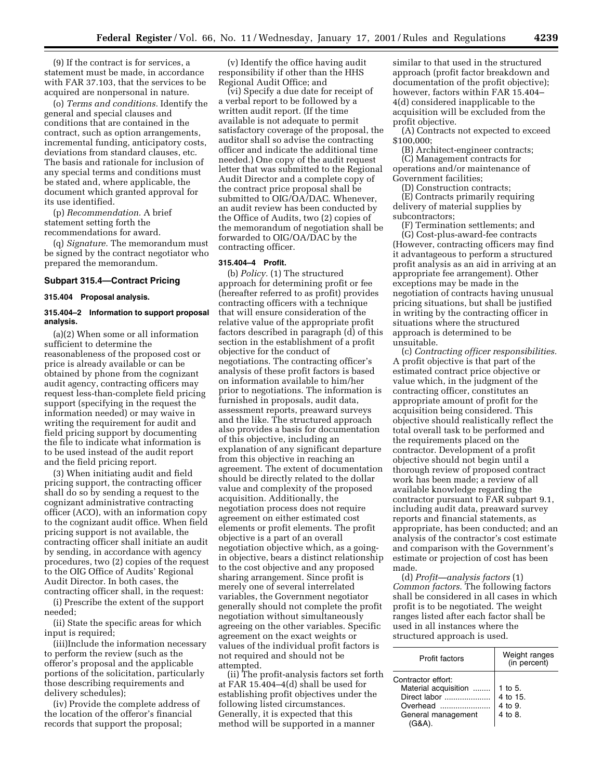(9) If the contract is for services, a statement must be made, in accordance with FAR 37.103, that the services to be acquired are nonpersonal in nature.

(o) *Terms and conditions.* Identify the general and special clauses and conditions that are contained in the contract, such as option arrangements, incremental funding, anticipatory costs, deviations from standard clauses, etc. The basis and rationale for inclusion of any special terms and conditions must be stated and, where applicable, the document which granted approval for its use identified.

(p) *Recommendation.* A brief statement setting forth the recommendations for award.

(q) *Signature.* The memorandum must be signed by the contract negotiator who prepared the memorandum.

## **Subpart 315.4—Contract Pricing**

## **315.404 Proposal analysis.**

## **315.404–2 Information to support proposal analysis.**

(a)(2) When some or all information sufficient to determine the reasonableness of the proposed cost or price is already available or can be obtained by phone from the cognizant audit agency, contracting officers may request less-than-complete field pricing support (specifying in the request the information needed) or may waive in writing the requirement for audit and field pricing support by documenting the file to indicate what information is to be used instead of the audit report and the field pricing report.

(3) When initiating audit and field pricing support, the contracting officer shall do so by sending a request to the cognizant administrative contracting officer (ACO), with an information copy to the cognizant audit office. When field pricing support is not available, the contracting officer shall initiate an audit by sending, in accordance with agency procedures, two (2) copies of the request to the OIG Office of Audits' Regional Audit Director. In both cases, the contracting officer shall, in the request:

(i) Prescribe the extent of the support needed;

(ii) State the specific areas for which input is required;

(iii)Include the information necessary to perform the review (such as the offeror's proposal and the applicable portions of the solicitation, particularly those describing requirements and delivery schedules);

(iv) Provide the complete address of the location of the offeror's financial records that support the proposal;

(v) Identify the office having audit responsibility if other than the HHS Regional Audit Office; and

(vi) Specify a due date for receipt of a verbal report to be followed by a written audit report. (If the time available is not adequate to permit satisfactory coverage of the proposal, the auditor shall so advise the contracting officer and indicate the additional time needed.) One copy of the audit request letter that was submitted to the Regional Audit Director and a complete copy of the contract price proposal shall be submitted to OIG/OA/DAC. Whenever, an audit review has been conducted by the Office of Audits, two (2) copies of the memorandum of negotiation shall be forwarded to OIG/OA/DAC by the contracting officer.

## **315.404–4 Profit.**

(b) *Policy.* (1) The structured approach for determining profit or fee (hereafter referred to as profit) provides contracting officers with a technique that will ensure consideration of the relative value of the appropriate profit factors described in paragraph (d) of this section in the establishment of a profit objective for the conduct of negotiations. The contracting officer's analysis of these profit factors is based on information available to him/her prior to negotiations. The information is furnished in proposals, audit data, assessment reports, preaward surveys and the like. The structured approach also provides a basis for documentation of this objective, including an explanation of any significant departure from this objective in reaching an agreement. The extent of documentation should be directly related to the dollar value and complexity of the proposed acquisition. Additionally, the negotiation process does not require agreement on either estimated cost elements or profit elements. The profit objective is a part of an overall negotiation objective which, as a goingin objective, bears a distinct relationship to the cost objective and any proposed sharing arrangement. Since profit is merely one of several interrelated variables, the Government negotiator generally should not complete the profit negotiation without simultaneously agreeing on the other variables. Specific agreement on the exact weights or values of the individual profit factors is not required and should not be attempted.

(ii) The profit-analysis factors set forth at FAR 15.404–4(d) shall be used for establishing profit objectives under the following listed circumstances. Generally, it is expected that this method will be supported in a manner

similar to that used in the structured approach (profit factor breakdown and documentation of the profit objective); however, factors within FAR 15.404– 4(d) considered inapplicable to the acquisition will be excluded from the profit objective.

(A) Contracts not expected to exceed \$100,000;

(B) Architect-engineer contracts; (C) Management contracts for operations and/or maintenance of Government facilities;

(D) Construction contracts;

(E) Contracts primarily requiring delivery of material supplies by subcontractors;

(F) Termination settlements; and

(G) Cost-plus-award-fee contracts (However, contracting officers may find it advantageous to perform a structured profit analysis as an aid in arriving at an appropriate fee arrangement). Other exceptions may be made in the negotiation of contracts having unusual pricing situations, but shall be justified in writing by the contracting officer in situations where the structured approach is determined to be unsuitable.

(c) *Contracting officer responsibilities.* A profit objective is that part of the estimated contract price objective or value which, in the judgment of the contracting officer, constitutes an appropriate amount of profit for the acquisition being considered. This objective should realistically reflect the total overall task to be performed and the requirements placed on the contractor. Development of a profit objective should not begin until a thorough review of proposed contract work has been made; a review of all available knowledge regarding the contractor pursuant to FAR subpart 9.1, including audit data, preaward survey reports and financial statements, as appropriate, has been conducted; and an analysis of the contractor's cost estimate and comparison with the Government's estimate or projection of cost has been made.

(d) *Profit—analysis factors* (1) *Common factors*. The following factors shall be considered in all cases in which profit is to be negotiated. The weight ranges listed after each factor shall be used in all instances where the structured approach is used.

| Profit factors                                                                                         | Weight ranges<br>(in percent)             |
|--------------------------------------------------------------------------------------------------------|-------------------------------------------|
| Contractor effort:<br>Material acquisition<br>Direct labor<br>Overhead<br>General management<br>(G&A). | 1 to 5.<br>4 to 15.<br>4 to 9.<br>4 to 8. |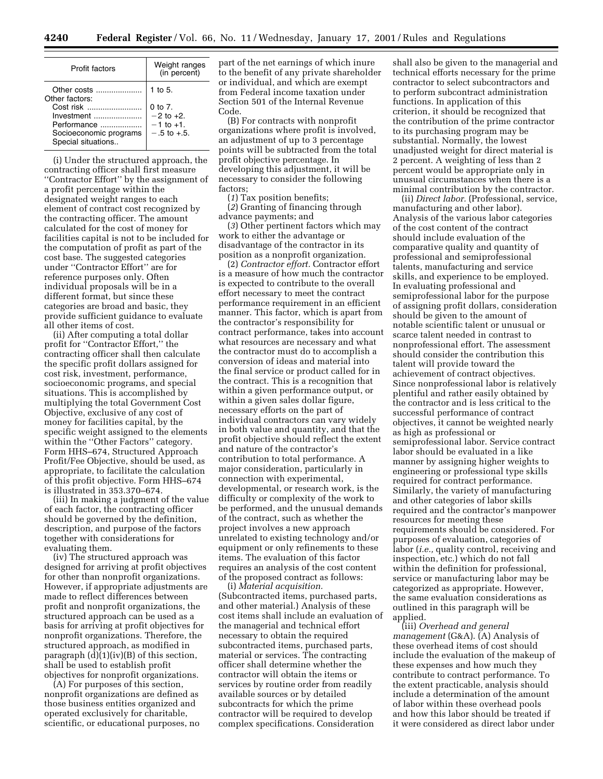| Profit factors                               | Weight ranges<br>(in percent) |
|----------------------------------------------|-------------------------------|
| Other costs<br>Other factors:                | 1 to $5$ .                    |
| Cost risk                                    | $0 \text{ to } 7$ .           |
| Investment                                   | $-2$ to $+2$ .                |
| Performance                                  | $-1$ to $+1$ .                |
| Socioeconomic programs<br>Special situations | $-5$ to $+5$ .                |

(i) Under the structured approach, the contracting officer shall first measure ''Contractor Effort'' by the assignment of a profit percentage within the designated weight ranges to each element of contract cost recognized by the contracting officer. The amount calculated for the cost of money for facilities capital is not to be included for the computation of profit as part of the cost base. The suggested categories under ''Contractor Effort'' are for reference purposes only. Often individual proposals will be in a different format, but since these categories are broad and basic, they provide sufficient guidance to evaluate all other items of cost.

(ii) After computing a total dollar profit for ''Contractor Effort,'' the contracting officer shall then calculate the specific profit dollars assigned for cost risk, investment, performance, socioeconomic programs, and special situations. This is accomplished by multiplying the total Government Cost Objective, exclusive of any cost of money for facilities capital, by the specific weight assigned to the elements within the ''Other Factors'' category. Form HHS–674, Structured Approach Profit/Fee Objective, should be used, as appropriate, to facilitate the calculation of this profit objective. Form HHS–674 is illustrated in 353.370–674.

(iii) In making a judgment of the value of each factor, the contracting officer should be governed by the definition, description, and purpose of the factors together with considerations for evaluating them.

(iv) The structured approach was designed for arriving at profit objectives for other than nonprofit organizations. However, if appropriate adjustments are made to reflect differences between profit and nonprofit organizations, the structured approach can be used as a basis for arriving at profit objectives for nonprofit organizations. Therefore, the structured approach, as modified in paragraph (d)(1)(iv)(B) of this section, shall be used to establish profit objectives for nonprofit organizations.

(A) For purposes of this section, nonprofit organizations are defined as those business entities organized and operated exclusively for charitable, scientific, or educational purposes, no part of the net earnings of which inure to the benefit of any private shareholder or individual, and which are exempt from Federal income taxation under Section 501 of the Internal Revenue Code.

(B) For contracts with nonprofit organizations where profit is involved, an adjustment of up to 3 percentage points will be subtracted from the total profit objective percentage. In developing this adjustment, it will be necessary to consider the following factors;

(*1*) Tax position benefits;

(*2*) Granting of financing through advance payments; and

(*3*) Other pertinent factors which may work to either the advantage or disadvantage of the contractor in its position as a nonprofit organization.

(2) *Contractor effort.* Contractor effort is a measure of how much the contractor is expected to contribute to the overall effort necessary to meet the contract performance requirement in an efficient manner. This factor, which is apart from the contractor's responsibility for contract performance, takes into account what resources are necessary and what the contractor must do to accomplish a conversion of ideas and material into the final service or product called for in the contract. This is a recognition that within a given performance output, or within a given sales dollar figure, necessary efforts on the part of individual contractors can vary widely in both value and quantity, and that the profit objective should reflect the extent and nature of the contractor's contribution to total performance. A major consideration, particularly in connection with experimental, developmental, or research work, is the difficulty or complexity of the work to be performed, and the unusual demands of the contract, such as whether the project involves a new approach unrelated to existing technology and/or equipment or only refinements to these items. The evaluation of this factor requires an analysis of the cost content of the proposed contract as follows:

(i) *Material acquisition.* (Subcontracted items, purchased parts, and other material.) Analysis of these cost items shall include an evaluation of the managerial and technical effort necessary to obtain the required subcontracted items, purchased parts, material or services. The contracting officer shall determine whether the contractor will obtain the items or services by routine order from readily available sources or by detailed subcontracts for which the prime contractor will be required to develop complex specifications. Consideration

shall also be given to the managerial and technical efforts necessary for the prime contractor to select subcontractors and to perform subcontract administration functions. In application of this criterion, it should be recognized that the contribution of the prime contractor to its purchasing program may be substantial. Normally, the lowest unadjusted weight for direct material is 2 percent. A weighting of less than 2 percent would be appropriate only in unusual circumstances when there is a minimal contribution by the contractor.

(ii) *Direct labor.* (Professional, service, manufacturing and other labor). Analysis of the various labor categories of the cost content of the contract should include evaluation of the comparative quality and quantity of professional and semiprofessional talents, manufacturing and service skills, and experience to be employed. In evaluating professional and semiprofessional labor for the purpose of assigning profit dollars, consideration should be given to the amount of notable scientific talent or unusual or scarce talent needed in contrast to nonprofessional effort. The assessment should consider the contribution this talent will provide toward the achievement of contract objectives. Since nonprofessional labor is relatively plentiful and rather easily obtained by the contractor and is less critical to the successful performance of contract objectives, it cannot be weighted nearly as high as professional or semiprofessional labor. Service contract labor should be evaluated in a like manner by assigning higher weights to engineering or professional type skills required for contract performance. Similarly, the variety of manufacturing and other categories of labor skills required and the contractor's manpower resources for meeting these requirements should be considered. For purposes of evaluation, categories of labor (*i.e.,* quality control, receiving and inspection, etc.) which do not fall within the definition for professional, service or manufacturing labor may be categorized as appropriate. However, the same evaluation considerations as outlined in this paragraph will be applied.

(iii) *Overhead and general management* (G&A). (A) Analysis of these overhead items of cost should include the evaluation of the makeup of these expenses and how much they contribute to contract performance. To the extent practicable, analysis should include a determination of the amount of labor within these overhead pools and how this labor should be treated if it were considered as direct labor under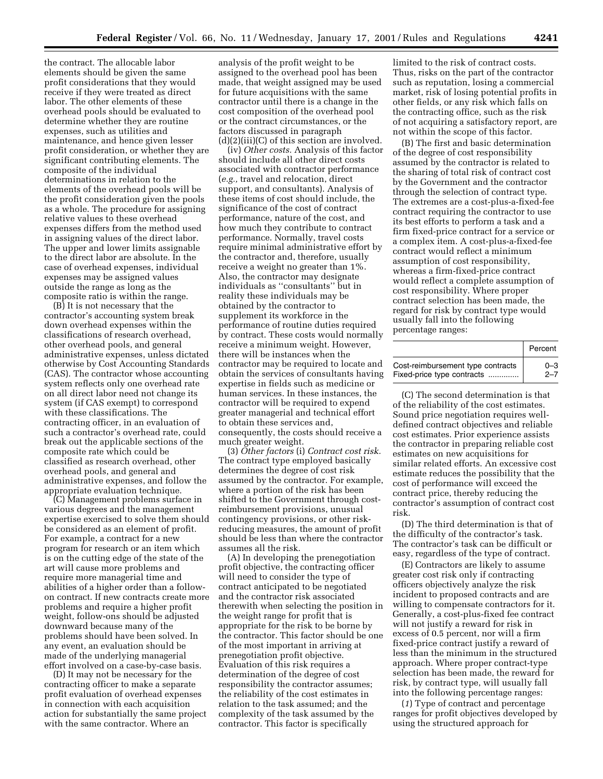the contract. The allocable labor elements should be given the same profit considerations that they would receive if they were treated as direct labor. The other elements of these overhead pools should be evaluated to determine whether they are routine expenses, such as utilities and maintenance, and hence given lesser profit consideration, or whether they are significant contributing elements. The composite of the individual determinations in relation to the elements of the overhead pools will be the profit consideration given the pools as a whole. The procedure for assigning relative values to these overhead expenses differs from the method used in assigning values of the direct labor. The upper and lower limits assignable to the direct labor are absolute. In the case of overhead expenses, individual expenses may be assigned values outside the range as long as the composite ratio is within the range.

(B) It is not necessary that the contractor's accounting system break down overhead expenses within the classifications of research overhead, other overhead pools, and general administrative expenses, unless dictated otherwise by Cost Accounting Standards (CAS). The contractor whose accounting system reflects only one overhead rate on all direct labor need not change its system (if CAS exempt) to correspond with these classifications. The contracting officer, in an evaluation of such a contractor's overhead rate, could break out the applicable sections of the composite rate which could be classified as research overhead, other overhead pools, and general and administrative expenses, and follow the appropriate evaluation technique.

(C) Management problems surface in various degrees and the management expertise exercised to solve them should be considered as an element of profit. For example, a contract for a new program for research or an item which is on the cutting edge of the state of the art will cause more problems and require more managerial time and abilities of a higher order than a followon contract. If new contracts create more problems and require a higher profit weight, follow-ons should be adjusted downward because many of the problems should have been solved. In any event, an evaluation should be made of the underlying managerial effort involved on a case-by-case basis.

(D) It may not be necessary for the contracting officer to make a separate profit evaluation of overhead expenses in connection with each acquisition action for substantially the same project with the same contractor. Where an

analysis of the profit weight to be assigned to the overhead pool has been made, that weight assigned may be used for future acquisitions with the same contractor until there is a change in the cost composition of the overhead pool or the contract circumstances, or the factors discussed in paragraph (d)(2)(iii)(C) of this section are involved.

(iv) *Other costs.* Analysis of this factor should include all other direct costs associated with contractor performance (*e.g.,* travel and relocation, direct support, and consultants). Analysis of these items of cost should include, the significance of the cost of contract performance, nature of the cost, and how much they contribute to contract performance. Normally, travel costs require minimal administrative effort by the contractor and, therefore, usually receive a weight no greater than 1%. Also, the contractor may designate individuals as ''consultants'' but in reality these individuals may be obtained by the contractor to supplement its workforce in the performance of routine duties required by contract. These costs would normally receive a minimum weight. However, there will be instances when the contractor may be required to locate and obtain the services of consultants having expertise in fields such as medicine or human services. In these instances, the contractor will be required to expend greater managerial and technical effort to obtain these services and, consequently, the costs should receive a much greater weight.

(3) *Other factors* (i) *Contract cost risk.* The contract type employed basically determines the degree of cost risk assumed by the contractor. For example, where a portion of the risk has been shifted to the Government through costreimbursement provisions, unusual contingency provisions, or other riskreducing measures, the amount of profit should be less than where the contractor assumes all the risk.

(A) In developing the prenegotiation profit objective, the contracting officer will need to consider the type of contract anticipated to be negotiated and the contractor risk associated therewith when selecting the position in the weight range for profit that is appropriate for the risk to be borne by the contractor. This factor should be one of the most important in arriving at prenegotiation profit objective. Evaluation of this risk requires a determination of the degree of cost responsibility the contractor assumes; the reliability of the cost estimates in relation to the task assumed; and the complexity of the task assumed by the contractor. This factor is specifically

limited to the risk of contract costs. Thus, risks on the part of the contractor such as reputation, losing a commercial market, risk of losing potential profits in other fields, or any risk which falls on the contracting office, such as the risk of not acquiring a satisfactory report, are not within the scope of this factor.

(B) The first and basic determination of the degree of cost responsibility assumed by the contractor is related to the sharing of total risk of contract cost by the Government and the contractor through the selection of contract type. The extremes are a cost-plus-a-fixed-fee contract requiring the contractor to use its best efforts to perform a task and a firm fixed-price contract for a service or a complex item. A cost-plus-a-fixed-fee contract would reflect a minimum assumption of cost responsibility, whereas a firm-fixed-price contract would reflect a complete assumption of cost responsibility. Where proper contract selection has been made, the regard for risk by contract type would usually fall into the following percentage ranges:

|                                   | Percent |
|-----------------------------------|---------|
| Cost-reimbursement type contracts | $0 - 3$ |
| Fixed-price type contracts        | $2 - 7$ |

(C) The second determination is that of the reliability of the cost estimates. Sound price negotiation requires welldefined contract objectives and reliable cost estimates. Prior experience assists the contractor in preparing reliable cost estimates on new acquisitions for similar related efforts. An excessive cost estimate reduces the possibility that the cost of performance will exceed the contract price, thereby reducing the contractor's assumption of contract cost risk.

(D) The third determination is that of the difficulty of the contractor's task. The contractor's task can be difficult or easy, regardless of the type of contract.

(E) Contractors are likely to assume greater cost risk only if contracting officers objectively analyze the risk incident to proposed contracts and are willing to compensate contractors for it. Generally, a cost-plus-fixed fee contract will not justify a reward for risk in excess of 0.5 percent, nor will a firm fixed-price contract justify a reward of less than the minimum in the structured approach. Where proper contract-type selection has been made, the reward for risk, by contract type, will usually fall into the following percentage ranges:

(*1*) Type of contract and percentage ranges for profit objectives developed by using the structured approach for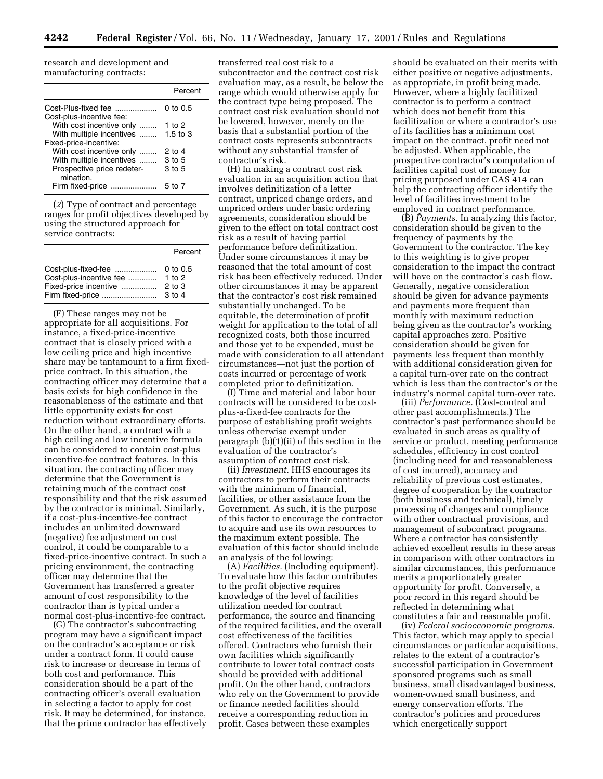research and development and manufacturing contracts:

| Percent      |
|--------------|
| $0$ to $0.5$ |
| 1 to 2       |
| $1.5$ to $3$ |
|              |
| $2$ to 4     |
| 3 to 5       |
| 3 to 5       |
|              |
| 5 to 7       |
|              |

(*2*) Type of contract and percentage ranges for profit objectives developed by using the structured approach for service contracts:

| Percent |
|---------|
|         |

(F) These ranges may not be appropriate for all acquisitions. For instance, a fixed-price-incentive contract that is closely priced with a low ceiling price and high incentive share may be tantamount to a firm fixedprice contract. In this situation, the contracting officer may determine that a basis exists for high confidence in the reasonableness of the estimate and that little opportunity exists for cost reduction without extraordinary efforts. On the other hand, a contract with a high ceiling and low incentive formula can be considered to contain cost-plus incentive-fee contract features. In this situation, the contracting officer may determine that the Government is retaining much of the contract cost responsibility and that the risk assumed by the contractor is minimal. Similarly, if a cost-plus-incentive-fee contract includes an unlimited downward (negative) fee adjustment on cost control, it could be comparable to a fixed-price-incentive contract. In such a pricing environment, the contracting officer may determine that the Government has transferred a greater amount of cost responsibility to the contractor than is typical under a normal cost-plus-incentive-fee contract.

(G) The contractor's subcontracting program may have a significant impact on the contractor's acceptance or risk under a contract form. It could cause risk to increase or decrease in terms of both cost and performance. This consideration should be a part of the contracting officer's overall evaluation in selecting a factor to apply for cost risk. It may be determined, for instance, that the prime contractor has effectively

transferred real cost risk to a subcontractor and the contract cost risk evaluation may, as a result, be below the range which would otherwise apply for the contract type being proposed. The contract cost risk evaluation should not be lowered, however, merely on the basis that a substantial portion of the contract costs represents subcontracts without any substantial transfer of contractor's risk.

(H) In making a contract cost risk evaluation in an acquisition action that involves definitization of a letter contract, unpriced change orders, and unpriced orders under basic ordering agreements, consideration should be given to the effect on total contract cost risk as a result of having partial performance before definitization. Under some circumstances it may be reasoned that the total amount of cost risk has been effectively reduced. Under other circumstances it may be apparent that the contractor's cost risk remained substantially unchanged. To be equitable, the determination of profit weight for application to the total of all recognized costs, both those incurred and those yet to be expended, must be made with consideration to all attendant circumstances—not just the portion of costs incurred or percentage of work completed prior to definitization.

(I) Time and material and labor hour contracts will be considered to be costplus-a-fixed-fee contracts for the purpose of establishing profit weights unless otherwise exempt under paragraph (b)(1)(ii) of this section in the evaluation of the contractor's assumption of contract cost risk.

(ii) *Investment.* HHS encourages its contractors to perform their contracts with the minimum of financial, facilities, or other assistance from the Government. As such, it is the purpose of this factor to encourage the contractor to acquire and use its own resources to the maximum extent possible. The evaluation of this factor should include an analysis of the following:

(A) *Facilities.* (Including equipment). To evaluate how this factor contributes to the profit objective requires knowledge of the level of facilities utilization needed for contract performance, the source and financing of the required facilities, and the overall cost effectiveness of the facilities offered. Contractors who furnish their own facilities which significantly contribute to lower total contract costs should be provided with additional profit. On the other hand, contractors who rely on the Government to provide or finance needed facilities should receive a corresponding reduction in profit. Cases between these examples

should be evaluated on their merits with either positive or negative adjustments, as appropriate, in profit being made. However, where a highly facilitized contractor is to perform a contract which does not benefit from this facilitization or where a contractor's use of its facilities has a minimum cost impact on the contract, profit need not be adjusted. When applicable, the prospective contractor's computation of facilities capital cost of money for pricing purposed under CAS 414 can help the contracting officer identify the level of facilities investment to be employed in contract performance.

(B) *Payments.* In analyzing this factor, consideration should be given to the frequency of payments by the Government to the contractor. The key to this weighting is to give proper consideration to the impact the contract will have on the contractor's cash flow. Generally, negative consideration should be given for advance payments and payments more frequent than monthly with maximum reduction being given as the contractor's working capital approaches zero. Positive consideration should be given for payments less frequent than monthly with additional consideration given for a capital turn-over rate on the contract which is less than the contractor's or the industry's normal capital turn-over rate.

(iii) *Performance.* (Cost-control and other past accomplishments.) The contractor's past performance should be evaluated in such areas as quality of service or product, meeting performance schedules, efficiency in cost control (including need for and reasonableness of cost incurred), accuracy and reliability of previous cost estimates, degree of cooperation by the contractor (both business and technical), timely processing of changes and compliance with other contractual provisions, and management of subcontract programs. Where a contractor has consistently achieved excellent results in these areas in comparison with other contractors in similar circumstances, this performance merits a proportionately greater opportunity for profit. Conversely, a poor record in this regard should be reflected in determining what constitutes a fair and reasonable profit.

(iv) *Federal socioeconomic programs.* This factor, which may apply to special circumstances or particular acquisitions, relates to the extent of a contractor's successful participation in Government sponsored programs such as small business, small disadvantaged business, women-owned small business, and energy conservation efforts. The contractor's policies and procedures which energetically support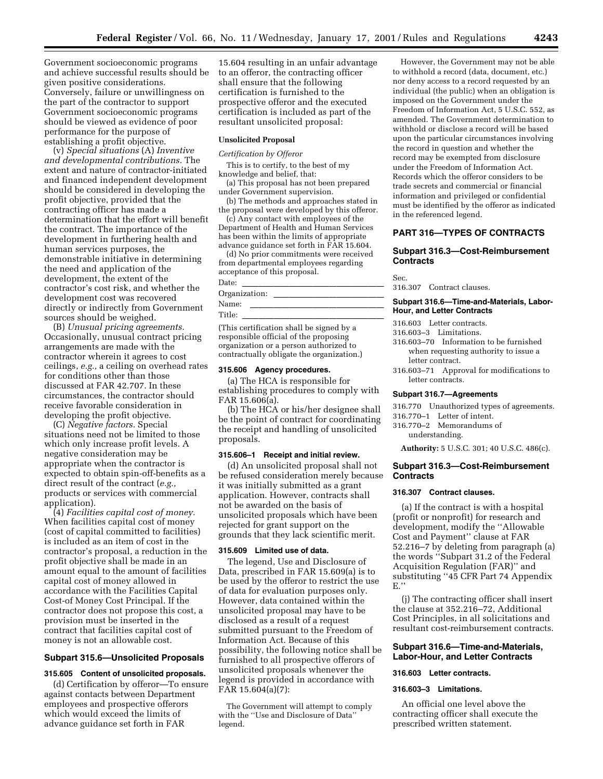Government socioeconomic programs and achieve successful results should be given positive considerations. Conversely, failure or unwillingness on the part of the contractor to support Government socioeconomic programs should be viewed as evidence of poor performance for the purpose of establishing a profit objective.

(v) *Special situations* (A) *Inventive and developmental contributions.* The extent and nature of contractor-initiated and financed independent development should be considered in developing the profit objective, provided that the contracting officer has made a determination that the effort will benefit the contract. The importance of the development in furthering health and human services purposes, the demonstrable initiative in determining the need and application of the development, the extent of the contractor's cost risk, and whether the development cost was recovered directly or indirectly from Government sources should be weighed.

(B) *Unusual pricing agreements.* Occasionally, unusual contract pricing arrangements are made with the contractor wherein it agrees to cost ceilings, *e.g.,* a ceiling on overhead rates for conditions other than those discussed at FAR 42.707. In these circumstances, the contractor should receive favorable consideration in developing the profit objective.

(C) *Negative factors.* Special situations need not be limited to those which only increase profit levels. A negative consideration may be appropriate when the contractor is expected to obtain spin-off-benefits as a direct result of the contract (*e.g.,* products or services with commercial application).

(4) *Facilities capital cost of money.* When facilities capital cost of money (cost of capital committed to facilities) is included as an item of cost in the contractor's proposal, a reduction in the profit objective shall be made in an amount equal to the amount of facilities capital cost of money allowed in accordance with the Facilities Capital Cost-of Money Cost Principal. If the contractor does not propose this cost, a provision must be inserted in the contract that facilities capital cost of money is not an allowable cost.

## **Subpart 315.6—Unsolicited Proposals**

#### **315.605 Content of unsolicited proposals.**

(d) Certification by offeror—To ensure against contacts between Department employees and prospective offerors which would exceed the limits of advance guidance set forth in FAR

15.604 resulting in an unfair advantage to an offeror, the contracting officer shall ensure that the following certification is furnished to the prospective offeror and the executed certification is included as part of the resultant unsolicited proposal:

## **Unsolicited Proposal**

*Certification by Offeror*

This is to certify, to the best of my knowledge and belief, that:

(a) This proposal has not been prepared under Government supervision.

(b) The methods and approaches stated in the proposal were developed by this offeror.

(c) Any contact with employees of the Department of Health and Human Services has been within the limits of appropriate advance guidance set forth in FAR 15.604.

(d) No prior commitments were received from departmental employees regarding acceptance of this proposal.

| Date:                                    |
|------------------------------------------|
| Organization:                            |
| Name:                                    |
| Title:                                   |
| (This certification shall be signed by a |

responsible official of the proposing organization or a person authorized to contractually obligate the organization.)

#### **315.606 Agency procedures.**

(a) The HCA is responsible for establishing procedures to comply with FAR 15.606(a).

(b) The HCA or his/her designee shall be the point of contract for coordinating the receipt and handling of unsolicited proposals.

#### **315.606–1 Receipt and initial review.**

(d) An unsolicited proposal shall not be refused consideration merely because it was initially submitted as a grant application. However, contracts shall not be awarded on the basis of unsolicited proposals which have been rejected for grant support on the grounds that they lack scientific merit.

#### **315.609 Limited use of data.**

The legend, Use and Disclosure of Data, prescribed in FAR 15.609(a) is to be used by the offeror to restrict the use of data for evaluation purposes only. However, data contained within the unsolicited proposal may have to be disclosed as a result of a request submitted pursuant to the Freedom of Information Act. Because of this possibility, the following notice shall be furnished to all prospective offerors of unsolicited proposals whenever the legend is provided in accordance with FAR 15.604(a)(7):

The Government will attempt to comply with the ''Use and Disclosure of Data'' legend.

However, the Government may not be able to withhold a record (data, document, etc.) nor deny access to a record requested by an individual (the public) when an obligation is imposed on the Government under the Freedom of Information Act, 5 U.S.C. 552, as amended. The Government determination to withhold or disclose a record will be based upon the particular circumstances involving the record in question and whether the record may be exempted from disclosure under the Freedom of Information Act. Records which the offeror considers to be trade secrets and commercial or financial information and privileged or confidential must be identified by the offeror as indicated in the referenced legend.

## **PART 316—TYPES OF CONTRACTS**

## **Subpart 316.3—Cost-Reimbursement Contracts**

Sec.

316.307 Contract clauses.

#### **Subpart 316.6—Time-and-Materials, Labor-Hour, and Letter Contracts**

- 316.603 Letter contracts.
- 316.603–3 Limitations.
- 316.603–70 Information to be furnished when requesting authority to issue a letter contract.
- 316.603–71 Approval for modifications to letter contracts.

#### **Subpart 316.7—Agreements**

316.770 Unauthorized types of agreements.

- 316.770–1 Letter of intent. 316.770–2 Memorandums of
- understanding.

**Authority:** 5 U.S.C. 301; 40 U.S.C. 486(c).

## **Subpart 316.3—Cost-Reimbursement Contracts**

## **316.307 Contract clauses.**

(a) If the contract is with a hospital (profit or nonprofit) for research and development, modify the ''Allowable Cost and Payment'' clause at FAR 52.216–7 by deleting from paragraph (a) the words ''Subpart 31.2 of the Federal Acquisition Regulation (FAR)'' and substituting ''45 CFR Part 74 Appendix E.''

(j) The contracting officer shall insert the clause at 352.216–72, Additional Cost Principles, in all solicitations and resultant cost-reimbursement contracts.

#### **Subpart 316.6—Time-and-Materials, Labor-Hour, and Letter Contracts**

## **316.603 Letter contracts.**

#### **316.603–3 Limitations.**

An official one level above the contracting officer shall execute the prescribed written statement.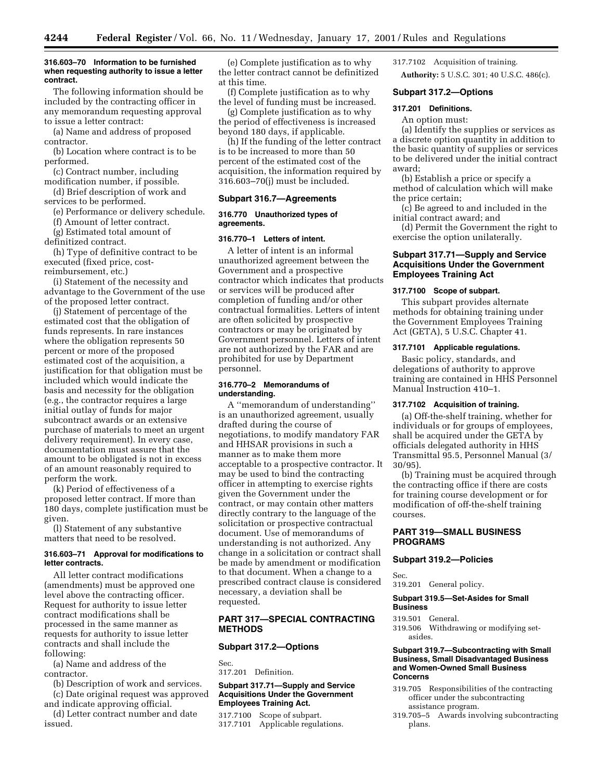#### **316.603–70 Information to be furnished when requesting authority to issue a letter contract.**

The following information should be included by the contracting officer in any memorandum requesting approval to issue a letter contract:

(a) Name and address of proposed contractor.

(b) Location where contract is to be performed.

(c) Contract number, including modification number, if possible.

(d) Brief description of work and services to be performed.

(e) Performance or delivery schedule.

- (f) Amount of letter contract.
- (g) Estimated total amount of

definitized contract.

(h) Type of definitive contract to be executed (fixed price, costreimbursement, etc.)

(i) Statement of the necessity and advantage to the Government of the use of the proposed letter contract.

(j) Statement of percentage of the estimated cost that the obligation of funds represents. In rare instances where the obligation represents 50 percent or more of the proposed estimated cost of the acquisition, a justification for that obligation must be included which would indicate the basis and necessity for the obligation (e.g., the contractor requires a large initial outlay of funds for major subcontract awards or an extensive purchase of materials to meet an urgent delivery requirement). In every case, documentation must assure that the amount to be obligated is not in excess of an amount reasonably required to perform the work.

(k) Period of effectiveness of a proposed letter contract. If more than 180 days, complete justification must be given.

(l) Statement of any substantive matters that need to be resolved.

#### **316.603–71 Approval for modifications to letter contracts.**

All letter contract modifications (amendments) must be approved one level above the contracting officer. Request for authority to issue letter contract modifications shall be processed in the same manner as requests for authority to issue letter contracts and shall include the following:

(a) Name and address of the contractor.

(b) Description of work and services. (c) Date original request was approved

and indicate approving official.

(d) Letter contract number and date issued.

(e) Complete justification as to why the letter contract cannot be definitized at this time.

(f) Complete justification as to why the level of funding must be increased.

(g) Complete justification as to why the period of effectiveness is increased beyond 180 days, if applicable.

(h) If the funding of the letter contract is to be increased to more than 50 percent of the estimated cost of the acquisition, the information required by 316.603–70(j) must be included.

## **Subpart 316.7—Agreements**

#### **316.770 Unauthorized types of agreements.**

### **316.770–1 Letters of intent.**

A letter of intent is an informal unauthorized agreement between the Government and a prospective contractor which indicates that products or services will be produced after completion of funding and/or other contractual formalities. Letters of intent are often solicited by prospective contractors or may be originated by Government personnel. Letters of intent are not authorized by the FAR and are prohibited for use by Department personnel.

#### **316.770–2 Memorandums of understanding.**

A ''memorandum of understanding'' is an unauthorized agreement, usually drafted during the course of negotiations, to modify mandatory FAR and HHSAR provisions in such a manner as to make them more acceptable to a prospective contractor. It may be used to bind the contracting officer in attempting to exercise rights given the Government under the contract, or may contain other matters directly contrary to the language of the solicitation or prospective contractual document. Use of memorandums of understanding is not authorized. Any change in a solicitation or contract shall be made by amendment or modification to that document. When a change to a prescribed contract clause is considered necessary, a deviation shall be requested.

## **PART 317—SPECIAL CONTRACTING METHODS**

### **Subpart 317.2—Options**

Sec. 317.201 Definition.

## **Subpart 317.71—Supply and Service Acquisitions Under the Government Employees Training Act.**

317.7100 Scope of subpart. 317.7101 Applicable regulations. 317.7102 Acquisition of training. **Authority:** 5 U.S.C. 301; 40 U.S.C. 486(c).

#### **Subpart 317.2—Options**

## **317.201 Definitions.**

An option must:

(a) Identify the supplies or services as a discrete option quantity in addition to the basic quantity of supplies or services to be delivered under the initial contract award;

(b) Establish a price or specify a method of calculation which will make the price certain;

(c) Be agreed to and included in the initial contract award; and

(d) Permit the Government the right to exercise the option unilaterally.

## **Subpart 317.71—Supply and Service Acquisitions Under the Government Employees Training Act**

## **317.7100 Scope of subpart.**

This subpart provides alternate methods for obtaining training under the Government Employees Training Act (GETA), 5 U.S.C. Chapter 41.

## **317.7101 Applicable regulations.**

Basic policy, standards, and delegations of authority to approve training are contained in HHS Personnel Manual Instruction 410–1.

## **317.7102 Acquisition of training.**

(a) Off-the-shelf training, whether for individuals or for groups of employees, shall be acquired under the GETA by officials delegated authority in HHS Transmittal 95.5, Personnel Manual (3/ 30/95).

(b) Training must be acquired through the contracting office if there are costs for training course development or for modification of off-the-shelf training courses.

## **PART 319—SMALL BUSINESS PROGRAMS**

#### **Subpart 319.2—Policies**

Sec.

319.201 General policy.

## **Subpart 319.5—Set-Asides for Small Business**

319.501 General.

319.506 Withdrawing or modifying setasides.

#### **Subpart 319.7—Subcontracting with Small Business, Small Disadvantaged Business and Women-Owned Small Business Concerns**

- 319.705 Responsibilities of the contracting officer under the subcontracting assistance program.
- 319.705–5 Awards involving subcontracting plans.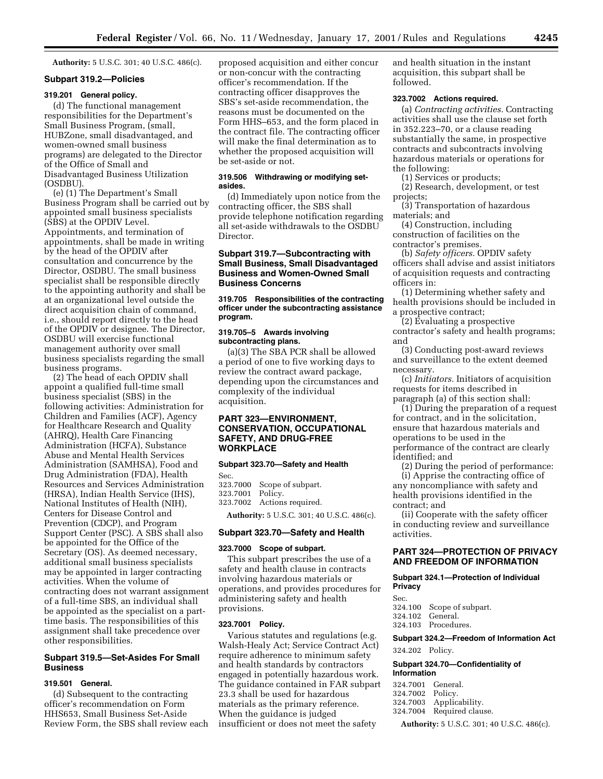**Authority:** 5 U.S.C. 301; 40 U.S.C. 486(c).

#### **Subpart 319.2—Policies**

## **319.201 General policy.**

(d) The functional management responsibilities for the Department's Small Business Program, (small, HUBZone, small disadvantaged, and women-owned small business programs) are delegated to the Director of the Office of Small and Disadvantaged Business Utilization (OSDBU).

(e) (1) The Department's Small Business Program shall be carried out by appointed small business specialists (SBS) at the OPDIV Level. Appointments, and termination of appointments, shall be made in writing by the head of the OPDIV after consultation and concurrence by the Director, OSDBU. The small business specialist shall be responsible directly to the appointing authority and shall be at an organizational level outside the direct acquisition chain of command, i.e., should report directly to the head of the OPDIV or designee. The Director, OSDBU will exercise functional management authority over small business specialists regarding the small business programs.

(2) The head of each OPDIV shall appoint a qualified full-time small business specialist (SBS) in the following activities: Administration for Children and Families (ACF), Agency for Healthcare Research and Quality (AHRQ), Health Care Financing Administration (HCFA), Substance Abuse and Mental Health Services Administration (SAMHSA), Food and Drug Administration (FDA), Health Resources and Services Administration (HRSA), Indian Health Service (IHS), National Institutes of Health (NIH), Centers for Disease Control and Prevention (CDCP), and Program Support Center (PSC). A SBS shall also be appointed for the Office of the Secretary (OS). As deemed necessary, additional small business specialists may be appointed in larger contracting activities. When the volume of contracting does not warrant assignment of a full-time SBS, an individual shall be appointed as the specialist on a parttime basis. The responsibilities of this assignment shall take precedence over other responsibilities.

## **Subpart 319.5—Set-Asides For Small Business**

## **319.501 General.**

(d) Subsequent to the contracting officer's recommendation on Form HHS653, Small Business Set-Aside Review Form, the SBS shall review each proposed acquisition and either concur or non-concur with the contracting officer's recommendation. If the contracting officer disapproves the SBS's set-aside recommendation, the reasons must be documented on the Form HHS–653, and the form placed in the contract file. The contracting officer will make the final determination as to whether the proposed acquisition will be set-aside or not.

## **319.506 Withdrawing or modifying setasides.**

(d) Immediately upon notice from the contracting officer, the SBS shall provide telephone notification regarding all set-aside withdrawals to the OSDBU Director.

## **Subpart 319.7—Subcontracting with Small Business, Small Disadvantaged Business and Women-Owned Small Business Concerns**

## **319.705 Responsibilities of the contracting officer under the subcontracting assistance program.**

#### **319.705–5 Awards involving subcontracting plans.**

(a)(3) The SBA PCR shall be allowed a period of one to five working days to review the contract award package, depending upon the circumstances and complexity of the individual acquisition.

## **PART 323—ENVIRONMENT, CONSERVATION, OCCUPATIONAL SAFETY, AND DRUG-FREE WORKPLACE**

#### **Subpart 323.70—Safety and Health**

Sec. 323.7000 Scope of subpart. 323.7001 Policy.

323.7002 Actions required.

**Authority:** 5 U.S.C. 301; 40 U.S.C. 486(c).

#### **Subpart 323.70—Safety and Health**

#### **323.7000 Scope of subpart.**

This subpart prescribes the use of a safety and health clause in contracts involving hazardous materials or operations, and provides procedures for administering safety and health provisions.

#### **323.7001 Policy.**

Various statutes and regulations (e.g. Walsh-Healy Act; Service Contract Act) require adherence to minimum safety and health standards by contractors engaged in potentially hazardous work. The guidance contained in FAR subpart 23.3 shall be used for hazardous materials as the primary reference. When the guidance is judged insufficient or does not meet the safety

and health situation in the instant acquisition, this subpart shall be followed.

#### **323.7002 Actions required.**

(a) *Contracting activities.* Contracting activities shall use the clause set forth in 352.223–70, or a clause reading substantially the same, in prospective contracts and subcontracts involving hazardous materials or operations for the following:

(1) Services or products;

(2) Research, development, or test projects;

(3) Transportation of hazardous materials; and

(4) Construction, including construction of facilities on the contractor's premises.

(b) *Safety officers.* OPDIV safety officers shall advise and assist initiators of acquisition requests and contracting officers in:

(1) Determining whether safety and health provisions should be included in a prospective contract;

(2) Evaluating a prospective

contractor's safety and health programs; and

(3) Conducting post-award reviews and surveillance to the extent deemed necessary.

(c) *Initiators.* Initiators of acquisition requests for items described in paragraph (a) of this section shall:

(1) During the preparation of a request for contract, and in the solicitation, ensure that hazardous materials and operations to be used in the performance of the contract are clearly identified; and

(2) During the period of performance:

(i) Apprise the contracting office of any noncompliance with safety and health provisions identified in the contract; and

(ii) Cooperate with the safety officer in conducting review and surveillance activities.

## **PART 324—PROTECTION OF PRIVACY AND FREEDOM OF INFORMATION**

## **Subpart 324.1—Protection of Individual Privacy**

Sec.

324.100 Scope of subpart.<br>324.102 General. General.

324.103 Procedures.

# **Subpart 324.2—Freedom of Information Act**

324.202 Policy.

#### **Subpart 324.70—Confidentiality of Information**

| 324.7001 General. |                           |
|-------------------|---------------------------|
| 324.7002 Policy.  |                           |
|                   | 324.7003 Applicability.   |
|                   | 324.7004 Required clause. |
|                   |                           |

**Authority:** 5 U.S.C. 301; 40 U.S.C. 486(c).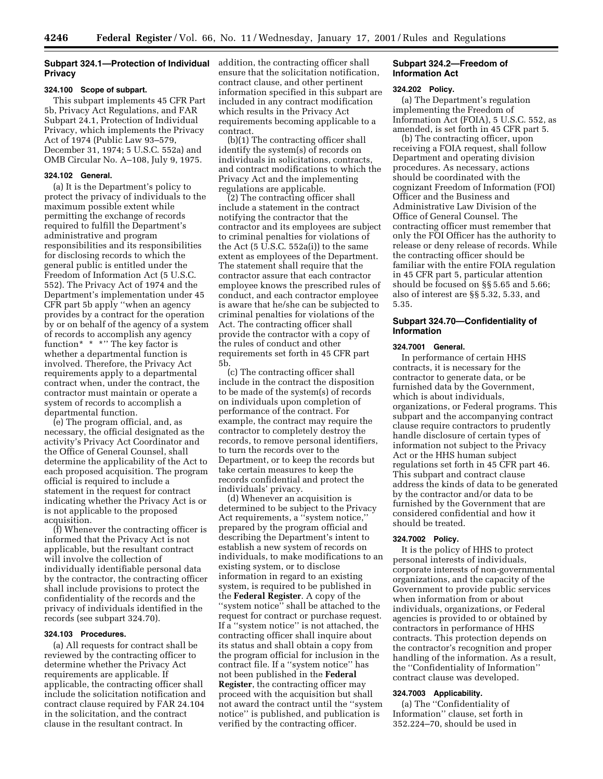## **Subpart 324.1—Protection of Individual Privacy**

#### **324.100 Scope of subpart.**

This subpart implements 45 CFR Part 5b, Privacy Act Regulations, and FAR Subpart 24.1, Protection of Individual Privacy, which implements the Privacy Act of 1974 (Public Law 93–579, December 31, 1974; 5 U.S.C. 552a) and OMB Circular No. A–108, July 9, 1975.

#### **324.102 General.**

(a) It is the Department's policy to protect the privacy of individuals to the maximum possible extent while permitting the exchange of records required to fulfill the Department's administrative and program responsibilities and its responsibilities for disclosing records to which the general public is entitled under the Freedom of Information Act (5 U.S.C. 552). The Privacy Act of 1974 and the Department's implementation under 45 CFR part 5b apply ''when an agency provides by a contract for the operation by or on behalf of the agency of a system of records to accomplish any agency function\* \* \*'' The key factor is whether a departmental function is involved. Therefore, the Privacy Act requirements apply to a departmental contract when, under the contract, the contractor must maintain or operate a system of records to accomplish a departmental function.

(e) The program official, and, as necessary, the official designated as the activity's Privacy Act Coordinator and the Office of General Counsel, shall determine the applicability of the Act to each proposed acquisition. The program official is required to include a statement in the request for contract indicating whether the Privacy Act is or is not applicable to the proposed acquisition.

(f) Whenever the contracting officer is informed that the Privacy Act is not applicable, but the resultant contract will involve the collection of individually identifiable personal data by the contractor, the contracting officer shall include provisions to protect the confidentiality of the records and the privacy of individuals identified in the records (see subpart 324.70).

#### **324.103 Procedures.**

(a) All requests for contract shall be reviewed by the contracting officer to determine whether the Privacy Act requirements are applicable. If applicable, the contracting officer shall include the solicitation notification and contract clause required by FAR 24.104 in the solicitation, and the contract clause in the resultant contract. In

addition, the contracting officer shall ensure that the solicitation notification, contract clause, and other pertinent information specified in this subpart are included in any contract modification which results in the Privacy Act requirements becoming applicable to a contract.

(b)(1) The contracting officer shall identify the system(s) of records on individuals in solicitations, contracts, and contract modifications to which the Privacy Act and the implementing regulations are applicable.

(2) The contracting officer shall include a statement in the contract notifying the contractor that the contractor and its employees are subject to criminal penalties for violations of the Act  $(5 \text{ U.S.C. } 552a(i))$  to the same extent as employees of the Department. The statement shall require that the contractor assure that each contractor employee knows the prescribed rules of conduct, and each contractor employee is aware that he/she can be subjected to criminal penalties for violations of the Act. The contracting officer shall provide the contractor with a copy of the rules of conduct and other requirements set forth in 45 CFR part 5b.

(c) The contracting officer shall include in the contract the disposition to be made of the system(s) of records on individuals upon completion of performance of the contract. For example, the contract may require the contractor to completely destroy the records, to remove personal identifiers, to turn the records over to the Department, or to keep the records but take certain measures to keep the records confidential and protect the individuals' privacy.

(d) Whenever an acquisition is determined to be subject to the Privacy Act requirements, a ''system notice,'' prepared by the program official and describing the Department's intent to establish a new system of records on individuals, to make modifications to an existing system, or to disclose information in regard to an existing system, is required to be published in the **Federal Register**. A copy of the ''system notice'' shall be attached to the request for contract or purchase request. If a ''system notice'' is not attached, the contracting officer shall inquire about its status and shall obtain a copy from the program official for inclusion in the contract file. If a ''system notice'' has not been published in the **Federal Register**, the contracting officer may proceed with the acquisition but shall not award the contract until the ''system notice'' is published, and publication is verified by the contracting officer.

#### **Subpart 324.2—Freedom of Information Act**

#### **324.202 Policy.**

(a) The Department's regulation implementing the Freedom of Information Act (FOIA), 5 U.S.C. 552, as amended, is set forth in 45 CFR part 5.

(b) The contracting officer, upon receiving a FOIA request, shall follow Department and operating division procedures. As necessary, actions should be coordinated with the cognizant Freedom of Information (FOI) Officer and the Business and Administrative Law Division of the Office of General Counsel. The contracting officer must remember that only the FOI Officer has the authority to release or deny release of records. While the contracting officer should be familiar with the entire FOIA regulation in 45 CFR part 5, particular attention should be focused on §§ 5.65 and 5.66; also of interest are §§ 5.32, 5.33, and 5.35.

## **Subpart 324.70—Confidentiality of Information**

#### **324.7001 General.**

In performance of certain HHS contracts, it is necessary for the contractor to generate data, or be furnished data by the Government, which is about individuals, organizations, or Federal programs. This subpart and the accompanying contract clause require contractors to prudently handle disclosure of certain types of information not subject to the Privacy Act or the HHS human subject regulations set forth in 45 CFR part 46. This subpart and contract clause address the kinds of data to be generated by the contractor and/or data to be furnished by the Government that are considered confidential and how it should be treated.

#### **324.7002 Policy.**

It is the policy of HHS to protect personal interests of individuals, corporate interests of non-governmental organizations, and the capacity of the Government to provide public services when information from or about individuals, organizations, or Federal agencies is provided to or obtained by contractors in performance of HHS contracts. This protection depends on the contractor's recognition and proper handling of the information. As a result, the ''Confidentiality of Information'' contract clause was developed.

## **324.7003 Applicability.**

(a) The ''Confidentiality of Information'' clause, set forth in 352.224–70, should be used in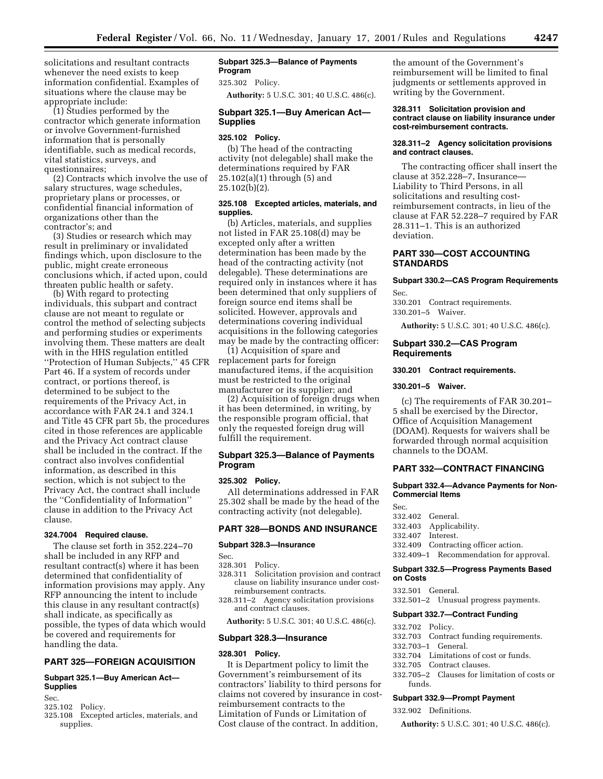solicitations and resultant contracts whenever the need exists to keep information confidential. Examples of situations where the clause may be appropriate include:

(1) Studies performed by the contractor which generate information or involve Government-furnished information that is personally identifiable, such as medical records, vital statistics, surveys, and questionnaires;

(2) Contracts which involve the use of salary structures, wage schedules, proprietary plans or processes, or confidential financial information of organizations other than the contractor's; and

(3) Studies or research which may result in preliminary or invalidated findings which, upon disclosure to the public, might create erroneous conclusions which, if acted upon, could threaten public health or safety.

(b) With regard to protecting individuals, this subpart and contract clause are not meant to regulate or control the method of selecting subjects and performing studies or experiments involving them. These matters are dealt with in the HHS regulation entitled ''Protection of Human Subjects,'' 45 CFR Part 46. If a system of records under contract, or portions thereof, is determined to be subject to the requirements of the Privacy Act, in accordance with FAR 24.1 and 324.1 and Title 45 CFR part 5b, the procedures cited in those references are applicable and the Privacy Act contract clause shall be included in the contract. If the contract also involves confidential information, as described in this section, which is not subject to the Privacy Act, the contract shall include the ''Confidentiality of Information'' clause in addition to the Privacy Act clause.

#### **324.7004 Required clause.**

The clause set forth in 352.224–70 shall be included in any RFP and resultant contract(s) where it has been determined that confidentiality of information provisions may apply. Any RFP announcing the intent to include this clause in any resultant contract(s) shall indicate, as specifically as possible, the types of data which would be covered and requirements for handling the data.

## **PART 325—FOREIGN ACQUISITION**

## **Subpart 325.1—Buy American Act— Supplies**

Sec.

325.102 Policy.

325.108 Excepted articles, materials, and supplies.

## **Subpart 325.3—Balance of Payments Program**

325.302 Policy.

**Authority:** 5 U.S.C. 301; 40 U.S.C. 486(c).

## **Subpart 325.1—Buy American Act— Supplies**

#### **325.102 Policy.**

(b) The head of the contracting activity (not delegable) shall make the determinations required by FAR 25.102(a)(1) through (5) and 25.102(b)(2).

## **325.108 Excepted articles, materials, and supplies.**

(b) Articles, materials, and supplies not listed in FAR 25.108(d) may be excepted only after a written determination has been made by the head of the contracting activity (not delegable). These determinations are required only in instances where it has been determined that only suppliers of foreign source end items shall be solicited. However, approvals and determinations covering individual acquisitions in the following categories may be made by the contracting officer:

(1) Acquisition of spare and replacement parts for foreign manufactured items, if the acquisition must be restricted to the original manufacturer or its supplier; and

(2) Acquisition of foreign drugs when it has been determined, in writing, by the responsible program official, that only the requested foreign drug will fulfill the requirement.

## **Subpart 325.3—Balance of Payments Program**

#### **325.302 Policy.**

All determinations addressed in FAR 25.302 shall be made by the head of the contracting activity (not delegable).

## **PART 328—BONDS AND INSURANCE**

## **Subpart 328.3—Insurance**

Sec.

- 328.301 Policy.
- 328.311 Solicitation provision and contract clause on liability insurance under costreimbursement contracts.
- 328.311–2 Agency solicitation provisions and contract clauses.

**Authority:** 5 U.S.C. 301; 40 U.S.C. 486(c).

#### **Subpart 328.3—Insurance**

## **328.301 Policy.**

It is Department policy to limit the Government's reimbursement of its contractors' liability to third persons for claims not covered by insurance in costreimbursement contracts to the Limitation of Funds or Limitation of Cost clause of the contract. In addition,

the amount of the Government's reimbursement will be limited to final judgments or settlements approved in writing by the Government.

#### **328.311 Solicitation provision and contract clause on liability insurance under cost-reimbursement contracts.**

#### **328.311–2 Agency solicitation provisions and contract clauses.**

The contracting officer shall insert the clause at 352.228–7, Insurance— Liability to Third Persons, in all solicitations and resulting costreimbursement contracts, in lieu of the clause at FAR 52.228–7 required by FAR 28.311–1. This is an authorized deviation.

## **PART 330—COST ACCOUNTING STANDARDS**

## **Subpart 330.2—CAS Program Requirements**

Sec.

330.201 Contract requirements. 330.201–5 Waiver.

**Authority:** 5 U.S.C. 301; 40 U.S.C. 486(c).

#### **Subpart 330.2—CAS Program Requirements**

#### **330.201 Contract requirements.**

#### **330.201–5 Waiver.**

(c) The requirements of FAR 30.201– 5 shall be exercised by the Director, Office of Acquisition Management (DOAM). Requests for waivers shall be forwarded through normal acquisition channels to the DOAM.

## **PART 332—CONTRACT FINANCING**

#### **Subpart 332.4—Advance Payments for Non-Commercial Items**

Sec. 332.402 General.

- 332.403 Applicability.
- 332.407 Interest.
- 
- 332.409 Contracting officer action.

332.409–1 Recommendation for approval.

## **Subpart 332.5—Progress Payments Based on Costs**

332.501 General.

332.501–2 Unusual progress payments.

## **Subpart 332.7—Contract Funding**

- 332.702 Policy.
- 332.703 Contract funding requirements.
- 332.703–1 General.
- 332.704 Limitations of cost or funds.
- 332.705 Contract clauses.
- 332.705–2 Clauses for limitation of costs or funds.

## **Subpart 332.9—Prompt Payment**

332.902 Definitions.

**Authority:** 5 U.S.C. 301; 40 U.S.C. 486(c).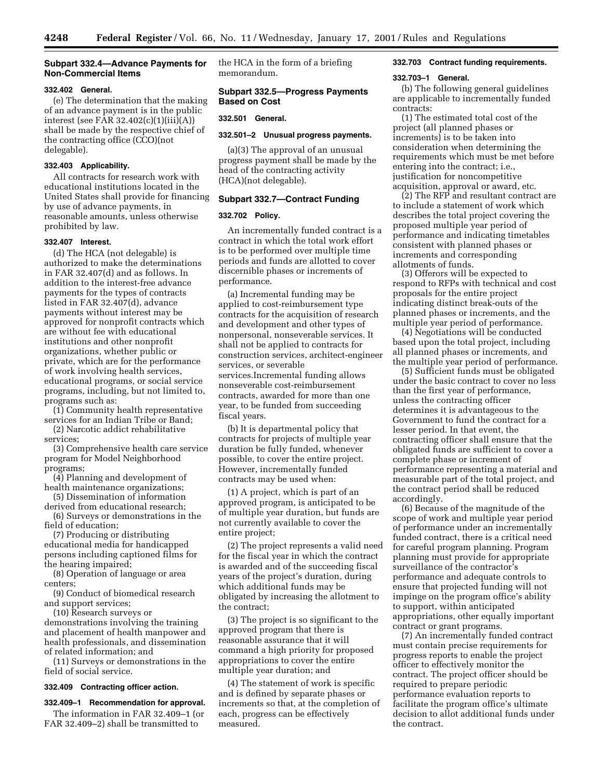## **Subpart 332.4—Advance Payments for Non-Commercial Items**

## **332.402 General.**

(e) The determination that the making of an advance payment is in the public interest (see FAR 32.402(c)(1)(iii)(A)) shall be made by the respective chief of the contracting office (CCO)(not delegable).

## **332.403 Applicability.**

All contracts for research work with educational institutions located in the United States shall provide for financing by use of advance payments, in reasonable amounts, unless otherwise prohibited by law.

## **332.407 Interest.**

(d) The HCA (not delegable) is authorized to make the determinations in FAR 32.407(d) and as follows. In addition to the interest-free advance payments for the types of contracts listed in FAR 32.407(d), advance payments without interest may be approved for nonprofit contracts which are without fee with educational institutions and other nonprofit organizations, whether public or private, which are for the performance of work involving health services, educational programs, or social service programs, including, but not limited to, programs such as:

(1) Community health representative services for an Indian Tribe or Band;

(2) Narcotic addict rehabilitative services;

(3) Comprehensive health care service program for Model Neighborhood programs;

(4) Planning and development of health maintenance organizations;

(5) Dissemination of information derived from educational research;

(6) Surveys or demonstrations in the field of education;

(7) Producing or distributing educational media for handicapped persons including captioned films for the hearing impaired;

(8) Operation of language or area centers;

(9) Conduct of biomedical research and support services;

(10) Research surveys or

demonstrations involving the training and placement of health manpower and health professionals, and dissemination of related information; and

(11) Surveys or demonstrations in the field of social service.

#### **332.409 Contracting officer action.**

## **332.409–1 Recommendation for approval.**

The information in FAR 32.409–1 (or FAR 32.409–2) shall be transmitted to

the HCA in the form of a briefing memorandum.

## **Subpart 332.5—Progress Payments Based on Cost**

#### **332.501 General.**

## **332.501–2 Unusual progress payments.**

(a)(3) The approval of an unusual progress payment shall be made by the head of the contracting activity (HCA)(not delegable).

#### **Subpart 332.7—Contract Funding**

## **332.702 Policy.**

An incrementally funded contract is a contract in which the total work effort is to be performed over multiple time periods and funds are allotted to cover discernible phases or increments of performance.

(a) Incremental funding may be applied to cost-reimbursement type contracts for the acquisition of research and development and other types of nonpersonal, nonseverable services. It shall not be applied to contracts for construction services, architect-engineer services, or severable services.Incremental funding allows nonseverable cost-reimbursement contracts, awarded for more than one year, to be funded from succeeding fiscal years.

(b) It is departmental policy that contracts for projects of multiple year duration be fully funded, whenever possible, to cover the entire project. However, incrementally funded contracts may be used when:

(1) A project, which is part of an approved program, is anticipated to be of multiple year duration, but funds are not currently available to cover the entire project;

(2) The project represents a valid need for the fiscal year in which the contract is awarded and of the succeeding fiscal years of the project's duration, during which additional funds may be obligated by increasing the allotment to the contract;

(3) The project is so significant to the approved program that there is reasonable assurance that it will command a high priority for proposed appropriations to cover the entire multiple year duration; and

(4) The statement of work is specific and is defined by separate phases or increments so that, at the completion of each, progress can be effectively measured.

## **332.703 Contract funding requirements.**

#### **332.703–1 General.**

(b) The following general guidelines are applicable to incrementally funded contracts:

(1) The estimated total cost of the project (all planned phases or increments) is to be taken into consideration when determining the requirements which must be met before entering into the contract; i.e., justification for noncompetitive acquisition, approval or award, etc.

(2) The RFP and resultant contract are to include a statement of work which describes the total project covering the proposed multiple year period of performance and indicating timetables consistent with planned phases or increments and corresponding allotments of funds.

(3) Offerors will be expected to respond to RFPs with technical and cost proposals for the entire project indicating distinct break-outs of the planned phases or increments, and the multiple year period of performance.

(4) Negotiations will be conducted based upon the total project, including all planned phases or increments, and the multiple year period of performance.

(5) Sufficient funds must be obligated under the basic contract to cover no less than the first year of performance, unless the contracting officer determines it is advantageous to the Government to fund the contract for a lesser period. In that event, the contracting officer shall ensure that the obligated funds are sufficient to cover a complete phase or increment of performance representing a material and measurable part of the total project, and the contract period shall be reduced accordingly.

(6) Because of the magnitude of the scope of work and multiple year period of performance under an incrementally funded contract, there is a critical need for careful program planning. Program planning must provide for appropriate surveillance of the contractor's performance and adequate controls to ensure that projected funding will not impinge on the program office's ability to support, within anticipated appropriations, other equally important contract or grant programs.

(7) An incrementally funded contract must contain precise requirements for progress reports to enable the project officer to effectively monitor the contract. The project officer should be required to prepare periodic performance evaluation reports to facilitate the program office's ultimate decision to allot additional funds under the contract.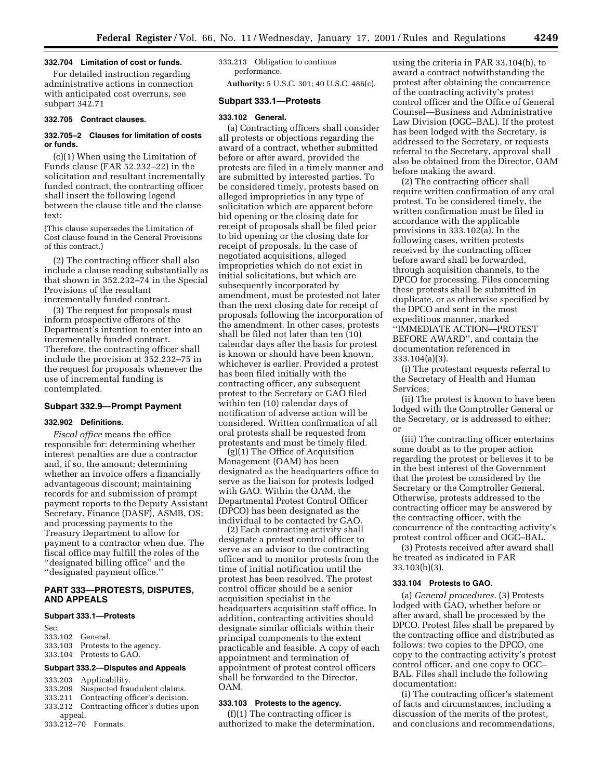#### **332.704 Limitation of cost or funds.**

For detailed instruction regarding administrative actions in connection with anticipated cost overruns, see subpart 342.71

## **332.705 Contract clauses.**

## **332.705–2 Clauses for limitation of costs or funds.**

(c)(1) When using the Limitation of Funds clause (FAR 52.232–22) in the solicitation and resultant incrementally funded contract, the contracting officer shall insert the following legend between the clause title and the clause text:

(This clause supersedes the Limitation of Cost clause found in the General Provisions of this contract.)

(2) The contracting officer shall also include a clause reading substantially as that shown in 352.232–74 in the Special Provisions of the resultant incrementally funded contract.

(3) The request for proposals must inform prospective offerors of the Department's intention to enter into an incrementally funded contract. Therefore, the contracting officer shall include the provision at 352.232–75 in the request for proposals whenever the use of incremental funding is contemplated.

## **Subpart 332.9—Prompt Payment**

## **332.902 Definitions.**

*Fiscal office* means the office responsible for: determining whether interest penalties are due a contractor and, if so, the amount; determining whether an invoice offers a financially advantageous discount; maintaining records for and submission of prompt payment reports to the Deputy Assistant Secretary, Finance (DASF), ASMB, OS; and processing payments to the Treasury Department to allow for payment to a contractor when due. The fiscal office may fulfill the roles of the ''designated billing office'' and the ''designated payment office.''

## **PART 333—PROTESTS, DISPUTES, AND APPEALS**

#### **Subpart 333.1—Protests**

Sec.

| 333.102 General.                |
|---------------------------------|
| 333.103 Protests to the agency. |
| 333.104 Protests to GAO.        |

#### **Subpart 333.2—Disputes and Appeals**

- 333.203 Applicability.
- 333.209 Suspected fraudulent claims.
- 333.211 Contracting officer's decision.
- Contracting officer's duties upon
- appeal. 333.212–70 Formats.

333.213 Obligation to continue performance.

**Authority:** 5 U.S.C. 301; 40 U.S.C. 486(c).

## **Subpart 333.1—Protests**

#### **333.102 General.**

(a) Contracting officers shall consider all protests or objections regarding the award of a contract, whether submitted before or after award, provided the protests are filed in a timely manner and are submitted by interested parties. To be considered timely, protests based on alleged improprieties in any type of solicitation which are apparent before bid opening or the closing date for receipt of proposals shall be filed prior to bid opening or the closing date for receipt of proposals. In the case of negotiated acquisitions, alleged improprieties which do not exist in initial solicitations, but which are subsequently incorporated by amendment, must be protested not later than the next closing date for receipt of proposals following the incorporation of the amendment. In other cases, protests shall be filed not later than ten (10) calendar days after the basis for protest is known or should have been known, whichever is earlier. Provided a protest has been filed initially with the contracting officer, any subsequent protest to the Secretary or GAO filed within ten (10) calendar days of notification of adverse action will be considered. Written confirmation of all oral protests shall be requested from protestants and must be timely filed.

(g)(1) The Office of Acquisition Management (OAM) has been designated as the headquarters office to serve as the liaison for protests lodged with GAO. Within the OAM, the Departmental Protest Control Officer (DPCO) has been designated as the individual to be contacted by GAO.

(2) Each contracting activity shall designate a protest control officer to serve as an advisor to the contracting officer and to monitor protests from the time of initial notification until the protest has been resolved. The protest control officer should be a senior acquisition specialist in the headquarters acquisition staff office. In addition, contracting activities should designate similar officials within their principal components to the extent practicable and feasible. A copy of each appointment and termination of appointment of protest control officers shall be forwarded to the Director, OAM.

## **333.103 Protests to the agency.**

(f)(1) The contracting officer is authorized to make the determination,

using the criteria in FAR 33.104(b), to award a contract notwithstanding the protest after obtaining the concurrence of the contracting activity's protest control officer and the Office of General Counsel—Business and Administrative Law Division (OGC–BAL). If the protest has been lodged with the Secretary, is addressed to the Secretary, or requests referral to the Secretary, approval shall also be obtained from the Director, OAM before making the award.

(2) The contracting officer shall require written confirmation of any oral protest. To be considered timely, the written confirmation must be filed in accordance with the applicable provisions in 333.102(a). In the following cases, written protests received by the contracting officer before award shall be forwarded, through acquisition channels, to the DPCO for processing. Files concerning these protests shall be submitted in duplicate, or as otherwise specified by the DPCO and sent in the most expeditious manner, marked ''IMMEDIATE ACTION—PROTEST BEFORE AWARD'', and contain the documentation referenced in 333.104(a)(3).

(i) The protestant requests referral to the Secretary of Health and Human Services;

(ii) The protest is known to have been lodged with the Comptroller General or the Secretary, or is addressed to either; or

(iii) The contracting officer entertains some doubt as to the proper action regarding the protest or believes it to be in the best interest of the Government that the protest be considered by the Secretary or the Comptroller General. Otherwise, protests addressed to the contracting officer may be answered by the contracting officer, with the concurrence of the contracting activity's protest control officer and OGC–BAL.

(3) Protests received after award shall be treated as indicated in FAR 33.103(b)(3).

#### **333.104 Protests to GAO.**

(a) *General procedures.* (3) Protests lodged with GAO, whether before or after award, shall be processed by the DPCO. Protest files shall be prepared by the contracting office and distributed as follows: two copies to the DPCO, one copy to the contracting activity's protest control officer, and one copy to OGC– BAL. Files shall include the following documentation:

(i) The contracting officer's statement of facts and circumstances, including a discussion of the merits of the protest, and conclusions and recommendations,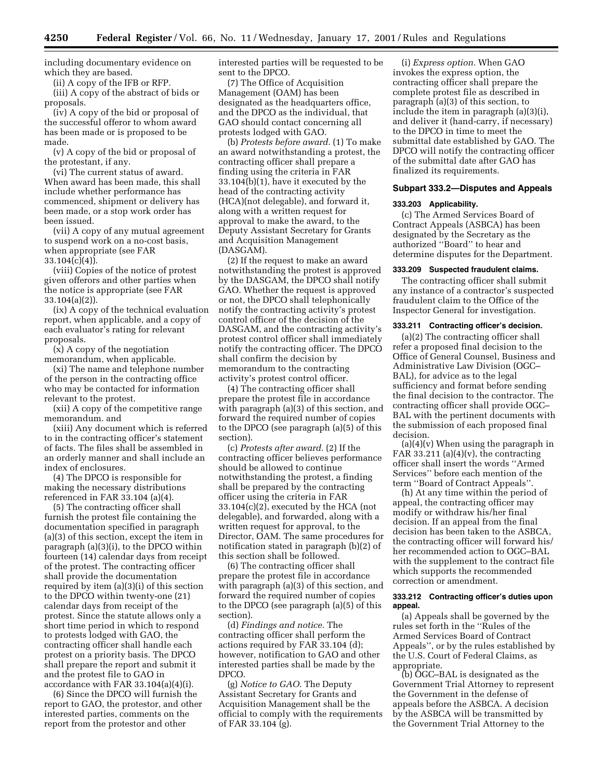including documentary evidence on which they are based.

(ii) A copy of the IFB or RFP.

(iii) A copy of the abstract of bids or proposals.

(iv) A copy of the bid or proposal of the successful offeror to whom award has been made or is proposed to be made.

(v) A copy of the bid or proposal of the protestant, if any.

(vi) The current status of award. When award has been made, this shall include whether performance has commenced, shipment or delivery has been made, or a stop work order has been issued.

(vii) A copy of any mutual agreement to suspend work on a no-cost basis, when appropriate (see FAR  $33.104(c)(4)$ .

(viii) Copies of the notice of protest given offerors and other parties when the notice is appropriate (see FAR 33.104(a)(2)).

(ix) A copy of the technical evaluation report, when applicable, and a copy of each evaluator's rating for relevant proposals.

(x) A copy of the negotiation memorandum, when applicable.

(xi) The name and telephone number of the person in the contracting office who may be contacted for information relevant to the protest.

(xii) A copy of the competitive range memorandum. and

(xiii) Any document which is referred to in the contracting officer's statement of facts. The files shall be assembled in an orderly manner and shall include an index of enclosures.

(4) The DPCO is responsible for making the necessary distributions referenced in FAR 33.104 (a)(4).

(5) The contracting officer shall furnish the protest file containing the documentation specified in paragraph (a)(3) of this section, except the item in paragraph (a)(3)(i), to the DPCO within fourteen (14) calendar days from receipt of the protest. The contracting officer shall provide the documentation required by item (a)(3)(i) of this section to the DPCO within twenty-one (21) calendar days from receipt of the protest. Since the statute allows only a short time period in which to respond to protests lodged with GAO, the contracting officer shall handle each protest on a priority basis. The DPCO shall prepare the report and submit it and the protest file to GAO in accordance with FAR 33.104(a)(4)(i).

(6) Since the DPCO will furnish the report to GAO, the protestor, and other interested parties, comments on the report from the protestor and other

interested parties will be requested to be sent to the DPCO.

(7) The Office of Acquisition Management (OAM) has been designated as the headquarters office, and the DPCO as the individual, that GAO should contact concerning all protests lodged with GAO.

(b) *Protests before award.* (1) To make an award notwithstanding a protest, the contracting officer shall prepare a finding using the criteria in FAR 33.104(b)(1), have it executed by the head of the contracting activity (HCA)(not delegable), and forward it, along with a written request for approval to make the award, to the Deputy Assistant Secretary for Grants and Acquisition Management (DASGAM).

(2) If the request to make an award notwithstanding the protest is approved by the DASGAM, the DPCO shall notify GAO. Whether the request is approved or not, the DPCO shall telephonically notify the contracting activity's protest control officer of the decision of the DASGAM, and the contracting activity's protest control officer shall immediately notify the contracting officer. The DPCO shall confirm the decision by memorandum to the contracting activity's protest control officer.

(4) The contracting officer shall prepare the protest file in accordance with paragraph (a)(3) of this section, and forward the required number of copies to the DPCO (see paragraph (a)(5) of this section).

(c) *Protests after award.* (2) If the contracting officer believes performance should be allowed to continue notwithstanding the protest, a finding shall be prepared by the contracting officer using the criteria in FAR 33.104(c)(2), executed by the HCA (not delegable), and forwarded, along with a written request for approval, to the Director, OAM. The same procedures for notification stated in paragraph (b)(2) of this section shall be followed.

(6) The contracting officer shall prepare the protest file in accordance with paragraph (a)(3) of this section, and forward the required number of copies to the DPCO (see paragraph (a)(5) of this section).

(d) *Findings and notice.* The contracting officer shall perform the actions required by FAR 33.104 (d); however, notification to GAO and other interested parties shall be made by the DPCO.

(g) *Notice to GAO.* The Deputy Assistant Secretary for Grants and Acquisition Management shall be the official to comply with the requirements of FAR 33.104 (g).

(i) *Express option.* When GAO invokes the express option, the contracting officer shall prepare the complete protest file as described in paragraph (a)(3) of this section, to include the item in paragraph (a)(3)(i), and deliver it (hand-carry, if necessary) to the DPCO in time to meet the submittal date established by GAO. The DPCO will notify the contracting officer of the submittal date after GAO has finalized its requirements.

## **Subpart 333.2—Disputes and Appeals**

#### **333.203 Applicability.**

(c) The Armed Services Board of Contract Appeals (ASBCA) has been designated by the Secretary as the authorized ''Board'' to hear and determine disputes for the Department.

#### **333.209 Suspected fraudulent claims.**

The contracting officer shall submit any instance of a contractor's suspected fraudulent claim to the Office of the Inspector General for investigation.

#### **333.211 Contracting officer's decision.**

(a)(2) The contracting officer shall refer a proposed final decision to the Office of General Counsel, Business and Administrative Law Division (OGC– BAL), for advice as to the legal sufficiency and format before sending the final decision to the contractor. The contracting officer shall provide OGC– BAL with the pertinent documents with the submission of each proposed final decision.

(a)(4)(v) When using the paragraph in FAR 33.211 (a) $(4)(v)$ , the contracting officer shall insert the words ''Armed Services'' before each mention of the term ''Board of Contract Appeals''.

(h) At any time within the period of appeal, the contracting officer may modify or withdraw his/her final decision. If an appeal from the final decision has been taken to the ASBCA, the contracting officer will forward his/ her recommended action to OGC–BAL with the supplement to the contract file which supports the recommended correction or amendment.

#### **333.212 Contracting officer's duties upon appeal.**

(a) Appeals shall be governed by the rules set forth in the ''Rules of the Armed Services Board of Contract Appeals'', or by the rules established by the U.S. Court of Federal Claims, as appropriate.

(b) OGC–BAL is designated as the Government Trial Attorney to represent the Government in the defense of appeals before the ASBCA. A decision by the ASBCA will be transmitted by the Government Trial Attorney to the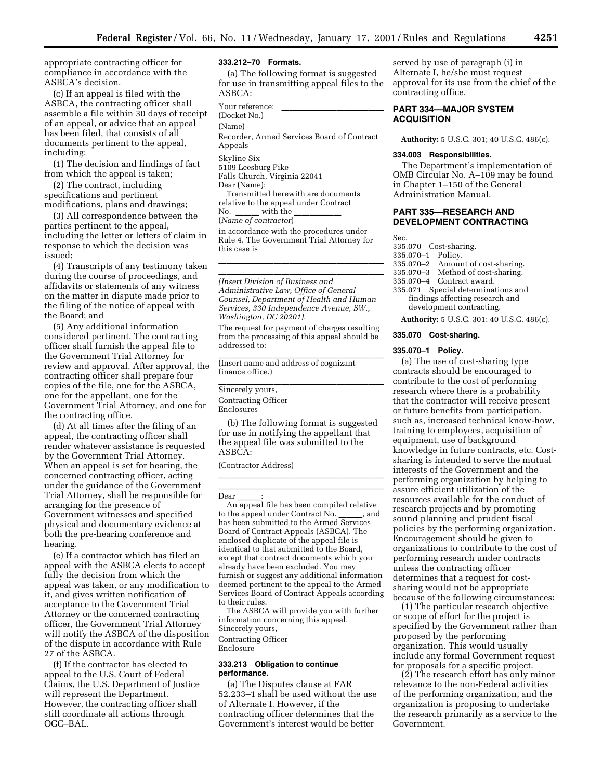appropriate contracting officer for compliance in accordance with the ASBCA's decision.

(c) If an appeal is filed with the ASBCA, the contracting officer shall assemble a file within 30 days of receipt of an appeal, or advice that an appeal has been filed, that consists of all documents pertinent to the appeal, including:

(1) The decision and findings of fact from which the appeal is taken;

(2) The contract, including specifications and pertinent modifications, plans and drawings;

(3) All correspondence between the parties pertinent to the appeal, including the letter or letters of claim in response to which the decision was issued;

(4) Transcripts of any testimony taken during the course of proceedings, and affidavits or statements of any witness on the matter in dispute made prior to the filing of the notice of appeal with the Board; and

(5) Any additional information considered pertinent. The contracting officer shall furnish the appeal file to the Government Trial Attorney for review and approval. After approval, the contracting officer shall prepare four copies of the file, one for the ASBCA, one for the appellant, one for the Government Trial Attorney, and one for the contracting office.

(d) At all times after the filing of an appeal, the contracting officer shall render whatever assistance is requested by the Government Trial Attorney. When an appeal is set for hearing, the concerned contracting officer, acting under the guidance of the Government Trial Attorney, shall be responsible for arranging for the presence of Government witnesses and specified physical and documentary evidence at both the pre-hearing conference and hearing.

(e) If a contractor which has filed an appeal with the ASBCA elects to accept fully the decision from which the appeal was taken, or any modification to it, and gives written notification of acceptance to the Government Trial Attorney or the concerned contracting officer, the Government Trial Attorney will notify the ASBCA of the disposition of the dispute in accordance with Rule 27 of the ASBCA.

(f) If the contractor has elected to appeal to the U.S. Court of Federal Claims, the U.S. Department of Justice will represent the Department. However, the contracting officer shall still coordinate all actions through OGC–BAL.

## **333.212–70 Formats.**

(a) The following format is suggested for use in transmitting appeal files to the ASBCA:

Your reference: (Docket No.) (Name) Recorder, Armed Services Board of Contract Appeals Skyline Six 5109 Leesburg Pike Falls Church, Virginia 22041 Dear (Name): Transmitted herewith are documents relative to the appeal under Contract No. \_\_\_\_\_ with the \_\_\_\_\_\_\_\_\_\_<br>(*Name of contractor*) in accordance with the procedures under Rule 4. The Government Trial Attorney for

lllllllllllllllllllll *(Insert Division of Business and Administrative Law, Office of General Counsel, Department of Health and Human Services, 330 Independence Avenue, SW., Washington, DC 20201)*.

lllland i den stats av den stats av den stats av den stats av den stats av den stats av den stats av den stats<br>En den stats av den stats av den stats av den stats av den stats av den stats av den stats av den stats av den

The request for payment of charges resulting from the processing of this appeal should be addressed to:

(Insert name and address of cognizant finance office.)

## Sincerely yours,

this case is

Contracting Officer Enclosures

(b) The following format is suggested for use in notifying the appellant that the appeal file was submitted to the ASBCA:

llland i den stats for den stats for den stats for den stats for den stats for den stats for den stats for den

(Contractor Address)

## lllllllllllllllllllll

Dear \_\_\_\_\_\_:<br>An appeal file has been compiled relative to the appeal under Contract No. \_\_\_\_\_, and<br>has been submitted to the Armed Services Board of Contract Appeals (ASBCA). The enclosed duplicate of the appeal file is identical to that submitted to the Board, except that contract documents which you already have been excluded. You may furnish or suggest any additional information deemed pertinent to the appeal to the Armed Services Board of Contract Appeals according to their rules.

The ASBCA will provide you with further information concerning this appeal. Sincerely yours, Contracting Officer

Enclosure

## **333.213 Obligation to continue performance.**

(a) The Disputes clause at FAR 52.233–1 shall be used without the use of Alternate I. However, if the contracting officer determines that the Government's interest would be better

served by use of paragraph (i) in Alternate I, he/she must request approval for its use from the chief of the contracting office.

## **PART 334—MAJOR SYSTEM ACQUISITION**

**Authority:** 5 U.S.C. 301; 40 U.S.C. 486(c).

#### **334.003 Responsibilities.**

The Department's implementation of OMB Circular No. A–109 may be found in Chapter 1–150 of the General Administration Manual.

## **PART 335—RESEARCH AND DEVELOPMENT CONTRACTING**

Sec.

- 335.070 Cost-sharing.
- 335.070–1 Policy.
- Amount of cost-sharing.
- 335.070–3 Method of cost-sharing.
- 335.070–4 Contract award.
- 335.071 Special determinations and findings affecting research and development contracting.

**Authority:** 5 U.S.C. 301; 40 U.S.C. 486(c).

#### **335.070 Cost-sharing.**

#### **335.070–1 Policy.**

(a) The use of cost-sharing type contracts should be encouraged to contribute to the cost of performing research where there is a probability that the contractor will receive present or future benefits from participation, such as, increased technical know-how, training to employees, acquisition of equipment, use of background knowledge in future contracts, etc. Costsharing is intended to serve the mutual interests of the Government and the performing organization by helping to assure efficient utilization of the resources available for the conduct of research projects and by promoting sound planning and prudent fiscal policies by the performing organization. Encouragement should be given to organizations to contribute to the cost of performing research under contracts unless the contracting officer determines that a request for costsharing would not be appropriate because of the following circumstances:

(1) The particular research objective or scope of effort for the project is specified by the Government rather than proposed by the performing organization. This would usually include any formal Government request for proposals for a specific project.

(2) The research effort has only minor relevance to the non-Federal activities of the performing organization, and the organization is proposing to undertake the research primarily as a service to the Government.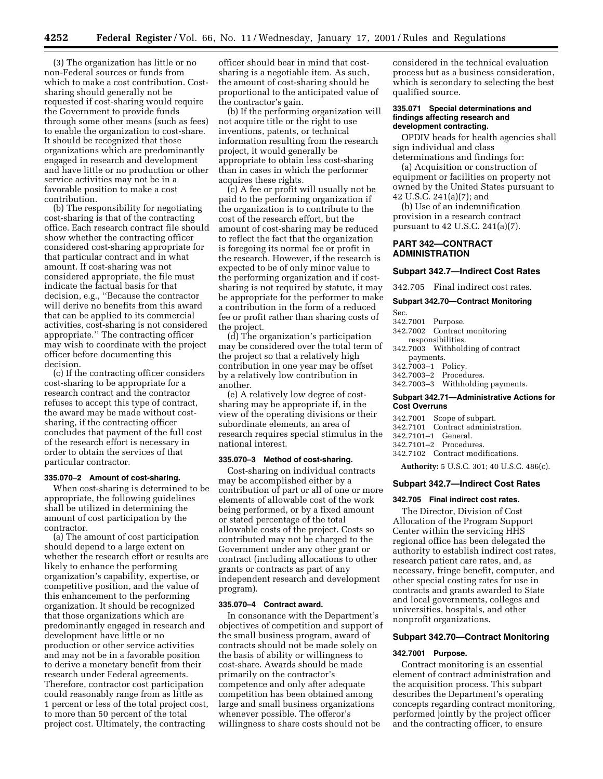(3) The organization has little or no non-Federal sources or funds from which to make a cost contribution. Costsharing should generally not be requested if cost-sharing would require the Government to provide funds through some other means (such as fees) to enable the organization to cost-share. It should be recognized that those organizations which are predominantly engaged in research and development and have little or no production or other service activities may not be in a favorable position to make a cost contribution.

(b) The responsibility for negotiating cost-sharing is that of the contracting office. Each research contract file should show whether the contracting officer considered cost-sharing appropriate for that particular contract and in what amount. If cost-sharing was not considered appropriate, the file must indicate the factual basis for that decision, e.g., ''Because the contractor will derive no benefits from this award that can be applied to its commercial activities, cost-sharing is not considered appropriate.'' The contracting officer may wish to coordinate with the project officer before documenting this decision.

(c) If the contracting officer considers cost-sharing to be appropriate for a research contract and the contractor refuses to accept this type of contract, the award may be made without costsharing, if the contracting officer concludes that payment of the full cost of the research effort is necessary in order to obtain the services of that particular contractor.

#### **335.070–2 Amount of cost-sharing.**

When cost-sharing is determined to be appropriate, the following guidelines shall be utilized in determining the amount of cost participation by the contractor.

(a) The amount of cost participation should depend to a large extent on whether the research effort or results are likely to enhance the performing organization's capability, expertise, or competitive position, and the value of this enhancement to the performing organization. It should be recognized that those organizations which are predominantly engaged in research and development have little or no production or other service activities and may not be in a favorable position to derive a monetary benefit from their research under Federal agreements. Therefore, contractor cost participation could reasonably range from as little as 1 percent or less of the total project cost, to more than 50 percent of the total project cost. Ultimately, the contracting

officer should bear in mind that costsharing is a negotiable item. As such, the amount of cost-sharing should be proportional to the anticipated value of the contractor's gain.

(b) If the performing organization will not acquire title or the right to use inventions, patents, or technical information resulting from the research project, it would generally be appropriate to obtain less cost-sharing than in cases in which the performer acquires these rights.

(c) A fee or profit will usually not be paid to the performing organization if the organization is to contribute to the cost of the research effort, but the amount of cost-sharing may be reduced to reflect the fact that the organization is foregoing its normal fee or profit in the research. However, if the research is expected to be of only minor value to the performing organization and if costsharing is not required by statute, it may be appropriate for the performer to make a contribution in the form of a reduced fee or profit rather than sharing costs of the project.

(d) The organization's participation may be considered over the total term of the project so that a relatively high contribution in one year may be offset by a relatively low contribution in another.

(e) A relatively low degree of costsharing may be appropriate if, in the view of the operating divisions or their subordinate elements, an area of research requires special stimulus in the national interest.

#### **335.070–3 Method of cost-sharing.**

Cost-sharing on individual contracts may be accomplished either by a contribution of part or all of one or more elements of allowable cost of the work being performed, or by a fixed amount or stated percentage of the total allowable costs of the project. Costs so contributed may not be charged to the Government under any other grant or contract (including allocations to other grants or contracts as part of any independent research and development program).

## **335.070–4 Contract award.**

In consonance with the Department's objectives of competition and support of the small business program, award of contracts should not be made solely on the basis of ability or willingness to cost-share. Awards should be made primarily on the contractor's competence and only after adequate competition has been obtained among large and small business organizations whenever possible. The offeror's willingness to share costs should not be

considered in the technical evaluation process but as a business consideration, which is secondary to selecting the best qualified source.

#### **335.071 Special determinations and findings affecting research and development contracting.**

OPDIV heads for health agencies shall sign individual and class determinations and findings for:

(a) Acquisition or construction of equipment or facilities on property not owned by the United States pursuant to 42 U.S.C. 241(a)(7); and

(b) Use of an indemnification provision in a research contract pursuant to 42 U.S.C. 241(a)(7).

## **PART 342—CONTRACT ADMINISTRATION**

#### **Subpart 342.7—Indirect Cost Rates**

342.705 Final indirect cost rates.

## **Subpart 342.70—Contract Monitoring**

Sec.

- 342.7001 Purpose. 342.7002 Contract monitoring
- responsibilities. 342.7003 Withholding of contract
- payments.
- 342.7003–1 Policy.
- 342.7003–2 Procedures.
- 342.7003–3 Withholding payments.

## **Subpart 342.71—Administrative Actions for Cost Overruns**

- 342.7001 Scope of subpart.
- 342.7101 Contract administration.
- 342.7101–1 General.
- 342.7101–2 Procedures.
- 342.7102 Contract modifications.

**Authority:** 5 U.S.C. 301; 40 U.S.C. 486(c).

#### **Subpart 342.7—Indirect Cost Rates**

#### **342.705 Final indirect cost rates.**

The Director, Division of Cost Allocation of the Program Support Center within the servicing HHS regional office has been delegated the authority to establish indirect cost rates, research patient care rates, and, as necessary, fringe benefit, computer, and other special costing rates for use in contracts and grants awarded to State and local governments, colleges and universities, hospitals, and other nonprofit organizations.

#### **Subpart 342.70—Contract Monitoring**

## **342.7001 Purpose.**

Contract monitoring is an essential element of contract administration and the acquisition process. This subpart describes the Department's operating concepts regarding contract monitoring, performed jointly by the project officer and the contracting officer, to ensure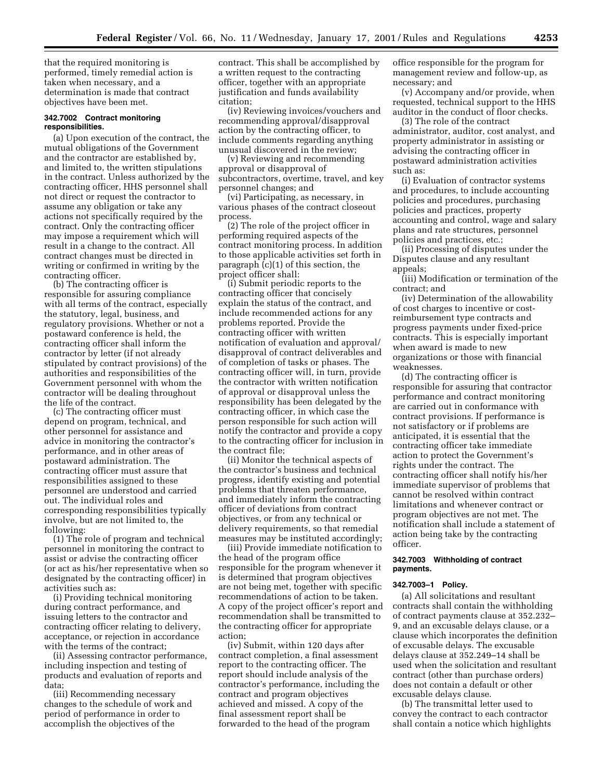that the required monitoring is performed, timely remedial action is taken when necessary, and a determination is made that contract objectives have been met.

#### **342.7002 Contract monitoring responsibilities.**

(a) Upon execution of the contract, the mutual obligations of the Government and the contractor are established by, and limited to, the written stipulations in the contract. Unless authorized by the contracting officer, HHS personnel shall not direct or request the contractor to assume any obligation or take any actions not specifically required by the contract. Only the contracting officer may impose a requirement which will result in a change to the contract. All contract changes must be directed in writing or confirmed in writing by the contracting officer.

(b) The contracting officer is responsible for assuring compliance with all terms of the contract, especially the statutory, legal, business, and regulatory provisions. Whether or not a postaward conference is held, the contracting officer shall inform the contractor by letter (if not already stipulated by contract provisions) of the authorities and responsibilities of the Government personnel with whom the contractor will be dealing throughout the life of the contract.

(c) The contracting officer must depend on program, technical, and other personnel for assistance and advice in monitoring the contractor's performance, and in other areas of postaward administration. The contracting officer must assure that responsibilities assigned to these personnel are understood and carried out. The individual roles and corresponding responsibilities typically involve, but are not limited to, the following:

(1) The role of program and technical personnel in monitoring the contract to assist or advise the contracting officer (or act as his/her representative when so designated by the contracting officer) in activities such as:

(i) Providing technical monitoring during contract performance, and issuing letters to the contractor and contracting officer relating to delivery, acceptance, or rejection in accordance with the terms of the contract;

(ii) Assessing contractor performance, including inspection and testing of products and evaluation of reports and data;

(iii) Recommending necessary changes to the schedule of work and period of performance in order to accomplish the objectives of the

contract. This shall be accomplished by a written request to the contracting officer, together with an appropriate justification and funds availability citation;

(iv) Reviewing invoices/vouchers and recommending approval/disapproval action by the contracting officer, to include comments regarding anything unusual discovered in the review;

(v) Reviewing and recommending approval or disapproval of subcontractors, overtime, travel, and key personnel changes; and

(vi) Participating, as necessary, in various phases of the contract closeout process.

(2) The role of the project officer in performing required aspects of the contract monitoring process. In addition to those applicable activities set forth in paragraph (c)(1) of this section, the project officer shall:

(i) Submit periodic reports to the contracting officer that concisely explain the status of the contract, and include recommended actions for any problems reported. Provide the contracting officer with written notification of evaluation and approval/ disapproval of contract deliverables and of completion of tasks or phases. The contracting officer will, in turn, provide the contractor with written notification of approval or disapproval unless the responsibility has been delegated by the contracting officer, in which case the person responsible for such action will notify the contractor and provide a copy to the contracting officer for inclusion in the contract file;

(ii) Monitor the technical aspects of the contractor's business and technical progress, identify existing and potential problems that threaten performance, and immediately inform the contracting officer of deviations from contract objectives, or from any technical or delivery requirements, so that remedial measures may be instituted accordingly;

(iii) Provide immediate notification to the head of the program office responsible for the program whenever it is determined that program objectives are not being met, together with specific recommendations of action to be taken. A copy of the project officer's report and recommendation shall be transmitted to the contracting officer for appropriate action;

(iv) Submit, within 120 days after contract completion, a final assessment report to the contracting officer. The report should include analysis of the contractor's performance, including the contract and program objectives achieved and missed. A copy of the final assessment report shall be forwarded to the head of the program

office responsible for the program for management review and follow-up, as necessary; and

(v) Accompany and/or provide, when requested, technical support to the HHS auditor in the conduct of floor checks.

(3) The role of the contract administrator, auditor, cost analyst, and property administrator in assisting or advising the contracting officer in postaward administration activities such as:

(i) Evaluation of contractor systems and procedures, to include accounting policies and procedures, purchasing policies and practices, property accounting and control, wage and salary plans and rate structures, personnel policies and practices, etc.;

(ii) Processing of disputes under the Disputes clause and any resultant appeals;

(iii) Modification or termination of the contract; and

(iv) Determination of the allowability of cost charges to incentive or costreimbursement type contracts and progress payments under fixed-price contracts. This is especially important when award is made to new organizations or those with financial weaknesses.

(d) The contracting officer is responsible for assuring that contractor performance and contract monitoring are carried out in conformance with contract provisions. If performance is not satisfactory or if problems are anticipated, it is essential that the contracting officer take immediate action to protect the Government's rights under the contract. The contracting officer shall notify his/her immediate supervisor of problems that cannot be resolved within contract limitations and whenever contract or program objectives are not met. The notification shall include a statement of action being take by the contracting officer.

## **342.7003 Withholding of contract payments.**

#### **342.7003–1 Policy.**

(a) All solicitations and resultant contracts shall contain the withholding of contract payments clause at 352.232– 9, and an excusable delays clause, or a clause which incorporates the definition of excusable delays. The excusable delays clause at 352.249–14 shall be used when the solicitation and resultant contract (other than purchase orders) does not contain a default or other excusable delays clause.

(b) The transmittal letter used to convey the contract to each contractor shall contain a notice which highlights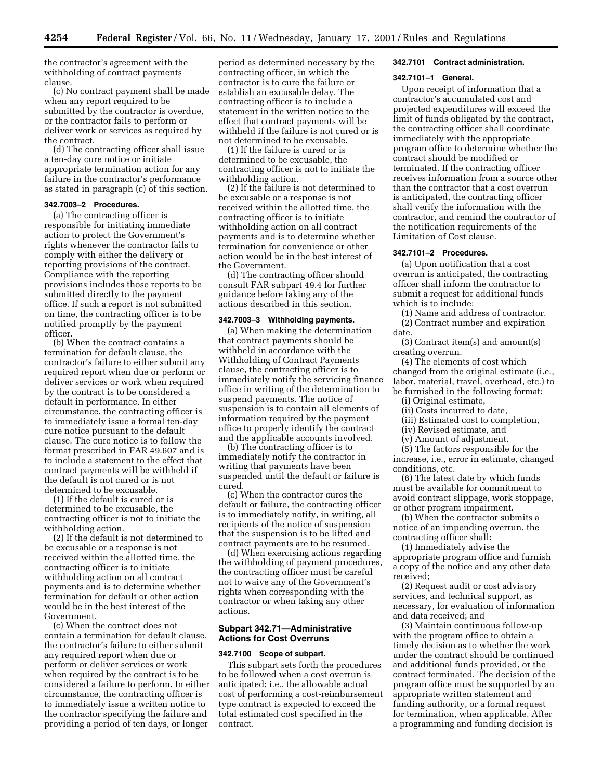the contractor's agreement with the withholding of contract payments clause.

(c) No contract payment shall be made when any report required to be submitted by the contractor is overdue, or the contractor fails to perform or deliver work or services as required by the contract.

(d) The contracting officer shall issue a ten-day cure notice or initiate appropriate termination action for any failure in the contractor's performance as stated in paragraph (c) of this section.

## **342.7003–2 Procedures.**

(a) The contracting officer is responsible for initiating immediate action to protect the Government's rights whenever the contractor fails to comply with either the delivery or reporting provisions of the contract. Compliance with the reporting provisions includes those reports to be submitted directly to the payment office. If such a report is not submitted on time, the contracting officer is to be notified promptly by the payment officer.

(b) When the contract contains a termination for default clause, the contractor's failure to either submit any required report when due or perform or deliver services or work when required by the contract is to be considered a default in performance. In either circumstance, the contracting officer is to immediately issue a formal ten-day cure notice pursuant to the default clause. The cure notice is to follow the format prescribed in FAR 49.607 and is to include a statement to the effect that contract payments will be withheld if the default is not cured or is not determined to be excusable.

(1) If the default is cured or is determined to be excusable, the contracting officer is not to initiate the withholding action.

(2) If the default is not determined to be excusable or a response is not received within the allotted time, the contracting officer is to initiate withholding action on all contract payments and is to determine whether termination for default or other action would be in the best interest of the Government.

(c) When the contract does not contain a termination for default clause, the contractor's failure to either submit any required report when due or perform or deliver services or work when required by the contract is to be considered a failure to perform. In either circumstance, the contracting officer is to immediately issue a written notice to the contractor specifying the failure and providing a period of ten days, or longer

period as determined necessary by the contracting officer, in which the contractor is to cure the failure or establish an excusable delay. The contracting officer is to include a statement in the written notice to the effect that contract payments will be withheld if the failure is not cured or is not determined to be excusable.

(1) If the failure is cured or is determined to be excusable, the contracting officer is not to initiate the withholding action.

(2) If the failure is not determined to be excusable or a response is not received within the allotted time, the contracting officer is to initiate withholding action on all contract payments and is to determine whether termination for convenience or other action would be in the best interest of the Government.

(d) The contracting officer should consult FAR subpart 49.4 for further guidance before taking any of the actions described in this section.

## **342.7003–3 Withholding payments.**

(a) When making the determination that contract payments should be withheld in accordance with the Withholding of Contract Payments clause, the contracting officer is to immediately notify the servicing finance office in writing of the determination to suspend payments. The notice of suspension is to contain all elements of information required by the payment office to properly identify the contract and the applicable accounts involved.

(b) The contracting officer is to immediately notify the contractor in writing that payments have been suspended until the default or failure is cured.

(c) When the contractor cures the default or failure, the contracting officer is to immediately notify, in writing, all recipients of the notice of suspension that the suspension is to be lifted and contract payments are to be resumed.

(d) When exercising actions regarding the withholding of payment procedures, the contracting officer must be careful not to waive any of the Government's rights when corresponding with the contractor or when taking any other actions.

## **Subpart 342.71—Administrative Actions for Cost Overruns**

#### **342.7100 Scope of subpart.**

This subpart sets forth the procedures to be followed when a cost overrun is anticipated; i.e., the allowable actual cost of performing a cost-reimbursement type contract is expected to exceed the total estimated cost specified in the contract.

#### **342.7101 Contract administration.**

#### **342.7101–1 General.**

Upon receipt of information that a contractor's accumulated cost and projected expenditures will exceed the limit of funds obligated by the contract, the contracting officer shall coordinate immediately with the appropriate program office to determine whether the contract should be modified or terminated. If the contracting officer receives information from a source other than the contractor that a cost overrun is anticipated, the contracting officer shall verify the information with the contractor, and remind the contractor of the notification requirements of the Limitation of Cost clause.

#### **342.7101–2 Procedures.**

(a) Upon notification that a cost overrun is anticipated, the contracting officer shall inform the contractor to submit a request for additional funds which is to include:

(1) Name and address of contractor. (2) Contract number and expiration date.

(3) Contract item(s) and amount(s) creating overrun.

(4) The elements of cost which changed from the original estimate (i.e., labor, material, travel, overhead, etc.) to be furnished in the following format:

(i) Original estimate,

(ii) Costs incurred to date,

(iii) Estimated cost to completion,

(iv) Revised estimate, and

(v) Amount of adjustment.

(5) The factors responsible for the increase, i.e., error in estimate, changed conditions, etc.

(6) The latest date by which funds must be available for commitment to avoid contract slippage, work stoppage, or other program impairment.

(b) When the contractor submits a notice of an impending overrun, the contracting officer shall:

(1) Immediately advise the appropriate program office and furnish a copy of the notice and any other data received;

(2) Request audit or cost advisory services, and technical support, as necessary, for evaluation of information and data received; and

(3) Maintain continuous follow-up with the program office to obtain a timely decision as to whether the work under the contract should be continued and additional funds provided, or the contract terminated. The decision of the program office must be supported by an appropriate written statement and funding authority, or a formal request for termination, when applicable. After a programming and funding decision is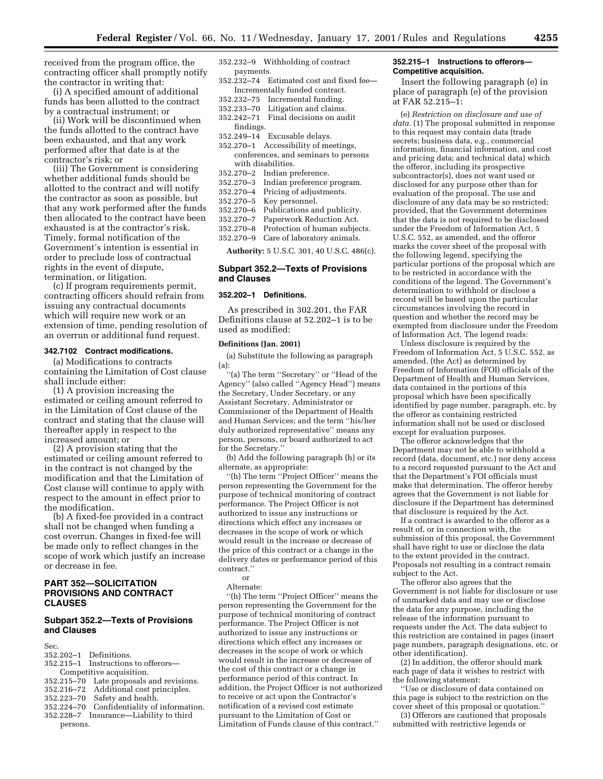received from the program office, the contracting officer shall promptly notify the contractor in writing that:

(i) A specified amount of additional funds has been allotted to the contract by a contractual instrument; or

(ii) Work will be discontinued when the funds allotted to the contract have been exhausted, and that any work performed after that date is at the contractor's risk; or

(iii) The Government is considering whether additional funds should be allotted to the contract and will notify the contractor as soon as possible, but that any work performed after the funds then allocated to the contract have been exhausted is at the contractor's risk. Timely, formal notification of the Government's intention is essential in order to preclude loss of contractual rights in the event of dispute, termination, or litigation.

(c) If program requirements permit, contracting officers should refrain from issuing any contractual documents which will require new work or an extension of time, pending resolution of an overrun or additional fund request.

#### **342.7102 Contract modifications.**

(a) Modifications to contracts containing the Limitation of Cost clause shall include either:

(1) A provision increasing the estimated or ceiling amount referred to in the Limitation of Cost clause of the contract and stating that the clause will thereafter apply in respect to the increased amount; or

(2) A provision stating that the estimated or ceiling amount referred to in the contract is not changed by the modification and that the Limitation of Cost clause will continue to apply with respect to the amount in effect prior to the modification.

(b) A fixed-fee provided in a contract shall not be changed when funding a cost overrun. Changes in fixed-fee will be made only to reflect changes in the scope of work which justify an increase or decrease in fee.

## **PART 352—SOLICITATION PROVISIONS AND CONTRACT CLAUSES**

## **Subpart 352.2—Texts of Provisions and Clauses**

Sec.<br>352.202–1 Definitions.

- 352.215–1 Instructions to offerors— Competitive acquisition. 352.215–70 Late proposals and revisions. 352.216–72 Additional cost principles. 352.223–70 Safety and health. 352.224–70 Confidentiality of information.
- 352.228–7 Insurance—Liability to third persons.
- 352.232–9 Withholding of contract payments.
- 352.232–74 Estimated cost and fixed fee— Incrementally funded contract.
- 352.232–75 Incremental funding.
- 352.233–70 Litigation and claims.
- 352.242–71 Final decisions on audit findings.
- 352.249–14 Excusable delays.
- 352.270–1 Accessibility of meetings, conferences, and seminars to persons with disabilities.
- 352.270–2 Indian preference.
- Indian preference program.
- 352.270–4 Pricing of adjustments.
- 352.270–5 Key personnel.
- 352.270–6 Publications and publicity.
- Paperwork Reduction Act.
- 352.270–8 Protection of human subjects.
- 352.270–9 Care of laboratory animals.

**Authority:** 5 U.S.C. 301, 40 U.S.C. 486(c).

## **Subpart 352.2—Texts of Provisions and Clauses**

#### **352.202–1 Definitions.**

As prescribed in 302.201, the FAR Definitions clause at 52.202–1 is to be used as modified:

#### **Definitions (Jan. 2001)**

(a) Substitute the following as paragraph (a):

''(a) The term ''Secretary'' or ''Head of the Agency'' (also called ''Agency Head'') means the Secretary, Under Secretary, or any Assistant Secretary, Administrator or Commissioner of the Department of Health and Human Services; and the term ''his/her duly authorized representative'' means any person, persons, or board authorized to act for the Secretary.''

(b) Add the following paragraph (h) or its alternate, as appropriate:

''(h) The term ''Project Officer'' means the person representing the Government for the purpose of technical monitoring of contract performance. The Project Officer is not authorized to issue any instructions or directions which effect any increases or decreases in the scope of work or which would result in the increase or decrease of the price of this contract or a change in the delivery dates or performance period of this contract.''

or

Alternate:

"(h) The term "Project Officer" means the person representing the Government for the purpose of technical monitoring of contract performance. The Project Officer is not authorized to issue any instructions or directions which effect any increases or decreases in the scope of work or which would result in the increase or decrease of the cost of this contract or a change in performance period of this contract. In addition, the Project Officer is not authorized to receive or act upon the Contractor's notification of a revised cost estimate pursuant to the Limitation of Cost or Limitation of Funds clause of this contract.''

#### **352.215–1 Instructions to offerors— Competitive acquisition.**

Insert the following paragraph (e) in place of paragraph (e) of the provision at FAR 52.215–1:

(e) *Restriction on disclosure and use of data.* (1) The proposal submitted in response to this request may contain data (trade secrets; business data, e.g., commercial information, financial information, and cost and pricing data; and technical data) which the offeror, including its prospective subcontractor(s), does not want used or disclosed for any purpose other than for evaluation of the proposal. The use and disclosure of any data may be so restricted; provided, that the Government determines that the data is not required to be disclosed under the Freedom of Information Act, 5 U.S.C. 552, as amended, and the offeror marks the cover sheet of the proposal with the following legend, specifying the particular portions of the proposal which are to be restricted in accordance with the conditions of the legend. The Government's determination to withhold or disclose a record will be based upon the particular circumstances involving the record in question and whether the record may be exempted from disclosure under the Freedom of Information Act. The legend reads:

Unless disclosure is required by the Freedom of Information Act, 5 U.S.C. 552, as amended, (the Act) as determined by Freedom of Information (FOI) officials of the Department of Health and Human Services, data contained in the portions of this proposal which have been specifically identified by page number, paragraph, etc. by the offeror as containing restricted information shall not be used or disclosed except for evaluation purposes.

The offeror acknowledges that the Department may not be able to withhold a record (data, document, etc.) nor deny access to a record requested pursuant to the Act and that the Department's FOI officials must make that determination. The offeror hereby agrees that the Government is not liable for disclosure if the Department has determined that disclosure is required by the Act.

If a contract is awarded to the offeror as a result of, or in connection with, the submission of this proposal, the Government shall have right to use or disclose the data to the extent provided in the contract. Proposals not resulting in a contract remain subject to the Act.

The offeror also agrees that the Government is not liable for disclosure or use of unmarked data and may use or disclose the data for any purpose, including the release of the information pursuant to requests under the Act. The data subject to this restriction are contained in pages (insert page numbers, paragraph designations, etc. or other identification).

(2) In addition, the offeror should mark each page of data it wishes to restrict with the following statement:

''Use or disclosure of data contained on this page is subject to the restriction on the cover sheet of this proposal or quotation.''

(3) Offerors are cautioned that proposals submitted with restrictive legends or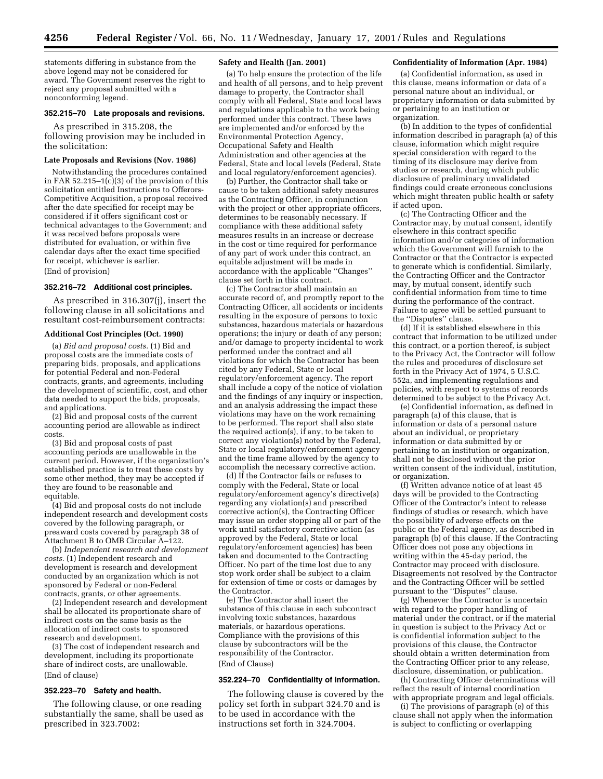statements differing in substance from the above legend may not be considered for award. The Government reserves the right to reject any proposal submitted with a nonconforming legend.

#### **352.215–70 Late proposals and revisions.**

As prescribed in 315.208, the following provision may be included in the solicitation:

#### **Late Proposals and Revisions (Nov. 1986)**

Notwithstanding the procedures contained in FAR  $52.215-1(c)(3)$  of the provision of this solicitation entitled Instructions to Offerors-Competitive Acquisition, a proposal received after the date specified for receipt may be considered if it offers significant cost or technical advantages to the Government; and it was received before proposals were distributed for evaluation, or within five calendar days after the exact time specified for receipt, whichever is earlier. (End of provision)

#### **352.216–72 Additional cost principles.**

As prescribed in 316.307(j), insert the following clause in all solicitations and resultant cost-reimbursement contracts:

## **Additional Cost Principles (Oct. 1990)**

(a) *Bid and proposal costs.* (1) Bid and proposal costs are the immediate costs of preparing bids, proposals, and applications for potential Federal and non-Federal contracts, grants, and agreements, including the development of scientific, cost, and other data needed to support the bids, proposals, and applications.

(2) Bid and proposal costs of the current accounting period are allowable as indirect costs.

(3) Bid and proposal costs of past accounting periods are unallowable in the current period. However, if the organization's established practice is to treat these costs by some other method, they may be accepted if they are found to be reasonable and equitable.

(4) Bid and proposal costs do not include independent research and development costs covered by the following paragraph, or preaward costs covered by paragraph 38 of Attachment B to OMB Circular A–122.

(b) *Independent research and development costs.* (1) Independent research and development is research and development conducted by an organization which is not sponsored by Federal or non-Federal contracts, grants, or other agreements.

(2) Independent research and development shall be allocated its proportionate share of indirect costs on the same basis as the allocation of indirect costs to sponsored research and development.

(3) The cost of independent research and development, including its proportionate share of indirect costs, are unallowable. (End of clause)

#### **352.223–70 Safety and health.**

The following clause, or one reading substantially the same, shall be used as prescribed in 323.7002:

#### **Safety and Health (Jan. 2001)**

(a) To help ensure the protection of the life and health of all persons, and to help prevent damage to property, the Contractor shall comply with all Federal, State and local laws and regulations applicable to the work being performed under this contract. These laws are implemented and/or enforced by the Environmental Protection Agency, Occupational Safety and Health Administration and other agencies at the Federal, State and local levels (Federal, State and local regulatory/enforcement agencies).

(b) Further, the Contractor shall take or cause to be taken additional safety measures as the Contracting Officer, in conjunction with the project or other appropriate officers, determines to be reasonably necessary. If compliance with these additional safety measures results in an increase or decrease in the cost or time required for performance of any part of work under this contract, an equitable adjustment will be made in accordance with the applicable ''Changes'' clause set forth in this contract.

(c) The Contractor shall maintain an accurate record of, and promptly report to the Contracting Officer, all accidents or incidents resulting in the exposure of persons to toxic substances, hazardous materials or hazardous operations; the injury or death of any person; and/or damage to property incidental to work performed under the contract and all violations for which the Contractor has been cited by any Federal, State or local regulatory/enforcement agency. The report shall include a copy of the notice of violation and the findings of any inquiry or inspection, and an analysis addressing the impact these violations may have on the work remaining to be performed. The report shall also state the required action(s), if any, to be taken to correct any violation(s) noted by the Federal, State or local regulatory/enforcement agency and the time frame allowed by the agency to accomplish the necessary corrective action.

(d) If the Contractor fails or refuses to comply with the Federal, State or local regulatory/enforcement agency's directive(s) regarding any violation(s) and prescribed corrective action(s), the Contracting Officer may issue an order stopping all or part of the work until satisfactory corrective action (as approved by the Federal, State or local regulatory/enforcement agencies) has been taken and documented to the Contracting Officer. No part of the time lost due to any stop work order shall be subject to a claim for extension of time or costs or damages by the Contractor.

(e) The Contractor shall insert the substance of this clause in each subcontract involving toxic substances, hazardous materials, or hazardous operations. Compliance with the provisions of this clause by subcontractors will be the responsibility of the Contractor. (End of Clause)

#### **352.224–70 Confidentiality of information.**

The following clause is covered by the policy set forth in subpart 324.70 and is to be used in accordance with the instructions set forth in 324.7004.

#### **Confidentiality of Information (Apr. 1984)**

(a) Confidential information, as used in this clause, means information or data of a personal nature about an individual, or proprietary information or data submitted by or pertaining to an institution or organization.

(b) In addition to the types of confidential information described in paragraph (a) of this clause, information which might require special consideration with regard to the timing of its disclosure may derive from studies or research, during which public disclosure of preliminary unvalidated findings could create erroneous conclusions which might threaten public health or safety if acted upon.

(c) The Contracting Officer and the Contractor may, by mutual consent, identify elsewhere in this contract specific information and/or categories of information which the Government will furnish to the Contractor or that the Contractor is expected to generate which is confidential. Similarly, the Contracting Officer and the Contractor may, by mutual consent, identify such confidential information from time to time during the performance of the contract. Failure to agree will be settled pursuant to the ''Disputes'' clause.

(d) If it is established elsewhere in this contract that information to be utilized under this contract, or a portion thereof, is subject to the Privacy Act, the Contractor will follow the rules and procedures of disclosure set forth in the Privacy Act of 1974, 5 U.S.C. 552a, and implementing regulations and policies, with respect to systems of records determined to be subject to the Privacy Act.

(e) Confidential information, as defined in paragraph (a) of this clause, that is information or data of a personal nature about an individual, or proprietary information or data submitted by or pertaining to an institution or organization, shall not be disclosed without the prior written consent of the individual, institution, or organization.

(f) Written advance notice of at least 45 days will be provided to the Contracting Officer of the Contractor's intent to release findings of studies or research, which have the possibility of adverse effects on the public or the Federal agency, as described in paragraph (b) of this clause. If the Contracting Officer does not pose any objections in writing within the 45-day period, the Contractor may proceed with disclosure. Disagreements not resolved by the Contractor and the Contracting Officer will be settled pursuant to the ''Disputes'' clause.

(g) Whenever the Contractor is uncertain with regard to the proper handling of material under the contract, or if the material in question is subject to the Privacy Act or is confidential information subject to the provisions of this clause, the Contractor should obtain a written determination from the Contracting Officer prior to any release, disclosure, dissemination, or publication.

(h) Contracting Officer determinations will reflect the result of internal coordination with appropriate program and legal officials.

(i) The provisions of paragraph (e) of this clause shall not apply when the information is subject to conflicting or overlapping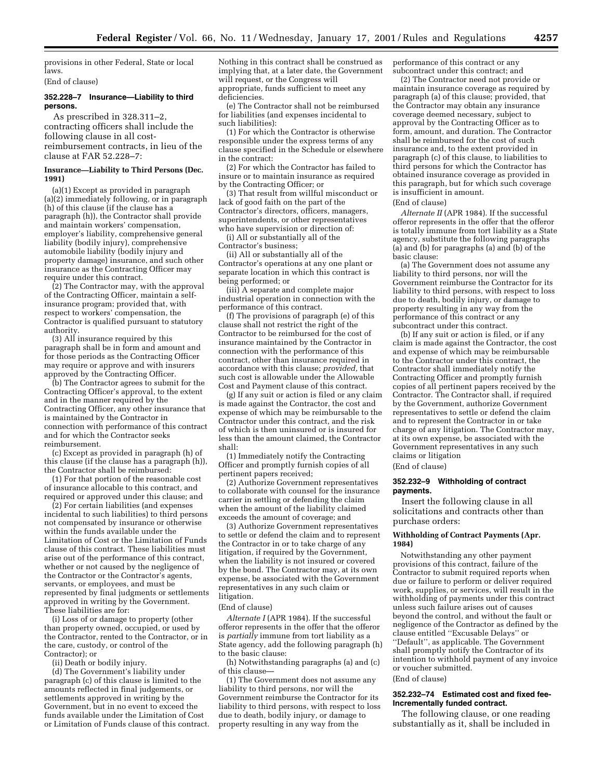provisions in other Federal, State or local laws.

(End of clause)

## **352.228–7 Insurance—Liability to third persons.**

As prescribed in 328.311–2, contracting officers shall include the following clause in all costreimbursement contracts, in lieu of the clause at FAR 52.228–7:

#### **Insurance—Liability to Third Persons (Dec. 1991)**

(a)(1) Except as provided in paragraph (a)(2) immediately following, or in paragraph (h) of this clause (if the clause has a paragraph (h)), the Contractor shall provide and maintain workers' compensation, employer's liability, comprehensive general liability (bodily injury), comprehensive automobile liability (bodily injury and property damage) insurance, and such other insurance as the Contracting Officer may require under this contract.

(2) The Contractor may, with the approval of the Contracting Officer, maintain a selfinsurance program; provided that, with respect to workers' compensation, the Contractor is qualified pursuant to statutory authority.

(3) All insurance required by this paragraph shall be in form and amount and for those periods as the Contracting Officer may require or approve and with insurers approved by the Contracting Officer.

(b) The Contractor agrees to submit for the Contracting Officer's approval, to the extent and in the manner required by the Contracting Officer, any other insurance that is maintained by the Contractor in connection with performance of this contract and for which the Contractor seeks reimbursement.

(c) Except as provided in paragraph (h) of this clause (if the clause has a paragraph (h)), the Contractor shall be reimbursed:

(1) For that portion of the reasonable cost of insurance allocable to this contract, and required or approved under this clause; and

(2) For certain liabilities (and expenses incidental to such liabilities) to third persons not compensated by insurance or otherwise within the funds available under the Limitation of Cost or the Limitation of Funds clause of this contract. These liabilities must arise out of the performance of this contract, whether or not caused by the negligence of the Contractor or the Contractor's agents, servants, or employees, and must be represented by final judgments or settlements approved in writing by the Government. These liabilities are for:

(i) Loss of or damage to property (other than property owned, occupied, or used by the Contractor, rented to the Contractor, or in the care, custody, or control of the Contractor); or

(ii) Death or bodily injury.

(d) The Government's liability under paragraph (c) of this clause is limited to the amounts reflected in final judgements, or settlements approved in writing by the Government, but in no event to exceed the funds available under the Limitation of Cost or Limitation of Funds clause of this contract.

Nothing in this contract shall be construed as implying that, at a later date, the Government will request, or the Congress will appropriate, funds sufficient to meet any deficiencies.

(e) The Contractor shall not be reimbursed for liabilities (and expenses incidental to such liabilities):

(1) For which the Contractor is otherwise responsible under the express terms of any clause specified in the Schedule or elsewhere in the contract:

(2) For which the Contractor has failed to insure or to maintain insurance as required by the Contracting Officer; or

(3) That result from willful misconduct or lack of good faith on the part of the Contractor's directors, officers, managers, superintendents, or other representatives who have supervision or direction of:

(i) All or substantially all of the Contractor's business;

(ii) All or substantially all of the Contractor's operations at any one plant or separate location in which this contract is being performed; or

(iii) A separate and complete major industrial operation in connection with the performance of this contract.

(f) The provisions of paragraph (e) of this clause shall not restrict the right of the Contractor to be reimbursed for the cost of insurance maintained by the Contractor in connection with the performance of this contract, other than insurance required in accordance with this clause; *provided,* that such cost is allowable under the Allowable Cost and Payment clause of this contract.

(g) If any suit or action is filed or any claim is made against the Contractor, the cost and expense of which may be reimbursable to the Contractor under this contract, and the risk of which is then uninsured or is insured for less than the amount claimed, the Contractor shall:

(1) Immediately notify the Contracting Officer and promptly furnish copies of all pertinent papers received;

(2) Authorize Government representatives to collaborate with counsel for the insurance carrier in settling or defending the claim when the amount of the liability claimed exceeds the amount of coverage; and

(3) Authorize Government representatives to settle or defend the claim and to represent the Contractor in or to take charge of any litigation, if required by the Government, when the liability is not insured or covered by the bond. The Contractor may, at its own expense, be associated with the Government representatives in any such claim or litigation.

#### (End of clause)

Alternate I (APR 1984). If the successful offeror represents in the offer that the offeror is *partially* immune from tort liability as a State agency, add the following paragraph (h) to the basic clause:

(h) Notwithstanding paragraphs (a) and (c) of this clause—

(1) The Government does not assume any liability to third persons, nor will the Government reimburse the Contractor for its liability to third persons, with respect to loss due to death, bodily injury, or damage to property resulting in any way from the

performance of this contract or any subcontract under this contract; and

(2) The Contractor need not provide or maintain insurance coverage as required by paragraph (a) of this clause; provided, that the Contractor may obtain any insurance coverage deemed necessary, subject to approval by the Contracting Officer as to form, amount, and duration. The Contractor shall be reimbursed for the cost of such insurance and, to the extent provided in paragraph (c) of this clause, to liabilities to third persons for which the Contractor has obtained insurance coverage as provided in this paragraph, but for which such coverage is insufficient in amount.

(End of clause)

*Alternate II* (APR 1984). If the successful offeror represents in the offer that the offeror is totally immune from tort liability as a State agency, substitute the following paragraphs (a) and (b) for paragraphs (a) and (b) of the basic clause:

(a) The Government does not assume any liability to third persons, nor will the Government reimburse the Contractor for its liability to third persons, with respect to loss due to death, bodily injury, or damage to property resulting in any way from the performance of this contract or any subcontract under this contract.

(b) If any suit or action is filed, or if any claim is made against the Contractor, the cost and expense of which may be reimbursable to the Contractor under this contract, the Contractor shall immediately notify the Contracting Officer and promptly furnish copies of all pertinent papers received by the Contractor. The Contractor shall, if required by the Government, authorize Government representatives to settle or defend the claim and to represent the Contractor in or take charge of any litigation. The Contractor may, at its own expense, be associated with the Government representatives in any such claims or litigation (End of clause)

## **352.232–9 Withholding of contract payments.**

Insert the following clause in all solicitations and contracts other than purchase orders:

#### **Withholding of Contract Payments (Apr. 1984)**

Notwithstanding any other payment provisions of this contract, failure of the Contractor to submit required reports when due or failure to perform or deliver required work, supplies, or services, will result in the withholding of payments under this contract unless such failure arises out of causes beyond the control, and without the fault or negligence of the Contractor as defined by the clause entitled ''Excusable Delays'' or ''Default'', as applicable. The Government shall promptly notify the Contractor of its intention to withhold payment of any invoice or voucher submitted.

(End of clause)

#### **352.232–74 Estimated cost and fixed fee-Incrementally funded contract.**

The following clause, or one reading substantially as it, shall be included in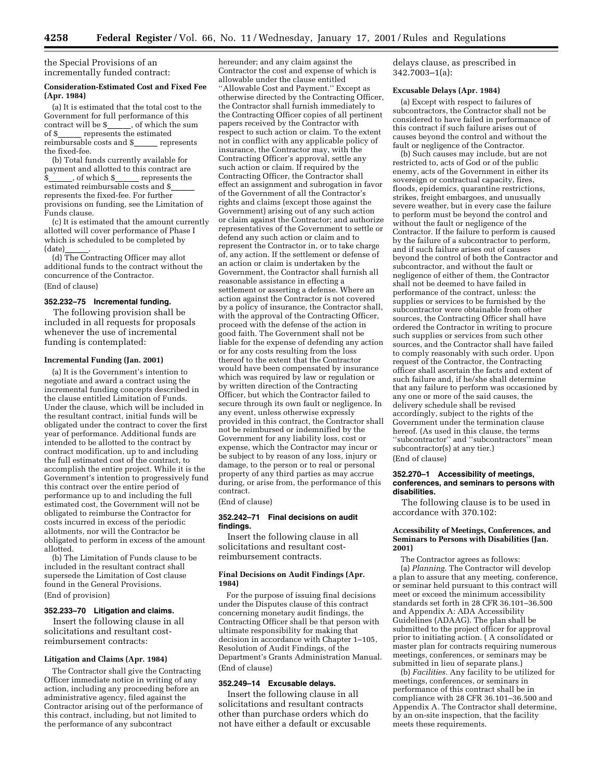the Special Provisions of an incrementally funded contract:

## **Consideration-Estimated Cost and Fixed Fee (Apr. 1984)**

(a) It is estimated that the total cost to the Government for full performance of this<br>contract will be \$, of which the su contract will be  $\frac{1}{s}$ , of which the sum of  $\frac{s}{s}$  represents the estimated \_ represents the estimated<br>able costs and \$\_\_\_\_\_ represents reimbursable costs and \$\_ the fixed-fee.

(b) Total funds currently available for payment and allotted to this contract are \$\_\_\_\_\_, of which \$\_\_\_\_ represents the estimated reimbursable costs and \$ represents the fixed-fee. For further provisions on funding, see the Limitation of Funds clause.

(c) It is estimated that the amount currently allotted will cover performance of Phase I which is scheduled to be completed by (date)\_\_\_\_\_\_\_.<br>(d) The Contracting Officer may allot

additional funds to the contract without the concurrence of the Contractor. (End of clause)

#### **352.232–75 Incremental funding.**

The following provision shall be included in all requests for proposals whenever the use of incremental funding is contemplated:

#### **Incremental Funding (Jan. 2001)**

(a) It is the Government's intention to negotiate and award a contract using the incremental funding concepts described in the clause entitled Limitation of Funds. Under the clause, which will be included in the resultant contract, initial funds will be obligated under the contract to cover the first year of performance. Additional funds are intended to be allotted to the contract by contract modification, up to and including the full estimated cost of the contract, to accomplish the entire project. While it is the Government's intention to progressively fund this contract over the entire period of performance up to and including the full estimated cost, the Government will not be obligated to reimburse the Contractor for costs incurred in excess of the periodic allotments, nor will the Contractor be obligated to perform in excess of the amount allotted.

(b) The Limitation of Funds clause to be included in the resultant contract shall supersede the Limitation of Cost clause found in the General Provisions. (End of provision)

## **352.233–70 Litigation and claims.**

Insert the following clause in all solicitations and resultant costreimbursement contracts:

#### **Litigation and Claims (Apr. 1984)**

The Contractor shall give the Contracting Officer immediate notice in writing of any action, including any proceeding before an administrative agency, filed against the Contractor arising out of the performance of this contract, including, but not limited to the performance of any subcontract

hereunder; and any claim against the Contractor the cost and expense of which is allowable under the clause entitled ''Allowable Cost and Payment.'' Except as otherwise directed by the Contracting Officer, the Contractor shall furnish immediately to the Contracting Officer copies of all pertinent papers received by the Contractor with respect to such action or claim. To the extent not in conflict with any applicable policy of insurance, the Contractor may, with the Contracting Officer's approval, settle any such action or claim. If required by the Contracting Officer, the Contractor shall effect an assignment and subrogation in favor of the Government of all the Contractor's rights and claims (except those against the Government) arising out of any such action or claim against the Contractor; and authorize representatives of the Government to settle or defend any such action or claim and to represent the Contractor in, or to take charge of, any action. If the settlement or defense of an action or claim is undertaken by the Government, the Contractor shall furnish all reasonable assistance in effecting a settlement or asserting a defense. Where an action against the Contractor is not covered by a policy of insurance, the Contractor shall, with the approval of the Contracting Officer, proceed with the defense of the action in good faith. The Government shall not be liable for the expense of defending any action or for any costs resulting from the loss thereof to the extent that the Contractor would have been compensated by insurance which was required by law or regulation or by written direction of the Contracting Officer, but which the Contractor failed to secure through its own fault or negligence. In any event, unless otherwise expressly provided in this contract, the Contractor shall not be reimbursed or indemnified by the Government for any liability loss, cost or expense, which the Contractor may incur or be subject to by reason of any loss, injury or damage, to the person or to real or personal property of any third parties as may accrue during, or arise from, the performance of this contract.

#### (End of clause)

#### **352.242–71 Final decisions on audit findings.**

Insert the following clause in all solicitations and resultant costreimbursement contracts.

#### **Final Decisions on Audit Findings (Apr. 1984)**

For the purpose of issuing final decisions under the Disputes clause of this contract concerning monetary audit findings, the Contracting Officer shall be that person with ultimate responsibility for making that decision in accordance with Chapter 1–105, Resolution of Audit Findings, of the Department's Grants Administration Manual. (End of clause)

#### **352.249–14 Excusable delays.**

Insert the following clause in all solicitations and resultant contracts other than purchase orders which do not have either a default or excusable delays clause, as prescribed in 342.7003–1(a):

## **Excusable Delays (Apr. 1984)**

(a) Except with respect to failures of subcontractors, the Contractor shall not be considered to have failed in performance of this contract if such failure arises out of causes beyond the control and without the fault or negligence of the Contractor.

(b) Such causes may include, but are not restricted to, acts of God or of the public enemy, acts of the Government in either its sovereign or contractual capacity, fires, floods, epidemics, quarantine restrictions, strikes, freight embargoes, and unusually severe weather, but in every case the failure to perform must be beyond the control and without the fault or negligence of the Contractor. If the failure to perform is caused by the failure of a subcontractor to perform, and if such failure arises out of causes beyond the control of both the Contractor and subcontractor, and without the fault or negligence of either of them, the Contractor shall not be deemed to have failed in performance of the contract, unless: the supplies or services to be furnished by the subcontractor were obtainable from other sources, the Contracting Officer shall have ordered the Contractor in writing to procure such supplies or services from such other sources, and the Contractor shall have failed to comply reasonably with such order. Upon request of the Contractor, the Contracting officer shall ascertain the facts and extent of such failure and, if he/she shall determine that any failure to perform was occasioned by any one or more of the said causes, the delivery schedule shall be revised accordingly, subject to the rights of the Government under the termination clause hereof. (As used in this clause, the terms ''subcontractor'' and ''subcontractors'' mean subcontractor(s) at any tier.) (End of clause)

## **352.270–1 Accessibility of meetings,**

## **conferences, and seminars to persons with disabilities.**

The following clause is to be used in accordance with 370.102:

## **Accessibility of Meetings, Conferences, and Seminars to Persons with Disabilities (Jan. 2001)**

The Contractor agrees as follows: (a) *Planning.* The Contractor will develop a plan to assure that any meeting, conference, or seminar held pursuant to this contract will meet or exceed the minimum accessibility standards set forth in 28 CFR 36.101–36.500 and Appendix A: ADA Accessibility Guidelines (ADAAG). The plan shall be submitted to the project officer for approval prior to initiating action. ( A consolidated or master plan for contracts requiring numerous meetings, conferences, or seminars may be submitted in lieu of separate plans.)

(b) *Facilities.* Any facility to be utilized for meetings, conferences, or seminars in performance of this contract shall be in compliance with 28 CFR 36.101–36.500 and Appendix A. The Contractor shall determine, by an on-site inspection, that the facility meets these requirements.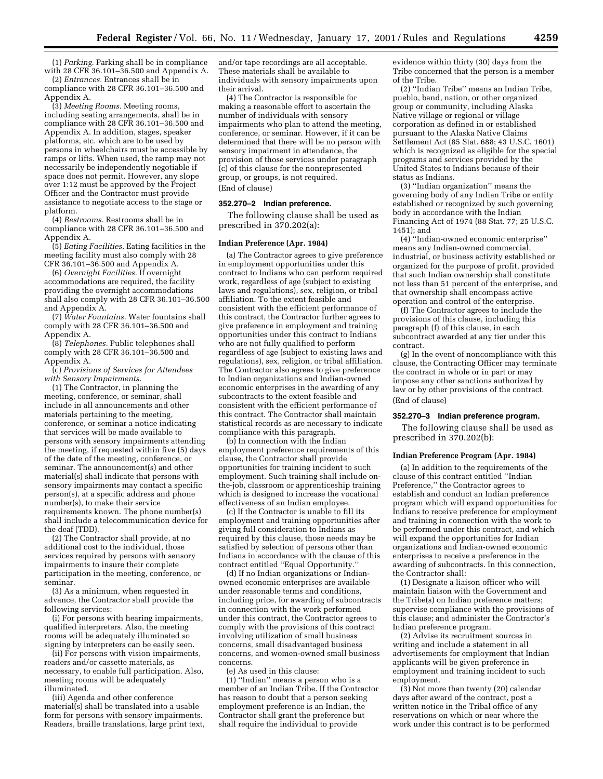(1) *Parking.* Parking shall be in compliance with 28 CFR 36.101–36.500 and Appendix A.

(2) *Entrances.* Entrances shall be in compliance with 28 CFR 36.101–36.500 and Appendix A.

(3) *Meeting Rooms.* Meeting rooms, including seating arrangements, shall be in compliance with 28 CFR 36.101–36.500 and Appendix A. In addition, stages, speaker platforms, etc. which are to be used by persons in wheelchairs must be accessible by ramps or lifts. When used, the ramp may not necessarily be independently negotiable if space does not permit. However, any slope over 1:12 must be approved by the Project Officer and the Contractor must provide assistance to negotiate access to the stage or platform.

(4) *Restrooms.* Restrooms shall be in compliance with 28 CFR 36.101–36.500 and Appendix A.

(5) *Eating Facilities.* Eating facilities in the meeting facility must also comply with 28 CFR 36.101–36.500 and Appendix A.

(6) *Overnight Facilities.* If overnight accommodations are required, the facility providing the overnight accommodations shall also comply with 28 CFR 36.101–36.500 and Appendix A.

(7) *Water Fountains.* Water fountains shall comply with 28 CFR 36.101–36.500 and Appendix A.

(8) *Telephones.* Public telephones shall comply with 28 CFR 36.101–36.500 and Appendix A.

(c) *Provisions of Services for Attendees with Sensory Impairments.*

(1) The Contractor, in planning the meeting, conference, or seminar, shall include in all announcements and other materials pertaining to the meeting, conference, or seminar a notice indicating that services will be made available to persons with sensory impairments attending the meeting, if requested within five (5) days of the date of the meeting, conference, or seminar. The announcement(s) and other material(s) shall indicate that persons with sensory impairments may contact a specific person(s), at a specific address and phone number(s), to make their service requirements known. The phone number(s) shall include a telecommunication device for the deaf (TDD).

(2) The Contractor shall provide, at no additional cost to the individual, those services required by persons with sensory impairments to insure their complete participation in the meeting, conference, or seminar.

(3) As a minimum, when requested in advance, the Contractor shall provide the following services:

(i) For persons with hearing impairments, qualified interpreters. Also, the meeting rooms will be adequately illuminated so signing by interpreters can be easily seen.

(ii) For persons with vision impairments, readers and/or cassette materials, as necessary, to enable full participation. Also, meeting rooms will be adequately illuminated.

(iii) Agenda and other conference material(s) shall be translated into a usable form for persons with sensory impairments. Readers, braille translations, large print text, and/or tape recordings are all acceptable. These materials shall be available to individuals with sensory impairments upon their arrival.

(4) The Contractor is responsible for making a reasonable effort to ascertain the number of individuals with sensory impairments who plan to attend the meeting, conference, or seminar. However, if it can be determined that there will be no person with sensory impairment in attendance, the provision of those services under paragraph (c) of this clause for the nonrepresented group, or groups, is not required. (End of clause)

#### **352.270–2 Indian preference.**

The following clause shall be used as prescribed in 370.202(a):

#### **Indian Preference (Apr. 1984)**

(a) The Contractor agrees to give preference in employment opportunities under this contract to Indians who can perform required work, regardless of age (subject to existing laws and regulations), sex, religion, or tribal affiliation. To the extent feasible and consistent with the efficient performance of this contract, the Contractor further agrees to give preference in employment and training opportunities under this contract to Indians who are not fully qualified to perform regardless of age (subject to existing laws and regulations), sex, religion, or tribal affiliation. The Contractor also agrees to give preference to Indian organizations and Indian-owned economic enterprises in the awarding of any subcontracts to the extent feasible and consistent with the efficient performance of this contract. The Contractor shall maintain statistical records as are necessary to indicate compliance with this paragraph.

(b) In connection with the Indian employment preference requirements of this clause, the Contractor shall provide opportunities for training incident to such employment. Such training shall include onthe-job, classroom or apprenticeship training which is designed to increase the vocational effectiveness of an Indian employee.

(c) If the Contractor is unable to fill its employment and training opportunities after giving full consideration to Indians as required by this clause, those needs may be satisfied by selection of persons other than Indians in accordance with the clause of this contract entitled ''Equal Opportunity.''

(d) If no Indian organizations or Indianowned economic enterprises are available under reasonable terms and conditions, including price, for awarding of subcontracts in connection with the work performed under this contract, the Contractor agrees to comply with the provisions of this contract involving utilization of small business concerns, small disadvantaged business concerns, and women-owned small business concerns.

(e) As used in this clause:

(1) ''Indian'' means a person who is a member of an Indian Tribe. If the Contractor has reason to doubt that a person seeking employment preference is an Indian, the Contractor shall grant the preference but shall require the individual to provide

evidence within thirty (30) days from the Tribe concerned that the person is a member of the Tribe.

(2) ''Indian Tribe'' means an Indian Tribe, pueblo, band, nation, or other organized group or community, including Alaska Native village or regional or village corporation as defined in or established pursuant to the Alaska Native Claims Settlement Act (85 Stat. 688; 43 U.S.C. 1601) which is recognized as eligible for the special programs and services provided by the United States to Indians because of their status as Indians.

(3) ''Indian organization'' means the governing body of any Indian Tribe or entity established or recognized by such governing body in accordance with the Indian Financing Act of 1974 (88 Stat. 77; 25 U.S.C. 1451); and

(4) ''Indian-owned economic enterprise'' means any Indian-owned commercial, industrial, or business activity established or organized for the purpose of profit, provided that such Indian ownership shall constitute not less than 51 percent of the enterprise, and that ownership shall encompass active operation and control of the enterprise.

(f) The Contractor agrees to include the provisions of this clause, including this paragraph (f) of this clause, in each subcontract awarded at any tier under this contract.

(g) In the event of noncompliance with this clause, the Contracting Officer may terminate the contract in whole or in part or may impose any other sanctions authorized by law or by other provisions of the contract. (End of clause)

#### **352.270–3 Indian preference program.**

The following clause shall be used as prescribed in 370.202(b):

#### **Indian Preference Program (Apr. 1984)**

(a) In addition to the requirements of the clause of this contract entitled ''Indian Preference,'' the Contractor agrees to establish and conduct an Indian preference program which will expand opportunities for Indians to receive preference for employment and training in connection with the work to be performed under this contract, and which will expand the opportunities for Indian organizations and Indian-owned economic enterprises to receive a preference in the awarding of subcontracts. In this connection, the Contractor shall:

(1) Designate a liaison officer who will maintain liaison with the Government and the Tribe(s) on Indian preference matters; supervise compliance with the provisions of this clause; and administer the Contractor's Indian preference program.

(2) Advise its recruitment sources in writing and include a statement in all advertisements for employment that Indian applicants will be given preference in employment and training incident to such employment.

(3) Not more than twenty (20) calendar days after award of the contract, post a written notice in the Tribal office of any reservations on which or near where the work under this contract is to be performed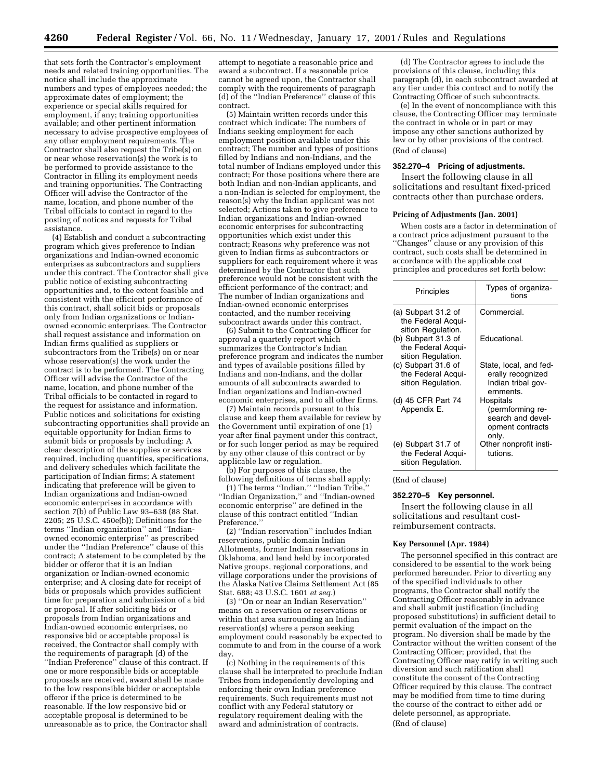that sets forth the Contractor's employment needs and related training opportunities. The notice shall include the approximate numbers and types of employees needed; the approximate dates of employment; the experience or special skills required for employment, if any; training opportunities available; and other pertinent information necessary to advise prospective employees of any other employment requirements. The Contractor shall also request the Tribe(s) on or near whose reservation(s) the work is to be performed to provide assistance to the Contractor in filling its employment needs and training opportunities. The Contracting Officer will advise the Contractor of the name, location, and phone number of the Tribal officials to contact in regard to the posting of notices and requests for Tribal assistance.

(4) Establish and conduct a subcontracting program which gives preference to Indian organizations and Indian-owned economic enterprises as subcontractors and suppliers under this contract. The Contractor shall give public notice of existing subcontracting opportunities and, to the extent feasible and consistent with the efficient performance of this contract, shall solicit bids or proposals only from Indian organizations or Indianowned economic enterprises. The Contractor shall request assistance and information on Indian firms qualified as suppliers or subcontractors from the Tribe(s) on or near whose reservation(s) the work under the contract is to be performed. The Contracting Officer will advise the Contractor of the name, location, and phone number of the Tribal officials to be contacted in regard to the request for assistance and information. Public notices and solicitations for existing subcontracting opportunities shall provide an equitable opportunity for Indian firms to submit bids or proposals by including: A clear description of the supplies or services required, including quantities, specifications, and delivery schedules which facilitate the participation of Indian firms; A statement indicating that preference will be given to Indian organizations and Indian-owned economic enterprises in accordance with section 7(b) of Public Law 93–638 (88 Stat. 2205; 25 U.S.C. 450e(b)); Definitions for the terms ''Indian organization'' and ''Indianowned economic enterprise'' as prescribed under the ''Indian Preference'' clause of this contract; A statement to be completed by the bidder or offeror that it is an Indian organization or Indian-owned economic enterprise; and A closing date for receipt of bids or proposals which provides sufficient time for preparation and submission of a bid or proposal. If after soliciting bids or proposals from Indian organizations and Indian-owned economic enterprises, no responsive bid or acceptable proposal is received, the Contractor shall comply with the requirements of paragraph (d) of the ''Indian Preference'' clause of this contract. If one or more responsible bids or acceptable proposals are received, award shall be made to the low responsible bidder or acceptable offeror if the price is determined to be reasonable. If the low responsive bid or acceptable proposal is determined to be unreasonable as to price, the Contractor shall

attempt to negotiate a reasonable price and award a subcontract. If a reasonable price cannot be agreed upon, the Contractor shall comply with the requirements of paragraph (d) of the ''Indian Preference'' clause of this contract.

(5) Maintain written records under this contract which indicate: The numbers of Indians seeking employment for each employment position available under this contract; The number and types of positions filled by Indians and non-Indians, and the total number of Indians employed under this contract; For those positions where there are both Indian and non-Indian applicants, and a non-Indian is selected for employment, the reason(s) why the Indian applicant was not selected; Actions taken to give preference to Indian organizations and Indian-owned economic enterprises for subcontracting opportunities which exist under this contract; Reasons why preference was not given to Indian firms as subcontractors or suppliers for each requirement where it was determined by the Contractor that such preference would not be consistent with the efficient performance of the contract; and The number of Indian organizations and Indian-owned economic enterprises contacted, and the number receiving subcontract awards under this contract.

(6) Submit to the Contracting Officer for approval a quarterly report which summarizes the Contractor's Indian preference program and indicates the number and types of available positions filled by Indians and non-Indians, and the dollar amounts of all subcontracts awarded to Indian organizations and Indian-owned economic enterprises, and to all other firms.

(7) Maintain records pursuant to this clause and keep them available for review by the Government until expiration of one (1) year after final payment under this contract, or for such longer period as may be required by any other clause of this contract or by applicable law or regulation.

(b) For purposes of this clause, the following definitions of terms shall apply:

(1) The terms ''Indian,'' ''Indian Tribe,'' ''Indian Organization,'' and ''Indian-owned economic enterprise'' are defined in the clause of this contract entitled ''Indian Preference.''

(2) ''Indian reservation'' includes Indian reservations, public domain Indian Allotments, former Indian reservations in Oklahoma, and land held by incorporated Native groups, regional corporations, and village corporations under the provisions of the Alaska Native Claims Settlement Act (85 Stat. 688; 43 U.S.C. 1601 *et seq.*)

(3) ''On or near an Indian Reservation'' means on a reservation or reservations or within that area surrounding an Indian reservation(s) where a person seeking employment could reasonably be expected to commute to and from in the course of a work day.

(c) Nothing in the requirements of this clause shall be interpreted to preclude Indian Tribes from independently developing and enforcing their own Indian preference requirements. Such requirements must not conflict with any Federal statutory or regulatory requirement dealing with the award and administration of contracts.

(d) The Contractor agrees to include the provisions of this clause, including this paragraph (d), in each subcontract awarded at any tier under this contract and to notify the Contracting Officer of such subcontracts.

(e) In the event of noncompliance with this clause, the Contracting Officer may terminate the contract in whole or in part or may impose any other sanctions authorized by law or by other provisions of the contract. (End of clause)

## **352.270–4 Pricing of adjustments.**

Insert the following clause in all solicitations and resultant fixed-priced contracts other than purchase orders.

#### **Pricing of Adjustments (Jan. 2001)**

When costs are a factor in determination of a contract price adjustment pursuant to the ''Changes'' clause or any provision of this contract, such costs shall be determined in accordance with the applicable cost principles and procedures set forth below:

| Principles                                                                            | Types of organiza-<br>tions                                                     |
|---------------------------------------------------------------------------------------|---------------------------------------------------------------------------------|
| (a) Subpart 31.2 of<br>the Federal Acqui-                                             | Commercial.                                                                     |
| sition Regulation.<br>(b) Subpart 31.3 of<br>the Federal Acqui-                       | Educational.                                                                    |
| sition Regulation.<br>(c) Subpart 31.6 of<br>the Federal Acqui-<br>sition Regulation. | State, local, and fed-<br>erally recognized<br>Indian tribal gov-<br>ernments.  |
| (d) 45 CFR Part 74<br>Appendix E.                                                     | Hospitals<br>(permforming re-<br>search and devel-<br>opment contracts<br>only. |
| (e) Subpart 31.7 of<br>the Federal Acqui-<br>sition Regulation.                       | Other nonprofit insti-<br>tutions.                                              |

(End of clause)

#### **352.270–5 Key personnel.**

Insert the following clause in all solicitations and resultant costreimbursement contracts.

#### **Key Personnel (Apr. 1984)**

The personnel specified in this contract are considered to be essential to the work being performed hereunder. Prior to diverting any of the specified individuals to other programs, the Contractor shall notify the Contracting Officer reasonably in advance and shall submit justification (including proposed substitutions) in sufficient detail to permit evaluation of the impact on the program. No diversion shall be made by the Contractor without the written consent of the Contracting Officer; provided, that the Contracting Officer may ratify in writing such diversion and such ratification shall constitute the consent of the Contracting Officer required by this clause. The contract may be modified from time to time during the course of the contract to either add or delete personnel, as appropriate. (End of clause)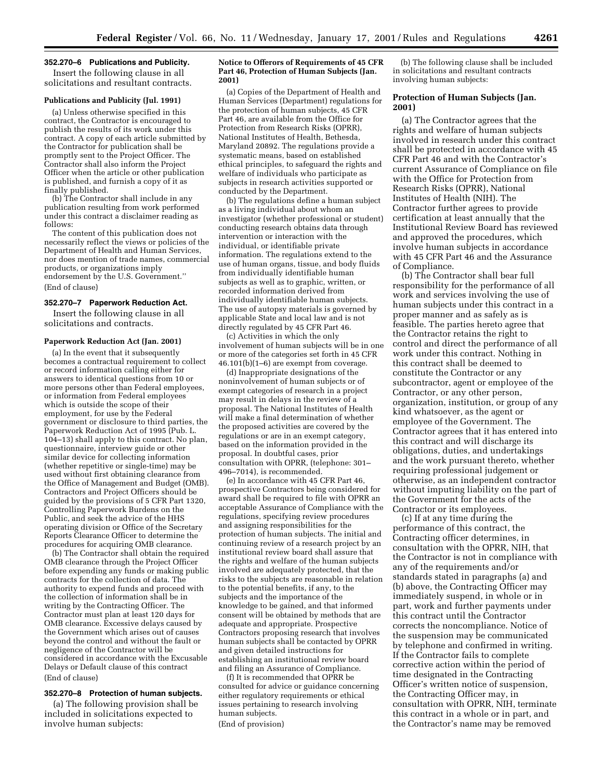## **352.270–6 Publications and Publicity.**

Insert the following clause in all solicitations and resultant contracts.

#### **Publications and Publicity (Jul. 1991)**

(a) Unless otherwise specified in this contract, the Contractor is encouraged to publish the results of its work under this contract. A copy of each article submitted by the Contractor for publication shall be promptly sent to the Project Officer. The Contractor shall also inform the Project Officer when the article or other publication is published, and furnish a copy of it as finally published.

(b) The Contractor shall include in any publication resulting from work performed under this contract a disclaimer reading as follows:

The content of this publication does not necessarily reflect the views or policies of the Department of Health and Human Services, nor does mention of trade names, commercial products, or organizations imply endorsement by the U.S. Government.'' (End of clause)

#### **352.270–7 Paperwork Reduction Act.**

Insert the following clause in all solicitations and contracts.

#### **Paperwork Reduction Act (Jan. 2001)**

(a) In the event that it subsequently becomes a contractual requirement to collect or record information calling either for answers to identical questions from 10 or more persons other than Federal employees, or information from Federal employees which is outside the scope of their employment, for use by the Federal government or disclosure to third parties, the Paperwork Reduction Act of 1995 (Pub. L. 104–13) shall apply to this contract. No plan, questionnaire, interview guide or other similar device for collecting information (whether repetitive or single-time) may be used without first obtaining clearance from the Office of Management and Budget (OMB). Contractors and Project Officers should be guided by the provisions of 5 CFR Part 1320, Controlling Paperwork Burdens on the Public, and seek the advice of the HHS operating division or Office of the Secretary Reports Clearance Officer to determine the procedures for acquiring OMB clearance.

(b) The Contractor shall obtain the required OMB clearance through the Project Officer before expending any funds or making public contracts for the collection of data. The authority to expend funds and proceed with the collection of information shall be in writing by the Contracting Officer. The Contractor must plan at least 120 days for OMB clearance. Excessive delays caused by the Government which arises out of causes beyond the control and without the fault or negligence of the Contractor will be considered in accordance with the Excusable Delays or Default clause of this contract (End of clause)

#### **352.270–8 Protection of human subjects.**

(a) The following provision shall be included in solicitations expected to involve human subjects:

#### **Notice to Offerors of Requirements of 45 CFR Part 46, Protection of Human Subjects (Jan. 2001)**

(a) Copies of the Department of Health and Human Services (Department) regulations for the protection of human subjects, 45 CFR Part 46, are available from the Office for Protection from Research Risks (OPRR) National Institutes of Health, Bethesda, Maryland 20892. The regulations provide a systematic means, based on established ethical principles, to safeguard the rights and welfare of individuals who participate as subjects in research activities supported or conducted by the Department.

(b) The regulations define a human subject as a living individual about whom an investigator (whether professional or student) conducting research obtains data through intervention or interaction with the individual, or identifiable private information. The regulations extend to the use of human organs, tissue, and body fluids from individually identifiable human subjects as well as to graphic, written, or recorded information derived from individually identifiable human subjects. The use of autopsy materials is governed by applicable State and local law and is not directly regulated by 45 CFR Part 46.

(c) Activities in which the only involvement of human subjects will be in one or more of the categories set forth in 45 CFR 46.101(b)(1–6) are exempt from coverage.

(d) Inappropriate designations of the noninvolvement of human subjects or of exempt categories of research in a project may result in delays in the review of a proposal. The National Institutes of Health will make a final determination of whether the proposed activities are covered by the regulations or are in an exempt category, based on the information provided in the proposal. In doubtful cases, prior consultation with OPRR, (telephone: 301– 496–7014), is recommended.

(e) In accordance with 45 CFR Part 46, prospective Contractors being considered for award shall be required to file with OPRR an acceptable Assurance of Compliance with the regulations, specifying review procedures and assigning responsibilities for the protection of human subjects. The initial and continuing review of a research project by an institutional review board shall assure that the rights and welfare of the human subjects involved are adequately protected, that the risks to the subjects are reasonable in relation to the potential benefits, if any, to the subjects and the importance of the knowledge to be gained, and that informed consent will be obtained by methods that are adequate and appropriate. Prospective Contractors proposing research that involves human subjects shall be contacted by OPRR and given detailed instructions for establishing an institutional review board and filing an Assurance of Compliance.

(f) It is recommended that OPRR be consulted for advice or guidance concerning either regulatory requirements or ethical issues pertaining to research involving human subjects. (End of provision)

(b) The following clause shall be included in solicitations and resultant contracts involving human subjects:

#### **Protection of Human Subjects (Jan. 2001)**

(a) The Contractor agrees that the rights and welfare of human subjects involved in research under this contract shall be protected in accordance with 45 CFR Part 46 and with the Contractor's current Assurance of Compliance on file with the Office for Protection from Research Risks (OPRR), National Institutes of Health (NIH). The Contractor further agrees to provide certification at least annually that the Institutional Review Board has reviewed and approved the procedures, which involve human subjects in accordance with 45 CFR Part 46 and the Assurance of Compliance.

(b) The Contractor shall bear full responsibility for the performance of all work and services involving the use of human subjects under this contract in a proper manner and as safely as is feasible. The parties hereto agree that the Contractor retains the right to control and direct the performance of all work under this contract. Nothing in this contract shall be deemed to constitute the Contractor or any subcontractor, agent or employee of the Contractor, or any other person, organization, institution, or group of any kind whatsoever, as the agent or employee of the Government. The Contractor agrees that it has entered into this contract and will discharge its obligations, duties, and undertakings and the work pursuant thereto, whether requiring professional judgement or otherwise, as an independent contractor without imputing liability on the part of the Government for the acts of the Contractor or its employees.

(c) If at any time during the performance of this contract, the Contracting officer determines, in consultation with the OPRR, NIH, that the Contractor is not in compliance with any of the requirements and/or standards stated in paragraphs (a) and (b) above, the Contracting Officer may immediately suspend, in whole or in part, work and further payments under this contract until the Contractor corrects the noncompliance. Notice of the suspension may be communicated by telephone and confirmed in writing. If the Contractor fails to complete corrective action within the period of time designated in the Contracting Officer's written notice of suspension, the Contracting Officer may, in consultation with OPRR, NIH, terminate this contract in a whole or in part, and the Contractor's name may be removed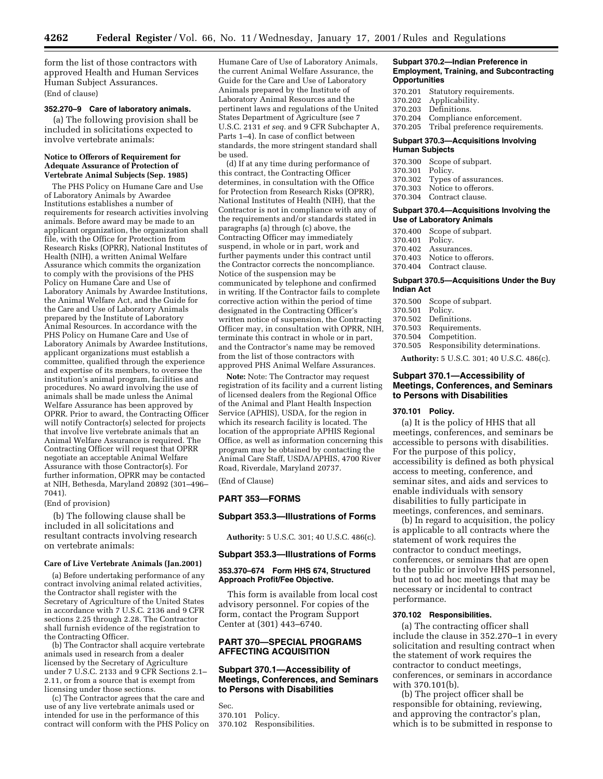form the list of those contractors with approved Health and Human Services Human Subject Assurances. (End of clause)

#### **352.270–9 Care of laboratory animals.**

(a) The following provision shall be included in solicitations expected to involve vertebrate animals:

## **Notice to Offerors of Requirement for Adequate Assurance of Protection of Vertebrate Animal Subjects (Sep. 1985)**

The PHS Policy on Humane Care and Use of Laboratory Animals by Awardee Institutions establishes a number of requirements for research activities involving animals. Before award may be made to an applicant organization, the organization shall file, with the Office for Protection from Research Risks (OPRR), National Institutes of Health (NIH), a written Animal Welfare Assurance which commits the organization to comply with the provisions of the PHS Policy on Humane Care and Use of Laboratory Animals by Awardee Institutions, the Animal Welfare Act, and the Guide for the Care and Use of Laboratory Animals prepared by the Institute of Laboratory Animal Resources. In accordance with the PHS Policy on Humane Care and Use of Laboratory Animals by Awardee Institutions, applicant organizations must establish a committee, qualified through the experience and expertise of its members, to oversee the institution's animal program, facilities and procedures. No award involving the use of animals shall be made unless the Animal Welfare Assurance has been approved by OPRR. Prior to award, the Contracting Officer will notify Contractor(s) selected for projects that involve live vertebrate animals that an Animal Welfare Assurance is required. The Contracting Officer will request that OPRR negotiate an acceptable Animal Welfare Assurance with those Contractor(s). For further information, OPRR may be contacted at NIH, Bethesda, Maryland 20892 (301–496– 7041).

(End of provision)

(b) The following clause shall be included in all solicitations and resultant contracts involving research on vertebrate animals:

#### **Care of Live Vertebrate Animals (Jan.2001)**

(a) Before undertaking performance of any contract involving animal related activities, the Contractor shall register with the Secretary of Agriculture of the United States in accordance with 7 U.S.C. 2136 and 9 CFR sections 2.25 through 2.28. The Contractor shall furnish evidence of the registration to the Contracting Officer.

(b) The Contractor shall acquire vertebrate animals used in research from a dealer licensed by the Secretary of Agriculture under 7 U.S.C. 2133 and 9 CFR Sections 2.1– 2.11, or from a source that is exempt from licensing under those sections.

(c) The Contractor agrees that the care and use of any live vertebrate animals used or intended for use in the performance of this contract will conform with the PHS Policy on Humane Care of Use of Laboratory Animals, the current Animal Welfare Assurance, the Guide for the Care and Use of Laboratory Animals prepared by the Institute of Laboratory Animal Resources and the pertinent laws and regulations of the United States Department of Agriculture (see 7 U.S.C. 2131 *et seq.* and 9 CFR Subchapter A, Parts 1–4). In case of conflict between standards, the more stringent standard shall be used.

(d) If at any time during performance of this contract, the Contracting Officer determines, in consultation with the Office for Protection from Research Risks (OPRR), National Institutes of Health (NIH), that the Contractor is not in compliance with any of the requirements and/or standards stated in paragraphs (a) through (c) above, the Contracting Officer may immediately suspend, in whole or in part, work and further payments under this contract until the Contractor corrects the noncompliance. Notice of the suspension may be communicated by telephone and confirmed in writing. If the Contractor fails to complete corrective action within the period of time designated in the Contracting Officer's written notice of suspension, the Contracting Officer may, in consultation with OPRR, NIH, terminate this contract in whole or in part, and the Contractor's name may be removed from the list of those contractors with approved PHS Animal Welfare Assurances.

**Note:** Note: The Contractor may request registration of its facility and a current listing of licensed dealers from the Regional Office of the Animal and Plant Health Inspection Service (APHIS), USDA, for the region in which its research facility is located. The location of the appropriate APHIS Regional Office, as well as information concerning this program may be obtained by contacting the Animal Care Staff, USDA/APHIS, 4700 River Road, Riverdale, Maryland 20737.

(End of Clause)

#### **PART 353—FORMS**

#### **Subpart 353.3—Illustrations of Forms**

**Authority:** 5 U.S.C. 301; 40 U.S.C. 486(c).

#### **Subpart 353.3—Illustrations of Forms**

## **353.370–674 Form HHS 674, Structured Approach Profit/Fee Objective.**

This form is available from local cost advisory personnel. For copies of the form, contact the Program Support Center at (301) 443–6740.

## **PART 370—SPECIAL PROGRAMS AFFECTING ACQUISITION**

## **Subpart 370.1—Accessibility of Meetings, Conferences, and Seminars to Persons with Disabilities**

Sec. 370.101 Policy. 370.102 Responsibilities.

#### **Subpart 370.2—Indian Preference in Employment, Training, and Subcontracting Opportunities**

- 370.201 Statutory requirements.
- 370.202 Applicability.
- Definitions.
- 370.204 Compliance enforcement.
- 370.205 Tribal preference requirements.

## **Subpart 370.3—Acquisitions Involving Human Subjects**

| 370.302 Types of assurances. |
|------------------------------|
|                              |
|                              |
|                              |

#### **Subpart 370.4—Acquisitions Involving the Use of Laboratory Animals**

370.400 Scope of subpart. 370.401 Policy.<br>370.402 Assurai 370.402 Assurances.<br>370.403 Notice to of Notice to offerors. 370.404 Contract clause.

#### **Subpart 370.5—Acquisitions Under the Buy Indian Act**

370.500 Scope of subpart. 370.501 Policy. 370.502 Definitions. 370.503 Requirements. 370.504 Competition. Responsibility determinations.

**Authority:** 5 U.S.C. 301; 40 U.S.C. 486(c).

## **Subpart 370.1—Accessibility of Meetings, Conferences, and Seminars to Persons with Disabilities**

#### **370.101 Policy.**

(a) It is the policy of HHS that all meetings, conferences, and seminars be accessible to persons with disabilities. For the purpose of this policy, accessibility is defined as both physical access to meeting, conference, and seminar sites, and aids and services to enable individuals with sensory disabilities to fully participate in meetings, conferences, and seminars.

(b) In regard to acquisition, the policy is applicable to all contracts where the statement of work requires the contractor to conduct meetings, conferences, or seminars that are open to the public or involve HHS personnel, but not to ad hoc meetings that may be necessary or incidental to contract performance.

## **370.102 Responsibilities.**

(a) The contracting officer shall include the clause in 352.270–1 in every solicitation and resulting contract when the statement of work requires the contractor to conduct meetings, conferences, or seminars in accordance with 370.101(b).

(b) The project officer shall be responsible for obtaining, reviewing, and approving the contractor's plan, which is to be submitted in response to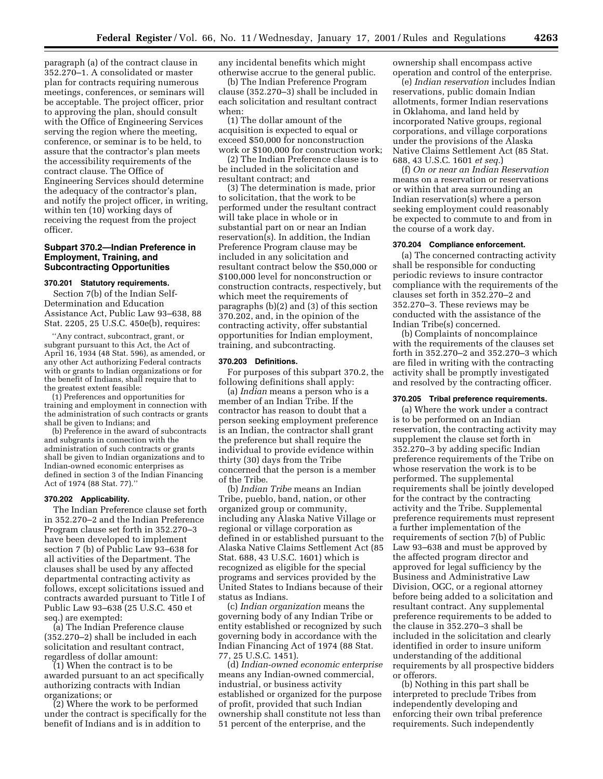paragraph (a) of the contract clause in 352.270–1. A consolidated or master plan for contracts requiring numerous meetings, conferences, or seminars will be acceptable. The project officer, prior to approving the plan, should consult with the Office of Engineering Services serving the region where the meeting, conference, or seminar is to be held, to assure that the contractor's plan meets the accessibility requirements of the contract clause. The Office of Engineering Services should determine the adequacy of the contractor's plan, and notify the project officer, in writing, within ten (10) working days of receiving the request from the project officer.

## **Subpart 370.2—Indian Preference in Employment, Training, and Subcontracting Opportunities**

#### **370.201 Statutory requirements.**

Section 7(b) of the Indian Self-Determination and Education Assistance Act, Public Law 93–638, 88 Stat. 2205, 25 U.S.C. 450e(b), requires:

''Any contract, subcontract, grant, or subgrant pursuant to this Act, the Act of April 16, 1934 (48 Stat. 596), as amended, or any other Act authorizing Federal contracts with or grants to Indian organizations or for the benefit of Indians, shall require that to the greatest extent feasible:

(1) Preferences and opportunities for training and employment in connection with the administration of such contracts or grants shall be given to Indians; and

(b) Preference in the award of subcontracts and subgrants in connection with the administration of such contracts or grants shall be given to Indian organizations and to Indian-owned economic enterprises as defined in section 3 of the Indian Financing Act of 1974 (88 Stat. 77).''

#### **370.202 Applicability.**

The Indian Preference clause set forth in 352.270–2 and the Indian Preference Program clause set forth in 352.270–3 have been developed to implement section 7 (b) of Public Law 93–638 for all activities of the Department. The clauses shall be used by any affected departmental contracting activity as follows, except solicitations issued and contracts awarded pursuant to Title I of Public Law 93–638 (25 U.S.C. 450 et seq.) are exempted:

(a) The Indian Preference clause (352.270–2) shall be included in each solicitation and resultant contract, regardless of dollar amount:

(1) When the contract is to be awarded pursuant to an act specifically authorizing contracts with Indian organizations; or

(2) Where the work to be performed under the contract is specifically for the benefit of Indians and is in addition to

any incidental benefits which might otherwise accrue to the general public.

(b) The Indian Preference Program clause (352.270–3) shall be included in each solicitation and resultant contract when:

(1) The dollar amount of the acquisition is expected to equal or exceed \$50,000 for nonconstruction work or \$100,000 for construction work;

(2) The Indian Preference clause is to be included in the solicitation and resultant contract; and

(3) The determination is made, prior to solicitation, that the work to be performed under the resultant contract will take place in whole or in substantial part on or near an Indian reservation(s). In addition, the Indian Preference Program clause may be included in any solicitation and resultant contract below the \$50,000 or \$100,000 level for nonconstruction or construction contracts, respectively, but which meet the requirements of paragraphs (b)(2) and (3) of this section 370.202, and, in the opinion of the contracting activity, offer substantial opportunities for Indian employment, training, and subcontracting.

#### **370.203 Definitions.**

For purposes of this subpart 370.2, the following definitions shall apply:

(a) *Indian* means a person who is a member of an Indian Tribe. If the contractor has reason to doubt that a person seeking employment preference is an Indian, the contractor shall grant the preference but shall require the individual to provide evidence within thirty (30) days from the Tribe concerned that the person is a member of the Tribe.

(b) *Indian Tribe* means an Indian Tribe, pueblo, band, nation, or other organized group or community, including any Alaska Native Village or regional or village corporation as defined in or established pursuant to the Alaska Native Claims Settlement Act (85 Stat. 688, 43 U.S.C. 1601) which is recognized as eligible for the special programs and services provided by the United States to Indians because of their status as Indians.

(c) *Indian organization* means the governing body of any Indian Tribe or entity established or recognized by such governing body in accordance with the Indian Financing Act of 1974 (88 Stat. 77, 25 U.S.C. 1451).

(d) *Indian-owned economic enterprise* means any Indian-owned commercial, industrial, or business activity established or organized for the purpose of profit, provided that such Indian ownership shall constitute not less than 51 percent of the enterprise, and the

ownership shall encompass active operation and control of the enterprise.

(e) *Indian reservation* includes Indian reservations, public domain Indian allotments, former Indian reservations in Oklahoma, and land held by incorporated Native groups, regional corporations, and village corporations under the provisions of the Alaska Native Claims Settlement Act (85 Stat. 688, 43 U.S.C. 1601 *et seq.*)

(f) *On or near an Indian Reservation* means on a reservation or reservations or within that area surrounding an Indian reservation(s) where a person seeking employment could reasonably be expected to commute to and from in the course of a work day.

## **370.204 Compliance enforcement.**

(a) The concerned contracting activity shall be responsible for conducting periodic reviews to insure contractor compliance with the requirements of the clauses set forth in 352.270–2 and 352.270–3. These reviews may be conducted with the assistance of the Indian Tribe(s) concerned.

(b) Complaints of noncomplaince with the requirements of the clauses set forth in 352.270–2 and 352.270–3 which are filed in writing with the contracting activity shall be promptly investigated and resolved by the contracting officer.

#### **370.205 Tribal preference requirements.**

(a) Where the work under a contract is to be performed on an Indian reservation, the contracting activity may supplement the clause set forth in 352.270–3 by adding specific Indian preference requirements of the Tribe on whose reservation the work is to be performed. The supplemental requirements shall be jointly developed for the contract by the contracting activity and the Tribe. Supplemental preference requirements must represent a further implementation of the requirements of section 7(b) of Public Law 93–638 and must be approved by the affected program director and approved for legal sufficiency by the Business and Administrative Law Division, OGC, or a regional attorney before being added to a solicitation and resultant contract. Any supplemental preference requirements to be added to the clause in 352.270–3 shall be included in the solicitation and clearly identified in order to insure uniform understanding of the additional requirements by all prospective bidders or offerors.

(b) Nothing in this part shall be interpreted to preclude Tribes from independently developing and enforcing their own tribal preference requirements. Such independently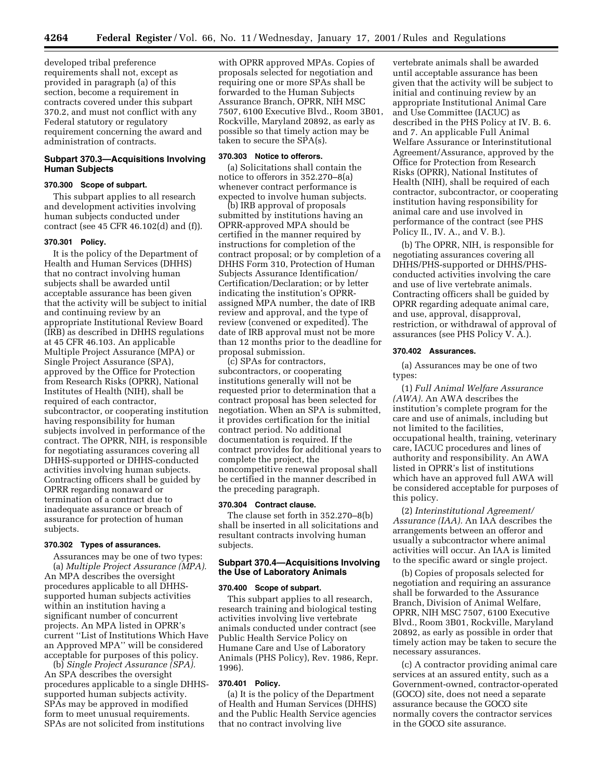developed tribal preference requirements shall not, except as provided in paragraph (a) of this section, become a requirement in contracts covered under this subpart 370.2, and must not conflict with any Federal statutory or regulatory requirement concerning the award and administration of contracts.

## **Subpart 370.3—Acquisitions Involving Human Subjects**

## **370.300 Scope of subpart.**

This subpart applies to all research and development activities involving human subjects conducted under contract (see 45 CFR 46.102(d) and (f)).

## **370.301 Policy.**

It is the policy of the Department of Health and Human Services (DHHS) that no contract involving human subjects shall be awarded until acceptable assurance has been given that the activity will be subject to initial and continuing review by an appropriate Institutional Review Board (IRB) as described in DHHS regulations at 45 CFR 46.103. An applicable Multiple Project Assurance (MPA) or Single Project Assurance (SPA), approved by the Office for Protection from Research Risks (OPRR), National Institutes of Health (NIH), shall be required of each contractor, subcontractor, or cooperating institution having responsibility for human subjects involved in performance of the contract. The OPRR, NIH, is responsible for negotiating assurances covering all DHHS-supported or DHHS-conducted activities involving human subjects. Contracting officers shall be guided by OPRR regarding nonaward or termination of a contract due to inadequate assurance or breach of assurance for protection of human subjects.

## **370.302 Types of assurances.**

Assurances may be one of two types: (a) *Multiple Project Assurance (MPA).* An MPA describes the oversight procedures applicable to all DHHSsupported human subjects activities within an institution having a significant number of concurrent projects. An MPA listed in OPRR's current ''List of Institutions Which Have an Approved MPA'' will be considered acceptable for purposes of this policy.

(b) *Single Project Assurance (SPA).* An SPA describes the oversight procedures applicable to a single DHHSsupported human subjects activity. SPAs may be approved in modified form to meet unusual requirements. SPAs are not solicited from institutions

with OPRR approved MPAs. Copies of proposals selected for negotiation and requiring one or more SPAs shall be forwarded to the Human Subjects Assurance Branch, OPRR, NIH MSC 7507, 6100 Executive Blvd., Room 3B01, Rockville, Maryland 20892, as early as possible so that timely action may be taken to secure the SPA(s).

## **370.303 Notice to offerors.**

(a) Solicitations shall contain the notice to offerors in 352.270–8(a) whenever contract performance is expected to involve human subjects.

(b) IRB approval of proposals submitted by institutions having an OPRR-approved MPA should be certified in the manner required by instructions for completion of the contract proposal; or by completion of a DHHS Form 310, Protection of Human Subjects Assurance Identification/ Certification/Declaration; or by letter indicating the institution's OPRRassigned MPA number, the date of IRB review and approval, and the type of review (convened or expedited). The date of IRB approval must not be more than 12 months prior to the deadline for proposal submission.

(c) SPAs for contractors, subcontractors, or cooperating institutions generally will not be requested prior to determination that a contract proposal has been selected for negotiation. When an SPA is submitted, it provides certification for the initial contract period. No additional documentation is required. If the contract provides for additional years to complete the project, the noncompetitive renewal proposal shall be certified in the manner described in the preceding paragraph.

#### **370.304 Contract clause.**

The clause set forth in 352.270–8(b) shall be inserted in all solicitations and resultant contracts involving human subjects.

## **Subpart 370.4—Acquisitions Involving the Use of Laboratory Animals**

#### **370.400 Scope of subpart.**

This subpart applies to all research, research training and biological testing activities involving live vertebrate animals conducted under contract (see Public Health Service Policy on Humane Care and Use of Laboratory Animals (PHS Policy), Rev. 1986, Repr. 1996).

#### **370.401 Policy.**

(a) It is the policy of the Department of Health and Human Services (DHHS) and the Public Health Service agencies that no contract involving live

vertebrate animals shall be awarded until acceptable assurance has been given that the activity will be subject to initial and continuing review by an appropriate Institutional Animal Care and Use Committee (IACUC) as described in the PHS Policy at IV. B. 6. and 7. An applicable Full Animal Welfare Assurance or Interinstitutional Agreement/Assurance, approved by the Office for Protection from Research Risks (OPRR), National Institutes of Health (NIH), shall be required of each contractor, subcontractor, or cooperating institution having responsibility for animal care and use involved in performance of the contract (see PHS Policy II., IV. A., and V. B.).

(b) The OPRR, NIH, is responsible for negotiating assurances covering all DHHS/PHS-supported or DHHS/PHSconducted activities involving the care and use of live vertebrate animals. Contracting officers shall be guided by OPRR regarding adequate animal care, and use, approval, disapproval, restriction, or withdrawal of approval of assurances (see PHS Policy V. A.).

#### **370.402 Assurances.**

(a) Assurances may be one of two types:

(1) *Full Animal Welfare Assurance (AWA).* An AWA describes the institution's complete program for the care and use of animals, including but not limited to the facilities, occupational health, training, veterinary care, IACUC procedures and lines of authority and responsibility. An AWA listed in OPRR's list of institutions which have an approved full AWA will be considered acceptable for purposes of this policy.

(2) *Interinstitutional Agreement/ Assurance (IAA).* An IAA describes the arrangements between an offeror and usually a subcontractor where animal activities will occur. An IAA is limited to the specific award or single project.

(b) Copies of proposals selected for negotiation and requiring an assurance shall be forwarded to the Assurance Branch, Division of Animal Welfare, OPRR, NIH MSC 7507, 6100 Executive Blvd., Room 3B01, Rockville, Maryland 20892, as early as possible in order that timely action may be taken to secure the necessary assurances.

(c) A contractor providing animal care services at an assured entity, such as a Government-owned, contractor-operated (GOCO) site, does not need a separate assurance because the GOCO site normally covers the contractor services in the GOCO site assurance.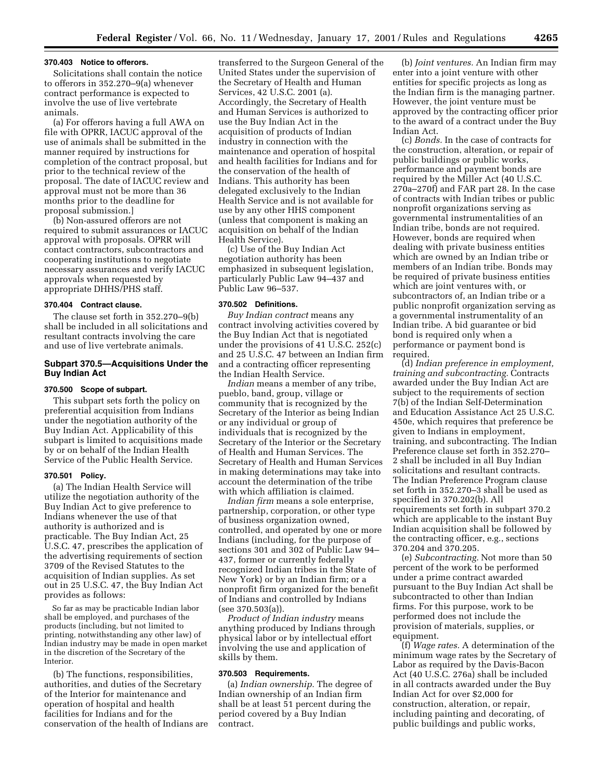#### **370.403 Notice to offerors.**

Solicitations shall contain the notice to offerors in 352.270–9(a) whenever contract performance is expected to involve the use of live vertebrate animals.

(a) For offerors having a full AWA on file with OPRR, IACUC approval of the use of animals shall be submitted in the manner required by instructions for completion of the contract proposal, but prior to the technical review of the proposal. The date of IACUC review and approval must not be more than 36 months prior to the deadline for proposal submission.]

(b) Non-assured offerors are not required to submit assurances or IACUC approval with proposals. OPRR will contact contractors, subcontractors and cooperating institutions to negotiate necessary assurances and verify IACUC approvals when requested by appropriate DHHS/PHS staff.

## **370.404 Contract clause.**

The clause set forth in 352.270–9(b) shall be included in all solicitations and resultant contracts involving the care and use of live vertebrate animals.

## **Subpart 370.5—Acquisitions Under the Buy Indian Act**

## **370.500 Scope of subpart.**

This subpart sets forth the policy on preferential acquisition from Indians under the negotiation authority of the Buy Indian Act. Applicability of this subpart is limited to acquisitions made by or on behalf of the Indian Health Service of the Public Health Service.

#### **370.501 Policy.**

(a) The Indian Health Service will utilize the negotiation authority of the Buy Indian Act to give preference to Indians whenever the use of that authority is authorized and is practicable. The Buy Indian Act, 25 U.S.C. 47, prescribes the application of the advertising requirements of section 3709 of the Revised Statutes to the acquisition of Indian supplies. As set out in 25 U.S.C. 47, the Buy Indian Act provides as follows:

So far as may be practicable Indian labor shall be employed, and purchases of the products (including, but not limited to printing, notwithstanding any other law) of Indian industry may be made in open market in the discretion of the Secretary of the Interior.

(b) The functions, responsibilities, authorities, and duties of the Secretary of the Interior for maintenance and operation of hospital and health facilities for Indians and for the conservation of the health of Indians are

transferred to the Surgeon General of the United States under the supervision of the Secretary of Health and Human Services, 42 U.S.C. 2001 (a). Accordingly, the Secretary of Health and Human Services is authorized to use the Buy Indian Act in the acquisition of products of Indian industry in connection with the maintenance and operation of hospital and health facilities for Indians and for the conservation of the health of Indians. This authority has been delegated exclusively to the Indian Health Service and is not available for use by any other HHS component (unless that component is making an acquisition on behalf of the Indian Health Service).

(c) Use of the Buy Indian Act negotiation authority has been emphasized in subsequent legislation, particularly Public Law 94–437 and Public Law 96–537.

## **370.502 Definitions.**

*Buy Indian contract* means any contract involving activities covered by the Buy Indian Act that is negotiated under the provisions of 41 U.S.C. 252(c) and 25 U.S.C. 47 between an Indian firm and a contracting officer representing the Indian Health Service.

*Indian* means a member of any tribe, pueblo, band, group, village or community that is recognized by the Secretary of the Interior as being Indian or any individual or group of individuals that is recognized by the Secretary of the Interior or the Secretary of Health and Human Services. The Secretary of Health and Human Services in making determinations may take into account the determination of the tribe with which affiliation is claimed.

*Indian firm* means a sole enterprise, partnership, corporation, or other type of business organization owned, controlled, and operated by one or more Indians (including, for the purpose of sections 301 and 302 of Public Law 94– 437, former or currently federally recognized Indian tribes in the State of New York) or by an Indian firm; or a nonprofit firm organized for the benefit of Indians and controlled by Indians (see 370.503(a)).

*Product of Indian industry* means anything produced by Indians through physical labor or by intellectual effort involving the use and application of skills by them.

## **370.503 Requirements.**

(a) *Indian ownership.* The degree of Indian ownership of an Indian firm shall be at least 51 percent during the period covered by a Buy Indian contract.

(b) *Joint ventures.* An Indian firm may enter into a joint venture with other entities for specific projects as long as the Indian firm is the managing partner. However, the joint venture must be approved by the contracting officer prior to the award of a contract under the Buy Indian Act.

(c) *Bonds.* In the case of contracts for the construction, alteration, or repair of public buildings or public works, performance and payment bonds are required by the Miller Act (40 U.S.C. 270a–270f) and FAR part 28. In the case of contracts with Indian tribes or public nonprofit organizations serving as governmental instrumentalities of an Indian tribe, bonds are not required. However, bonds are required when dealing with private business entities which are owned by an Indian tribe or members of an Indian tribe. Bonds may be required of private business entities which are joint ventures with, or subcontractors of, an Indian tribe or a public nonprofit organization serving as a governmental instrumentality of an Indian tribe. A bid guarantee or bid bond is required only when a performance or payment bond is required.

(d) *Indian preference in employment, training and subcontracting.* Contracts awarded under the Buy Indian Act are subject to the requirements of section 7(b) of the Indian Self-Determination and Education Assistance Act 25 U.S.C. 450e, which requires that preference be given to Indians in employment, training, and subcontracting. The Indian Preference clause set forth in 352.270– 2 shall be included in all Buy Indian solicitations and resultant contracts. The Indian Preference Program clause set forth in 352.270–3 shall be used as specified in 370.202(b). All requirements set forth in subpart 370.2 which are applicable to the instant Buy Indian acquisition shall be followed by the contracting officer, e.g., sections 370.204 and 370.205.

(e) *Subcontracting.* Not more than 50 percent of the work to be performed under a prime contract awarded pursuant to the Buy Indian Act shall be subcontracted to other than Indian firms. For this purpose, work to be performed does not include the provision of materials, supplies, or equipment.

(f) *Wage rates.* A determination of the minimum wage rates by the Secretary of Labor as required by the Davis-Bacon Act (40 U.S.C. 276a) shall be included in all contracts awarded under the Buy Indian Act for over \$2,000 for construction, alteration, or repair, including painting and decorating, of public buildings and public works,